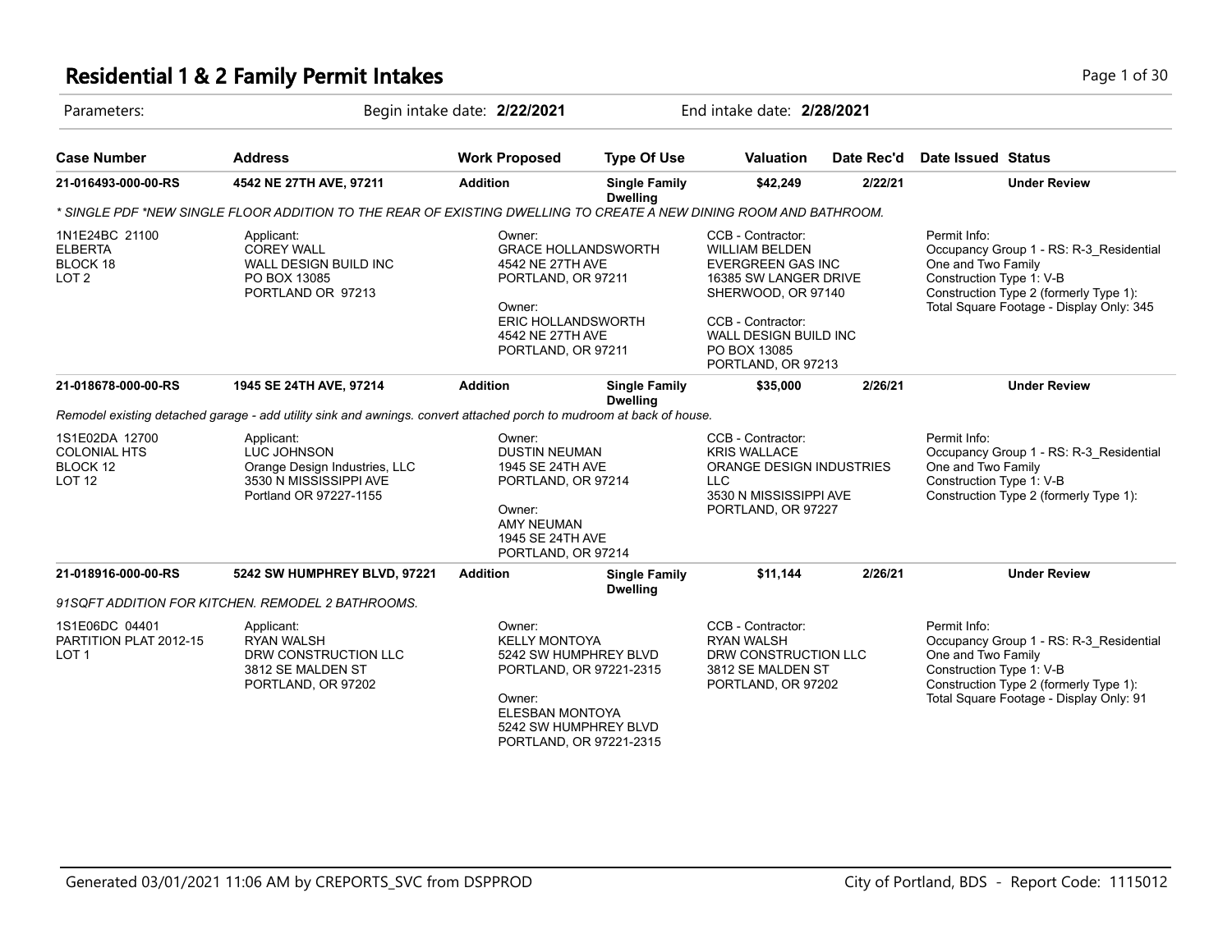### **Residential 1 & 2 Family Permit Intakes Page 1 of 30** Page 1 of 30

| Parameters:                                                        | Begin intake date: 2/22/2021                                                                                         |                                                                                                                                                          | End intake date: 2/28/2021                                                                           |                                                                                                                                                                                                                  |            |                                                                                                                                                                                                 |
|--------------------------------------------------------------------|----------------------------------------------------------------------------------------------------------------------|----------------------------------------------------------------------------------------------------------------------------------------------------------|------------------------------------------------------------------------------------------------------|------------------------------------------------------------------------------------------------------------------------------------------------------------------------------------------------------------------|------------|-------------------------------------------------------------------------------------------------------------------------------------------------------------------------------------------------|
| <b>Case Number</b>                                                 | <b>Address</b>                                                                                                       | <b>Work Proposed</b>                                                                                                                                     | <b>Type Of Use</b>                                                                                   | <b>Valuation</b>                                                                                                                                                                                                 | Date Rec'd | Date Issued Status                                                                                                                                                                              |
| 21-016493-000-00-RS                                                | 4542 NE 27TH AVE, 97211                                                                                              | <b>Addition</b>                                                                                                                                          | <b>Single Family</b><br><b>Dwelling</b>                                                              | \$42,249                                                                                                                                                                                                         | 2/22/21    | <b>Under Review</b>                                                                                                                                                                             |
|                                                                    | * SINGLE PDF *NEW SINGLE FLOOR ADDITION TO THE REAR OF EXISTING DWELLING TO CREATE A NEW DINING ROOM AND BATHROOM.   |                                                                                                                                                          |                                                                                                      |                                                                                                                                                                                                                  |            |                                                                                                                                                                                                 |
| 1N1E24BC 21100<br><b>ELBERTA</b><br>BLOCK 18<br>LOT <sub>2</sub>   | Applicant:<br><b>COREY WALL</b><br>WALL DESIGN BUILD INC<br>PO BOX 13085<br>PORTLAND OR 97213                        | Owner:<br><b>GRACE HOLLANDSWORTH</b><br>4542 NE 27TH AVE<br>PORTLAND, OR 97211<br>Owner:<br>ERIC HOLLANDSWORTH<br>4542 NE 27TH AVE<br>PORTLAND, OR 97211 |                                                                                                      | CCB - Contractor:<br><b>WILLIAM BELDEN</b><br><b>EVERGREEN GAS INC</b><br>16385 SW LANGER DRIVE<br>SHERWOOD, OR 97140<br>CCB - Contractor:<br><b>WALL DESIGN BUILD INC</b><br>PO BOX 13085<br>PORTLAND, OR 97213 |            | Permit Info:<br>Occupancy Group 1 - RS: R-3_Residential<br>One and Two Family<br>Construction Type 1: V-B<br>Construction Type 2 (formerly Type 1):<br>Total Square Footage - Display Only: 345 |
| 21-018678-000-00-RS                                                | 1945 SE 24TH AVE, 97214                                                                                              | <b>Addition</b>                                                                                                                                          | <b>Single Family</b>                                                                                 | \$35,000                                                                                                                                                                                                         | 2/26/21    | <b>Under Review</b>                                                                                                                                                                             |
|                                                                    | Remodel existing detached garage - add utility sink and awnings, convert attached porch to mudroom at back of house. |                                                                                                                                                          | <b>Dwelling</b>                                                                                      |                                                                                                                                                                                                                  |            |                                                                                                                                                                                                 |
| 1S1E02DA 12700<br><b>COLONIAL HTS</b><br>BLOCK 12<br><b>LOT 12</b> | Applicant:<br>LUC JOHNSON<br>Orange Design Industries, LLC<br>3530 N MISSISSIPPI AVE<br>Portland OR 97227-1155       | Owner:<br><b>DUSTIN NEUMAN</b><br>1945 SE 24TH AVE<br>PORTLAND, OR 97214<br>Owner:<br><b>AMY NEUMAN</b><br>1945 SE 24TH AVE<br>PORTLAND, OR 97214        |                                                                                                      | CCB - Contractor:<br><b>KRIS WALLACE</b><br><b>ORANGE DESIGN INDUSTRIES</b><br><b>LLC</b><br>3530 N MISSISSIPPI AVE<br>PORTLAND, OR 97227                                                                        |            | Permit Info:<br>Occupancy Group 1 - RS: R-3 Residential<br>One and Two Family<br>Construction Type 1: V-B<br>Construction Type 2 (formerly Type 1):                                             |
| 21-018916-000-00-RS                                                | 5242 SW HUMPHREY BLVD, 97221                                                                                         | <b>Addition</b>                                                                                                                                          | <b>Single Family</b><br><b>Dwelling</b>                                                              | \$11,144                                                                                                                                                                                                         | 2/26/21    | <b>Under Review</b>                                                                                                                                                                             |
|                                                                    | 91SQFT ADDITION FOR KITCHEN. REMODEL 2 BATHROOMS.                                                                    |                                                                                                                                                          |                                                                                                      |                                                                                                                                                                                                                  |            |                                                                                                                                                                                                 |
| 1S1E06DC 04401<br>PARTITION PLAT 2012-15<br>LOT <sub>1</sub>       | Applicant:<br><b>RYAN WALSH</b><br>DRW CONSTRUCTION LLC<br>3812 SE MALDEN ST<br>PORTLAND, OR 97202                   | Owner:<br><b>KELLY MONTOYA</b><br>Owner:<br><b>ELESBAN MONTOYA</b>                                                                                       | 5242 SW HUMPHREY BLVD<br>PORTLAND, OR 97221-2315<br>5242 SW HUMPHREY BLVD<br>PORTLAND, OR 97221-2315 | CCB - Contractor:<br><b>RYAN WALSH</b><br>DRW CONSTRUCTION LLC<br>3812 SE MALDEN ST<br>PORTLAND, OR 97202                                                                                                        |            | Permit Info:<br>Occupancy Group 1 - RS: R-3 Residential<br>One and Two Family<br>Construction Type 1: V-B<br>Construction Type 2 (formerly Type 1):<br>Total Square Footage - Display Only: 91  |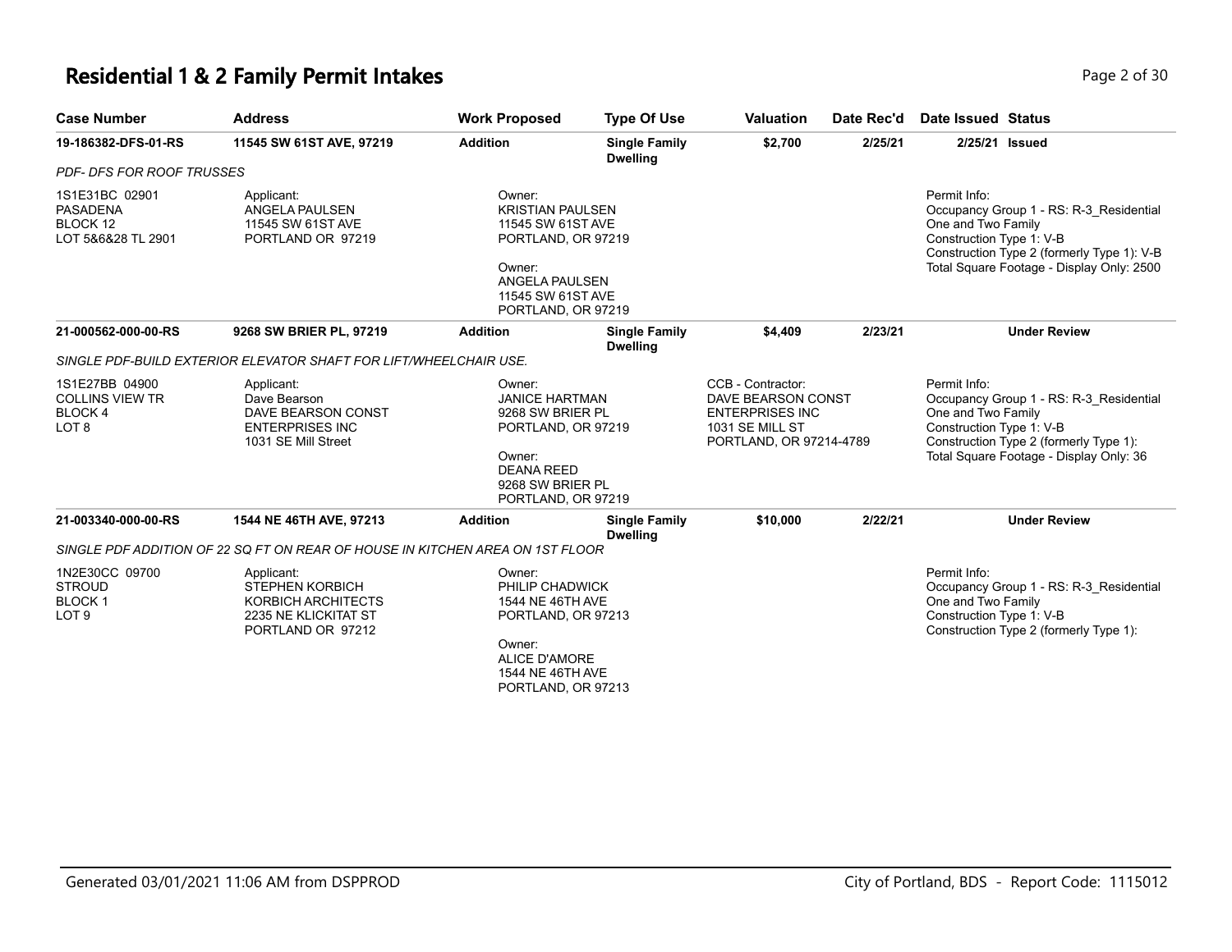# **Residential 1 & 2 Family Permit Intakes Page 1 0 AM** Page 2 of 30

| <b>Case Number</b>                                                            | <b>Address</b>                                                                                          | <b>Work Proposed</b>                                                                                                                                | <b>Type Of Use</b>                      | <b>Valuation</b>                                                                                                | Date Rec'd | <b>Date Issued Status</b>                                                                                                                                                                            |
|-------------------------------------------------------------------------------|---------------------------------------------------------------------------------------------------------|-----------------------------------------------------------------------------------------------------------------------------------------------------|-----------------------------------------|-----------------------------------------------------------------------------------------------------------------|------------|------------------------------------------------------------------------------------------------------------------------------------------------------------------------------------------------------|
| 19-186382-DFS-01-RS                                                           | 11545 SW 61ST AVE, 97219                                                                                | <b>Addition</b>                                                                                                                                     | <b>Single Family</b><br><b>Dwelling</b> | \$2,700                                                                                                         | 2/25/21    | 2/25/21 Issued                                                                                                                                                                                       |
| <b>PDF- DFS FOR ROOF TRUSSES</b>                                              |                                                                                                         |                                                                                                                                                     |                                         |                                                                                                                 |            |                                                                                                                                                                                                      |
| 1S1E31BC 02901<br><b>PASADENA</b><br>BLOCK 12<br>LOT 5&6&28 TL 2901           | Applicant:<br>ANGELA PAULSEN<br>11545 SW 61ST AVE<br>PORTLAND OR 97219                                  | Owner:<br><b>KRISTIAN PAULSEN</b><br>11545 SW 61ST AVE<br>PORTLAND, OR 97219<br>Owner:<br>ANGELA PAULSEN<br>11545 SW 61ST AVE<br>PORTLAND, OR 97219 |                                         |                                                                                                                 |            | Permit Info:<br>Occupancy Group 1 - RS: R-3_Residential<br>One and Two Family<br>Construction Type 1: V-B<br>Construction Type 2 (formerly Type 1): V-B<br>Total Square Footage - Display Only: 2500 |
| 21-000562-000-00-RS                                                           | 9268 SW BRIER PL, 97219                                                                                 | <b>Addition</b>                                                                                                                                     | <b>Single Family</b><br><b>Dwelling</b> | \$4.409                                                                                                         | 2/23/21    | <b>Under Review</b>                                                                                                                                                                                  |
|                                                                               | SINGLE PDF-BUILD EXTERIOR ELEVATOR SHAFT FOR LIFT/WHEELCHAIR USE.                                       |                                                                                                                                                     |                                         |                                                                                                                 |            |                                                                                                                                                                                                      |
| 1S1E27BB 04900<br><b>COLLINS VIEW TR</b><br><b>BLOCK4</b><br>LOT <sub>8</sub> | Applicant:<br>Dave Bearson<br>DAVE BEARSON CONST<br><b>ENTERPRISES INC</b><br>1031 SE Mill Street       | Owner:<br><b>JANICE HARTMAN</b><br>9268 SW BRIER PL<br>PORTLAND, OR 97219<br>Owner:<br><b>DEANA REED</b><br>9268 SW BRIER PL<br>PORTLAND, OR 97219  |                                         | CCB - Contractor:<br>DAVE BEARSON CONST<br><b>ENTERPRISES INC</b><br>1031 SE MILL ST<br>PORTLAND, OR 97214-4789 |            | Permit Info:<br>Occupancy Group 1 - RS: R-3 Residential<br>One and Two Family<br>Construction Type 1: V-B<br>Construction Type 2 (formerly Type 1):<br>Total Square Footage - Display Only: 36       |
| 21-003340-000-00-RS                                                           | 1544 NE 46TH AVE, 97213                                                                                 | <b>Addition</b>                                                                                                                                     | <b>Single Family</b><br><b>Dwelling</b> | \$10,000                                                                                                        | 2/22/21    | <b>Under Review</b>                                                                                                                                                                                  |
|                                                                               | SINGLE PDF ADDITION OF 22 SQ FT ON REAR OF HOUSE IN KITCHEN AREA ON 1ST FLOOR                           |                                                                                                                                                     |                                         |                                                                                                                 |            |                                                                                                                                                                                                      |
| 1N2E30CC 09700<br><b>STROUD</b><br><b>BLOCK1</b><br>LOT <sub>9</sub>          | Applicant:<br><b>STEPHEN KORBICH</b><br>KORBICH ARCHITECTS<br>2235 NE KLICKITAT ST<br>PORTLAND OR 97212 | Owner:<br>PHILIP CHADWICK<br>1544 NE 46TH AVE<br>PORTLAND, OR 97213<br>Owner:<br><b>ALICE D'AMORE</b><br>1544 NE 46TH AVE<br>PORTLAND, OR 97213     |                                         |                                                                                                                 |            | Permit Info:<br>Occupancy Group 1 - RS: R-3 Residential<br>One and Two Family<br>Construction Type 1: V-B<br>Construction Type 2 (formerly Type 1):                                                  |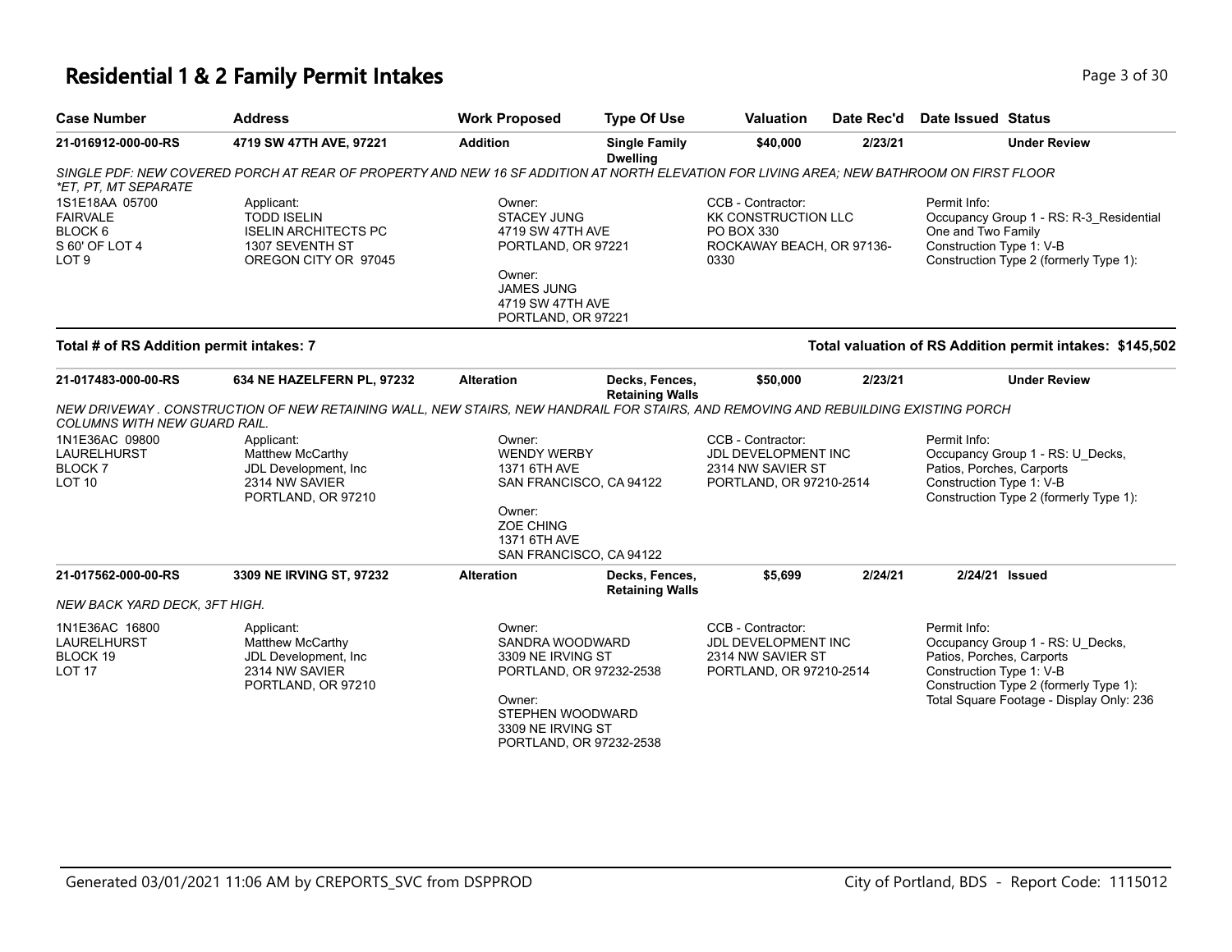## **Residential 1 & 2 Family Permit Intakes Page 1 0 and 20 and 20 and 20 and 20 and 20 and 20 and 20 and 20 and 20 and 20 and 20 and 20 and 20 and 20 and 20 and 20 and 20 and 20 and 20 and 20 and 20 and 20 and 20 and 20 an**

| <b>Case Number</b>                                                      | <b>Address</b>                                                                                                                           | <b>Work Proposed</b>                                                                                                                                    | <b>Type Of Use</b>                                                 | <b>Valuation</b>                                                                                   | Date Rec'd                                                          | <b>Date Issued Status</b>                                                                                                                                                                       |  |
|-------------------------------------------------------------------------|------------------------------------------------------------------------------------------------------------------------------------------|---------------------------------------------------------------------------------------------------------------------------------------------------------|--------------------------------------------------------------------|----------------------------------------------------------------------------------------------------|---------------------------------------------------------------------|-------------------------------------------------------------------------------------------------------------------------------------------------------------------------------------------------|--|
| 21-016912-000-00-RS                                                     | 4719 SW 47TH AVE, 97221                                                                                                                  | <b>Addition</b>                                                                                                                                         | <b>Single Family</b><br><b>Dwelling</b>                            | \$40,000                                                                                           | 2/23/21                                                             | <b>Under Review</b>                                                                                                                                                                             |  |
| *ET, PT, MT SEPARATE                                                    | SINGLE PDF: NEW COVERED PORCH AT REAR OF PROPERTY AND NEW 16 SF ADDITION AT NORTH ELEVATION FOR LIVING AREA: NEW BATHROOM ON FIRST FLOOR |                                                                                                                                                         |                                                                    |                                                                                                    |                                                                     |                                                                                                                                                                                                 |  |
| 1S1E18AA 05700<br><b>FAIRVALE</b><br>BLOCK 6<br>S 60' OF LOT 4<br>LOT 9 | Applicant:<br><b>TODD ISELIN</b><br><b>ISELIN ARCHITECTS PC</b><br>1307 SEVENTH ST<br>OREGON CITY OR 97045                               | Owner:<br><b>STACEY JUNG</b><br>4719 SW 47TH AVE<br>PORTLAND, OR 97221<br>Owner:<br>JAMES JUNG<br>4719 SW 47TH AVE<br>PORTLAND, OR 97221                |                                                                    | CCB - Contractor:<br><b>KK CONSTRUCTION LLC</b><br>PO BOX 330<br>ROCKAWAY BEACH, OR 97136-<br>0330 |                                                                     | Permit Info:<br>Occupancy Group 1 - RS: R-3 Residential<br>One and Two Family<br>Construction Type 1: V-B<br>Construction Type 2 (formerly Type 1):                                             |  |
| Total # of RS Addition permit intakes: 7                                |                                                                                                                                          |                                                                                                                                                         |                                                                    |                                                                                                    |                                                                     | Total valuation of RS Addition permit intakes: \$145,502                                                                                                                                        |  |
| 21-017483-000-00-RS                                                     | 634 NE HAZELFERN PL, 97232                                                                                                               | <b>Alteration</b>                                                                                                                                       | Decks, Fences,<br><b>Retaining Walls</b>                           | \$50,000                                                                                           | 2/23/21                                                             | <b>Under Review</b>                                                                                                                                                                             |  |
| COLUMNS WITH NEW GUARD RAIL.                                            | NEW DRIVEWAY . CONSTRUCTION OF NEW RETAINING WALL, NEW STAIRS, NEW HANDRAIL FOR STAIRS, AND REMOVING AND REBUILDING EXISTING PORCH       |                                                                                                                                                         |                                                                    |                                                                                                    |                                                                     |                                                                                                                                                                                                 |  |
| 1N1E36AC 09800<br>LAURELHURST<br><b>BLOCK7</b><br><b>LOT 10</b>         | Applicant:<br><b>Matthew McCarthy</b><br>JDL Development, Inc<br>2314 NW SAVIER<br>PORTLAND, OR 97210                                    | Owner:<br>1371 6TH AVE<br>Owner:<br>ZOE CHING<br>1371 6TH AVE<br>SAN FRANCISCO, CA 94122                                                                | CCB - Contractor:<br><b>WENDY WERBY</b><br>SAN FRANCISCO, CA 94122 |                                                                                                    | JDL DEVELOPMENT INC<br>2314 NW SAVIER ST<br>PORTLAND, OR 97210-2514 | Permit Info:<br>Occupancy Group 1 - RS: U_Decks,<br>Patios, Porches, Carports<br>Construction Type 1: V-B<br>Construction Type 2 (formerly Type 1):                                             |  |
| 21-017562-000-00-RS                                                     | 3309 NE IRVING ST, 97232                                                                                                                 | <b>Alteration</b>                                                                                                                                       | Decks, Fences,<br><b>Retaining Walls</b>                           | \$5,699                                                                                            | 2/24/21                                                             | 2/24/21 Issued                                                                                                                                                                                  |  |
| NEW BACK YARD DECK, 3FT HIGH.                                           |                                                                                                                                          |                                                                                                                                                         |                                                                    |                                                                                                    |                                                                     |                                                                                                                                                                                                 |  |
| 1N1E36AC 16800<br>LAURELHURST<br>BLOCK 19<br><b>LOT 17</b>              | Applicant:<br><b>Matthew McCarthy</b><br>JDL Development, Inc.<br>2314 NW SAVIER<br>PORTLAND, OR 97210                                   | Owner:<br>SANDRA WOODWARD<br>3309 NE IRVING ST<br>PORTLAND, OR 97232-2538<br>Owner:<br>STEPHEN WOODWARD<br>3309 NE IRVING ST<br>PORTLAND, OR 97232-2538 |                                                                    | CCB - Contractor:<br>JDL DEVELOPMENT INC<br>2314 NW SAVIER ST<br>PORTLAND, OR 97210-2514           |                                                                     | Permit Info:<br>Occupancy Group 1 - RS: U_Decks,<br>Patios, Porches, Carports<br>Construction Type 1: V-B<br>Construction Type 2 (formerly Type 1):<br>Total Square Footage - Display Only: 236 |  |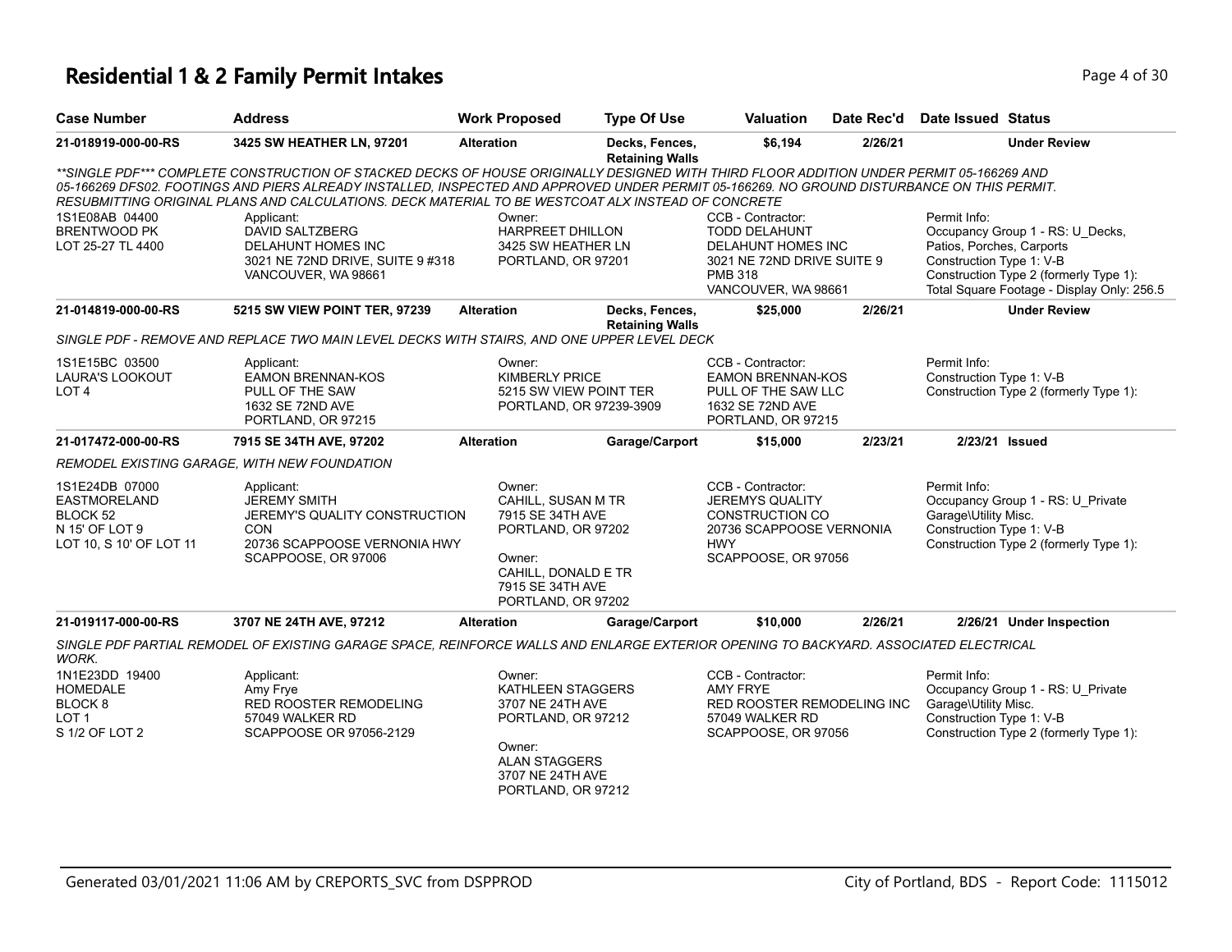### **Residential 1 & 2 Family Permit Intakes Page 1 of 30** Page 4 of 30

| <b>Case Number</b>                                                                             | <b>Address</b>                                                                                                                                                                                                                                                                                                                                                                                | <b>Work Proposed</b>                                                                                                                              | <b>Type Of Use</b>                       | <b>Valuation</b>                                                                                                                       | Date Rec'd | <b>Date Issued Status</b>                                             |                                                                                                                          |
|------------------------------------------------------------------------------------------------|-----------------------------------------------------------------------------------------------------------------------------------------------------------------------------------------------------------------------------------------------------------------------------------------------------------------------------------------------------------------------------------------------|---------------------------------------------------------------------------------------------------------------------------------------------------|------------------------------------------|----------------------------------------------------------------------------------------------------------------------------------------|------------|-----------------------------------------------------------------------|--------------------------------------------------------------------------------------------------------------------------|
| 21-018919-000-00-RS                                                                            | 3425 SW HEATHER LN, 97201                                                                                                                                                                                                                                                                                                                                                                     | <b>Alteration</b>                                                                                                                                 | Decks, Fences,<br><b>Retaining Walls</b> | \$6,194                                                                                                                                | 2/26/21    |                                                                       | <b>Under Review</b>                                                                                                      |
|                                                                                                | **SINGLE PDF*** COMPLETE CONSTRUCTION OF STACKED DECKS OF HOUSE ORIGINALLY DESIGNED WITH THIRD FLOOR ADDITION UNDER PERMIT 05-166269 AND<br>05-166269 DFS02. FOOTINGS AND PIERS ALREADY INSTALLED. INSPECTED AND APPROVED UNDER PERMIT 05-166269. NO GROUND DISTURBANCE ON THIS PERMIT.<br>RESUBMITTING ORIGINAL PLANS AND CALCULATIONS. DECK MATERIAL TO BE WESTCOAT ALX INSTEAD OF CONCRETE |                                                                                                                                                   |                                          |                                                                                                                                        |            |                                                                       |                                                                                                                          |
| 1S1E08AB 04400<br><b>BRENTWOOD PK</b><br>LOT 25-27 TL 4400                                     | Applicant:<br><b>DAVID SALTZBERG</b><br>DELAHUNT HOMES INC<br>3021 NE 72ND DRIVE, SUITE 9 #318<br>VANCOUVER, WA 98661                                                                                                                                                                                                                                                                         | Owner:<br><b>HARPREET DHILLON</b><br>3425 SW HEATHER LN<br>PORTLAND, OR 97201                                                                     |                                          | CCB - Contractor:<br><b>TODD DELAHUNT</b><br>DELAHUNT HOMES INC<br>3021 NE 72ND DRIVE SUITE 9<br><b>PMB 318</b><br>VANCOUVER, WA 98661 |            | Permit Info:<br>Patios, Porches, Carports<br>Construction Type 1: V-B | Occupancy Group 1 - RS: U Decks,<br>Construction Type 2 (formerly Type 1):<br>Total Square Footage - Display Only: 256.5 |
| 21-014819-000-00-RS                                                                            | 5215 SW VIEW POINT TER, 97239                                                                                                                                                                                                                                                                                                                                                                 | <b>Alteration</b>                                                                                                                                 | Decks, Fences,<br><b>Retaining Walls</b> | \$25,000                                                                                                                               | 2/26/21    |                                                                       | <b>Under Review</b>                                                                                                      |
|                                                                                                | SINGLE PDF - REMOVE AND REPLACE TWO MAIN LEVEL DECKS WITH STAIRS, AND ONE UPPER LEVEL DECK                                                                                                                                                                                                                                                                                                    |                                                                                                                                                   |                                          |                                                                                                                                        |            |                                                                       |                                                                                                                          |
| 1S1E15BC 03500<br><b>LAURA'S LOOKOUT</b><br>LOT 4                                              | Applicant:<br><b>EAMON BRENNAN-KOS</b><br>PULL OF THE SAW<br>1632 SE 72ND AVE<br>PORTLAND, OR 97215                                                                                                                                                                                                                                                                                           | Owner:<br><b>KIMBERLY PRICE</b><br>5215 SW VIEW POINT TER<br>PORTLAND, OR 97239-3909                                                              |                                          | CCB - Contractor:<br><b>EAMON BRENNAN-KOS</b><br>PULL OF THE SAW LLC<br>1632 SE 72ND AVE<br>PORTLAND, OR 97215                         |            | Permit Info:<br>Construction Type 1: V-B                              | Construction Type 2 (formerly Type 1):                                                                                   |
| 21-017472-000-00-RS                                                                            | 7915 SE 34TH AVE, 97202                                                                                                                                                                                                                                                                                                                                                                       | <b>Alteration</b>                                                                                                                                 | Garage/Carport                           | \$15,000                                                                                                                               | 2/23/21    |                                                                       | 2/23/21 Issued                                                                                                           |
|                                                                                                | REMODEL EXISTING GARAGE, WITH NEW FOUNDATION                                                                                                                                                                                                                                                                                                                                                  |                                                                                                                                                   |                                          |                                                                                                                                        |            |                                                                       |                                                                                                                          |
| 1S1E24DB 07000<br><b>EASTMORELAND</b><br>BLOCK 52<br>N 15' OF LOT 9<br>LOT 10, S 10' OF LOT 11 | Applicant:<br><b>JEREMY SMITH</b><br>JEREMY'S QUALITY CONSTRUCTION<br><b>CON</b><br>20736 SCAPPOOSE VERNONIA HWY<br>SCAPPOOSE, OR 97006                                                                                                                                                                                                                                                       | Owner:<br>CAHILL, SUSAN M TR<br>7915 SE 34TH AVE<br>PORTLAND, OR 97202<br>Owner:<br>CAHILL, DONALD E TR<br>7915 SE 34TH AVE<br>PORTLAND, OR 97202 |                                          | CCB - Contractor:<br><b>JEREMYS QUALITY</b><br>CONSTRUCTION CO<br>20736 SCAPPOOSE VERNONIA<br><b>HWY</b><br>SCAPPOOSE, OR 97056        |            | Permit Info:<br>Garage\Utility Misc.<br>Construction Type 1: V-B      | Occupancy Group 1 - RS: U_Private<br>Construction Type 2 (formerly Type 1):                                              |
| 21-019117-000-00-RS                                                                            | 3707 NE 24TH AVE, 97212                                                                                                                                                                                                                                                                                                                                                                       | <b>Alteration</b>                                                                                                                                 | Garage/Carport                           | \$10,000                                                                                                                               | 2/26/21    |                                                                       | 2/26/21 Under Inspection                                                                                                 |
| WORK.                                                                                          | SINGLE PDF PARTIAL REMODEL OF EXISTING GARAGE SPACE, REINFORCE WALLS AND ENLARGE EXTERIOR OPENING TO BACKYARD. ASSOCIATED ELECTRICAL                                                                                                                                                                                                                                                          |                                                                                                                                                   |                                          |                                                                                                                                        |            |                                                                       |                                                                                                                          |
| 1N1E23DD 19400<br>HOMEDALE<br>BLOCK <sub>8</sub><br>LOT <sub>1</sub><br>S 1/2 OF LOT 2         | Applicant:<br>Amy Frye<br>RED ROOSTER REMODELING<br>57049 WALKER RD<br>SCAPPOOSE OR 97056-2129                                                                                                                                                                                                                                                                                                | Owner:<br>KATHLEEN STAGGERS<br>3707 NE 24TH AVE<br>PORTLAND, OR 97212<br>Owner:<br><b>ALAN STAGGERS</b><br>3707 NE 24TH AVE<br>PORTLAND, OR 97212 |                                          | CCB - Contractor:<br><b>AMY FRYE</b><br>RED ROOSTER REMODELING INC<br>57049 WALKER RD<br>SCAPPOOSE, OR 97056                           |            | Permit Info:<br>Garage\Utility Misc.<br>Construction Type 1: V-B      | Occupancy Group 1 - RS: U_Private<br>Construction Type 2 (formerly Type 1):                                              |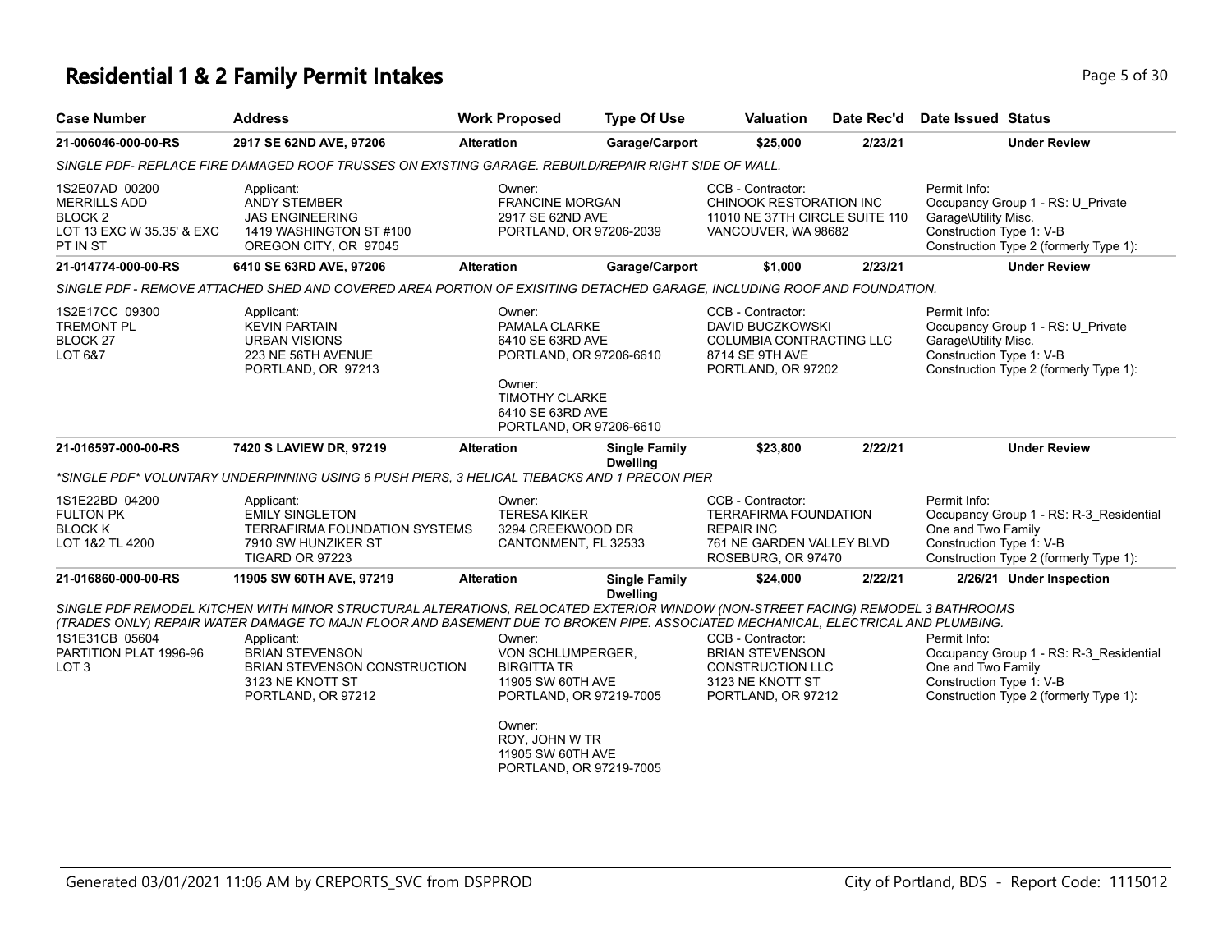#### **Residential 1 & 2 Family Permit Intakes Page 1 and 2 Family Permit Intakes Page 1 and 2 Family Permit Intakes**

LOT 1&2 TL 4200

| <b>Case Number</b>                                                                        | <b>Address</b>                                                                                           | <b>Work Proposed</b>                                 | <b>Type Of Use</b>      | <b>Valuation</b>                                                                                      | Date Rec'd | Date Issued Status                                                                                                                              |
|-------------------------------------------------------------------------------------------|----------------------------------------------------------------------------------------------------------|------------------------------------------------------|-------------------------|-------------------------------------------------------------------------------------------------------|------------|-------------------------------------------------------------------------------------------------------------------------------------------------|
| 21-006046-000-00-RS                                                                       | 2917 SE 62ND AVE, 97206                                                                                  | <b>Alteration</b>                                    | <b>Garage/Carport</b>   | \$25.000                                                                                              | 2/23/21    | <b>Under Review</b>                                                                                                                             |
|                                                                                           | SINGLE PDF- REPLACE FIRE DAMAGED ROOF TRUSSES ON EXISTING GARAGE. REBUILD/REPAIR RIGHT SIDE OF WALL.     |                                                      |                         |                                                                                                       |            |                                                                                                                                                 |
| 1S2E07AD 00200<br><b>MERRILLS ADD</b><br>BLOCK 2<br>LOT 13 EXC W 35.35' & EXC<br>PT IN ST | Applicant:<br><b>ANDY STEMBER</b><br>JAS ENGINEERING<br>1419 WASHINGTON ST #100<br>OREGON CITY, OR 97045 | Owner:<br><b>FRANCINE MORGAN</b><br>2917 SE 62ND AVE | PORTLAND, OR 97206-2039 | CCB - Contractor:<br>CHINOOK RESTORATION INC<br>11010 NE 37TH CIRCLE SUITE 110<br>VANCOUVER, WA 98682 |            | Permit Info:<br>Occupancy Group 1 - RS: U Private<br>Garage\Utility Misc.<br>Construction Type 1: V-B<br>Construction Type 2 (formerly Type 1): |
| 21-014774-000-00-RS                                                                       | 6410 SE 63RD AVE, 97206                                                                                  | <b>Alteration</b>                                    | <b>Garage/Carport</b>   | \$1,000                                                                                               | 2/23/21    | Under Review                                                                                                                                    |

*SINGLE PDF - REMOVE ATTACHED SHED AND COVERED AREA PORTION OF EXISITING DETACHED GARAGE, INCLUDING ROOF AND FOUNDATION.*

| 1S2E17CC 09300<br><b>TREMONT PL</b><br>BLOCK <sub>27</sub><br>LOT 6&7 | Applicant:<br><b>KEVIN PARTAIN</b><br>URBAN VISIONS<br>223 NE 56TH AVENUE<br>PORTLAND, OR 97213 | Owner:<br>PAMALA CLARKE<br>6410 SE 63RD AVE<br>PORTLAND, OR 97206-6610<br>Owner:<br><b>TIMOTHY CLARKE</b><br>6410 SE 63RD AVE<br>PORTLAND, OR 97206-6610 |                                         | CCB - Contractor:<br>DAVID BUCZKOWSKI<br>COLUMBIA CONTRACTING LLC<br>8714 SE 9TH AVE<br>PORTLAND, OR 97202 |         | Permit Info:<br>Occupancy Group 1 - RS: U Private<br>Garage\Utility Misc.<br>Construction Type 1: V-B<br>Construction Type 2 (formerly Type 1): |
|-----------------------------------------------------------------------|-------------------------------------------------------------------------------------------------|----------------------------------------------------------------------------------------------------------------------------------------------------------|-----------------------------------------|------------------------------------------------------------------------------------------------------------|---------|-------------------------------------------------------------------------------------------------------------------------------------------------|
| 21-016597-000-00-RS                                                   | 7420 S LAVIEW DR. 97219                                                                         | <b>Alteration</b>                                                                                                                                        | <b>Single Family</b><br><b>Dwelling</b> | \$23.800                                                                                                   | 2/22/21 | <b>Under Review</b>                                                                                                                             |
|                                                                       | *SINGLE PDF* VOLUNTARY UNDERPINNING USING 6 PUSH PIERS, 3 HELICAL TIEBACKS AND 1 PRECON PIER    |                                                                                                                                                          |                                         |                                                                                                            |         |                                                                                                                                                 |
| 1S1E22BD 04200<br><b>FULTON PK</b><br><b>BLOCK K</b>                  | Applicant:<br><b>EMILY SINGLETON</b><br>TERRAFIRMA FOUNDATION SYSTEMS                           | Owner:<br>TERESA KIKER<br>3294 CREEKWOOD DR                                                                                                              |                                         | CCB - Contractor:<br>TERRAFIRMA FOUNDATION<br><b>REPAIR INC</b>                                            |         | Permit Info:<br>Occupancy Group 1 - RS: R-3 Residential<br>One and Two Family                                                                   |

| TIGARD OR 97223                          |                                                                                                                                                                                                                                                                     |                                              |                                         | ROSEBURG, OR 97470                          |         | Construction Type 2 (formerly Type 1): |                                         |
|------------------------------------------|---------------------------------------------------------------------------------------------------------------------------------------------------------------------------------------------------------------------------------------------------------------------|----------------------------------------------|-----------------------------------------|---------------------------------------------|---------|----------------------------------------|-----------------------------------------|
| 21-016860-000-00-RS                      | 11905 SW 60TH AVE, 97219                                                                                                                                                                                                                                            | <b>Alteration</b>                            | <b>Single Family</b><br><b>Dwelling</b> | \$24.000                                    | 2/22/21 |                                        | 2/26/21 Under Inspection                |
|                                          | SINGLE PDF REMODEL KITCHEN WITH MINOR STRUCTURAL ALTERATIONS, RELOCATED EXTERIOR WINDOW (NON-STREET FACING) REMODEL 3 BATHROOMS<br>(TRADES ONLY) REPAIR WATER DAMAGE TO MAJN FLOOR AND BASEMENT DUE TO BROKEN PIPE. ASSOCIATED MECHANICAL, ELECTRICAL AND PLUMBING. |                                              |                                         |                                             |         |                                        |                                         |
| 1S1E31CB 05604<br>PARTITION PLAT 1996-96 | Applicant:<br><b>BRIAN STEVENSON</b>                                                                                                                                                                                                                                | Owner:<br>VON SCHLUMPERGER.                  |                                         | CCB - Contractor:<br><b>BRIAN STEVENSON</b> |         | Permit Info:                           | Occupancy Group 1 - RS: R-3 Residential |
| LOT <sub>3</sub>                         | <b>BRIAN STEVENSON CONSTRUCTION</b>                                                                                                                                                                                                                                 | <b>BIRGITTA TR</b>                           |                                         | <b>CONSTRUCTION LLC</b>                     |         | One and Two Family                     |                                         |
|                                          | 3123 NE KNOTT ST<br>PORTLAND, OR 97212                                                                                                                                                                                                                              | 11905 SW 60TH AVE<br>PORTLAND, OR 97219-7005 |                                         | 3123 NE KNOTT ST<br>PORTLAND, OR 97212      |         | Construction Type 1: V-B               | Construction Type 2 (formerly Type 1):  |

Owner: ROY, JOHN W TR 11905 SW 60TH AVE PORTLAND, OR 97219-7005

CANTONMENT, FL 32533

7910 SW HUNZIKER ST

Construction Type 1: V-B

761 NE GARDEN VALLEY BLVD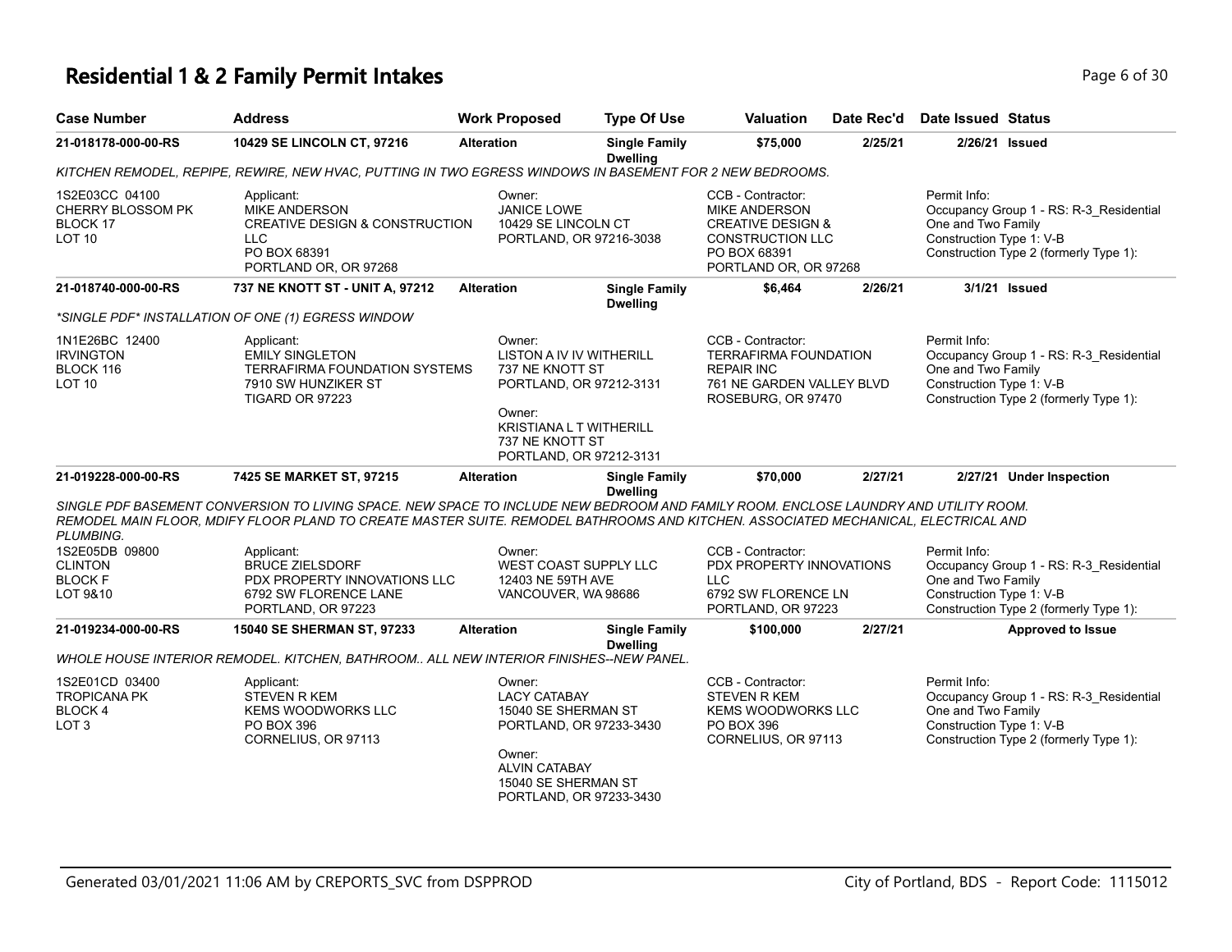## **Residential 1 & 2 Family Permit Intakes Page 1 and 2 and 2 and 2 and 2 and 2 and 2 and 2 and 2 and 2 and 2 and 2 and 2 and 2 and 2 and 2 and 2 and 2 and 2 and 2 and 2 and 2 and 2 and 2 and 2 and 2 and 2 and 2 and 2 and**

| <b>Case Number</b>                                                         | <b>Address</b>                                                                                                                                                                                                                                                            | <b>Work Proposed</b>                                                                                                                                                | <b>Type Of Use</b>                      | <b>Valuation</b>                                                                                                                       | Date Rec'd | <b>Date Issued Status</b>                                      |                                                                                   |
|----------------------------------------------------------------------------|---------------------------------------------------------------------------------------------------------------------------------------------------------------------------------------------------------------------------------------------------------------------------|---------------------------------------------------------------------------------------------------------------------------------------------------------------------|-----------------------------------------|----------------------------------------------------------------------------------------------------------------------------------------|------------|----------------------------------------------------------------|-----------------------------------------------------------------------------------|
| 21-018178-000-00-RS                                                        | 10429 SE LINCOLN CT, 97216                                                                                                                                                                                                                                                | <b>Alteration</b>                                                                                                                                                   | <b>Single Family</b><br><b>Dwelling</b> | \$75,000                                                                                                                               | 2/25/21    |                                                                | 2/26/21 Issued                                                                    |
|                                                                            | KITCHEN REMODEL, REPIPE, REWIRE, NEW HVAC, PUTTING IN TWO EGRESS WINDOWS IN BASEMENT FOR 2 NEW BEDROOMS.                                                                                                                                                                  |                                                                                                                                                                     |                                         |                                                                                                                                        |            |                                                                |                                                                                   |
| 1S2E03CC 04100<br>CHERRY BLOSSOM PK<br>BLOCK 17<br>LOT 10                  | Applicant:<br><b>MIKE ANDERSON</b><br>CREATIVE DESIGN & CONSTRUCTION<br><b>LLC</b><br>PO BOX 68391<br>PORTLAND OR, OR 97268                                                                                                                                               | Owner:<br>JANICE LOWE<br>10429 SE LINCOLN CT<br>PORTLAND, OR 97216-3038                                                                                             |                                         | CCB - Contractor:<br><b>MIKE ANDERSON</b><br><b>CREATIVE DESIGN &amp;</b><br>CONSTRUCTION LLC<br>PO BOX 68391<br>PORTLAND OR, OR 97268 |            | Permit Info:<br>One and Two Family<br>Construction Type 1: V-B | Occupancy Group 1 - RS: R-3 Residential<br>Construction Type 2 (formerly Type 1): |
| 21-018740-000-00-RS                                                        | 737 NE KNOTT ST - UNIT A, 97212                                                                                                                                                                                                                                           | <b>Alteration</b>                                                                                                                                                   | <b>Single Family</b><br><b>Dwelling</b> | \$6,464                                                                                                                                | 2/26/21    |                                                                | 3/1/21 Issued                                                                     |
|                                                                            | *SINGLE PDF* INSTALLATION OF ONE (1) EGRESS WINDOW                                                                                                                                                                                                                        |                                                                                                                                                                     |                                         |                                                                                                                                        |            |                                                                |                                                                                   |
| 1N1E26BC 12400<br><b>IRVINGTON</b><br>BLOCK 116<br>LOT 10                  | Applicant:<br><b>EMILY SINGLETON</b><br><b>TERRAFIRMA FOUNDATION SYSTEMS</b><br>7910 SW HUNZIKER ST<br>TIGARD OR 97223                                                                                                                                                    | Owner:<br>LISTON A IV IV WITHERILL<br>737 NE KNOTT ST<br>PORTLAND, OR 97212-3131<br>Owner:<br><b>KRISTIANA L T WITHERILL</b><br>737 NE KNOTT ST                     |                                         | CCB - Contractor:<br><b>TERRAFIRMA FOUNDATION</b><br><b>REPAIR INC</b><br>761 NE GARDEN VALLEY BLVD<br>ROSEBURG, OR 97470              |            | Permit Info:<br>One and Two Family<br>Construction Type 1: V-B | Occupancy Group 1 - RS: R-3_Residential<br>Construction Type 2 (formerly Type 1): |
|                                                                            |                                                                                                                                                                                                                                                                           | PORTLAND, OR 97212-3131                                                                                                                                             |                                         |                                                                                                                                        |            |                                                                |                                                                                   |
| 21-019228-000-00-RS                                                        | 7425 SE MARKET ST, 97215                                                                                                                                                                                                                                                  | <b>Alteration</b>                                                                                                                                                   | <b>Single Family</b><br><b>Dwelling</b> | \$70,000                                                                                                                               | 2/27/21    |                                                                | 2/27/21 Under Inspection                                                          |
| PLUMBING.                                                                  | SINGLE PDF BASEMENT CONVERSION TO LIVING SPACE. NEW SPACE TO INCLUDE NEW BEDROOM AND FAMILY ROOM. ENCLOSE LAUNDRY AND UTILITY ROOM.<br>REMODEL MAIN FLOOR, MDIFY FLOOR PLAND TO CREATE MASTER SUITE. REMODEL BATHROOMS AND KITCHEN. ASSOCIATED MECHANICAL, ELECTRICAL AND |                                                                                                                                                                     |                                         |                                                                                                                                        |            |                                                                |                                                                                   |
| 1S2E05DB 09800<br><b>CLINTON</b><br><b>BLOCK F</b><br>LOT 9&10             | Applicant:<br><b>BRUCE ZIELSDORF</b><br>PDX PROPERTY INNOVATIONS LLC<br>6792 SW FLORENCE LANE<br>PORTLAND, OR 97223                                                                                                                                                       | Owner:<br>WEST COAST SUPPLY LLC<br>12403 NE 59TH AVE<br>VANCOUVER, WA 98686                                                                                         |                                         | CCB - Contractor:<br>PDX PROPERTY INNOVATIONS<br><b>LLC</b><br>6792 SW FLORENCE LN<br>PORTLAND, OR 97223                               |            | Permit Info:<br>One and Two Family<br>Construction Type 1: V-B | Occupancy Group 1 - RS: R-3_Residential<br>Construction Type 2 (formerly Type 1): |
| 21-019234-000-00-RS                                                        | 15040 SE SHERMAN ST, 97233                                                                                                                                                                                                                                                | <b>Alteration</b>                                                                                                                                                   | <b>Single Family</b>                    | \$100,000                                                                                                                              | 2/27/21    |                                                                | <b>Approved to Issue</b>                                                          |
|                                                                            | WHOLE HOUSE INTERIOR REMODEL. KITCHEN, BATHROOM ALL NEW INTERIOR FINISHES--NEW PANEL.                                                                                                                                                                                     |                                                                                                                                                                     | <b>Dwelling</b>                         |                                                                                                                                        |            |                                                                |                                                                                   |
| 1S2E01CD 03400<br><b>TROPICANA PK</b><br><b>BLOCK4</b><br>LOT <sub>3</sub> | Applicant:<br><b>STEVEN R KEM</b><br><b>KEMS WOODWORKS LLC</b><br>PO BOX 396<br>CORNELIUS, OR 97113                                                                                                                                                                       | Owner:<br><b>LACY CATABAY</b><br>15040 SE SHERMAN ST<br>PORTLAND, OR 97233-3430<br>Owner:<br><b>ALVIN CATABAY</b><br>15040 SE SHERMAN ST<br>PORTLAND, OR 97233-3430 |                                         | CCB - Contractor:<br><b>STEVEN R KEM</b><br><b>KEMS WOODWORKS LLC</b><br>PO BOX 396<br>CORNELIUS, OR 97113                             |            | Permit Info:<br>One and Two Family<br>Construction Type 1: V-B | Occupancy Group 1 - RS: R-3 Residential<br>Construction Type 2 (formerly Type 1): |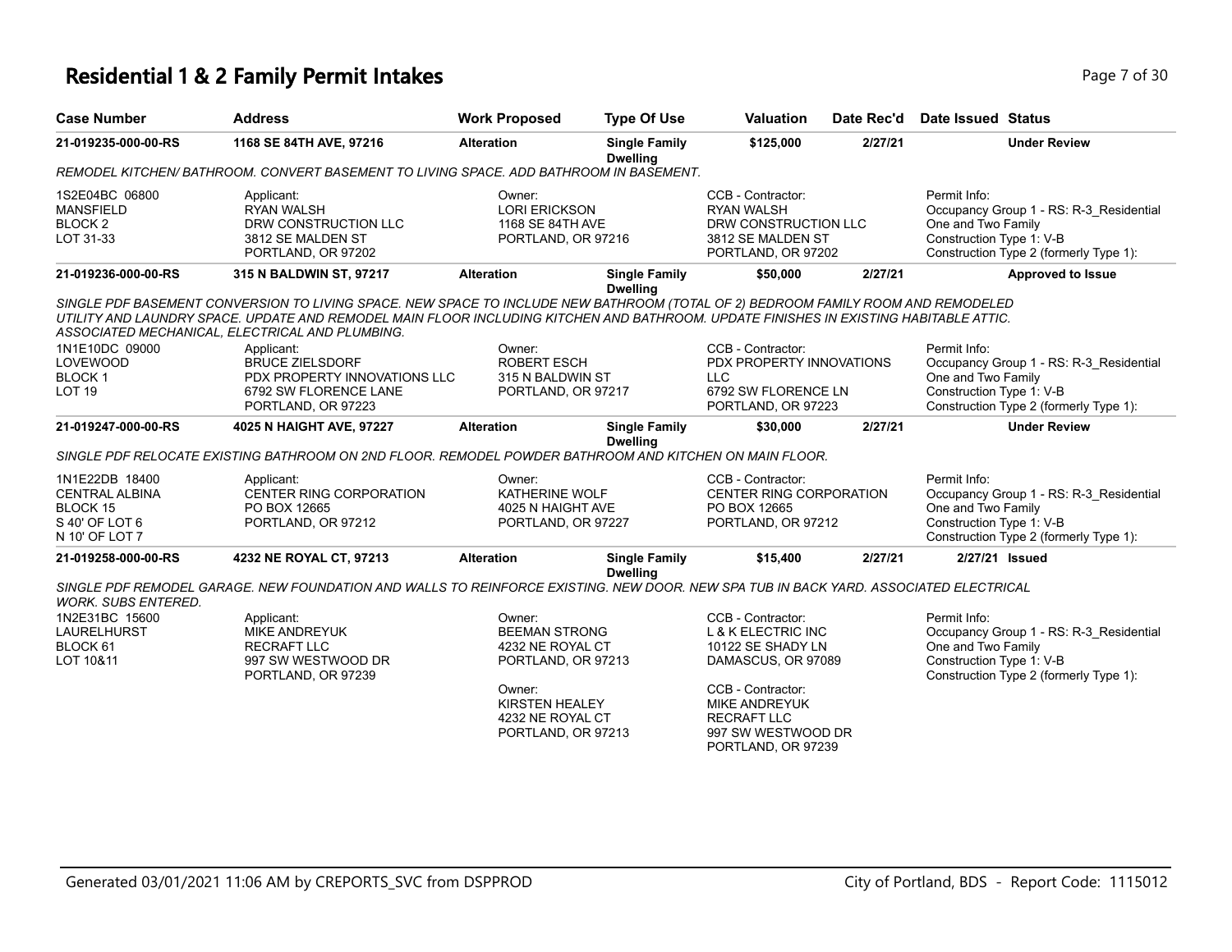## **Residential 1 & 2 Family Permit Intakes Page 7 of 30 Page 7 of 30**

| <b>Case Number</b>                                                                      | <b>Address</b>                                                                                                                                                                                                                                                                                                                                                                                                                                      | <b>Work Proposed</b>                                                                                                                                  | <b>Type Of Use</b>                      | <b>Valuation</b>                                                                                                                                                                                             | Date Rec'd | <b>Date Issued Status</b>                                                                                                                           |
|-----------------------------------------------------------------------------------------|-----------------------------------------------------------------------------------------------------------------------------------------------------------------------------------------------------------------------------------------------------------------------------------------------------------------------------------------------------------------------------------------------------------------------------------------------------|-------------------------------------------------------------------------------------------------------------------------------------------------------|-----------------------------------------|--------------------------------------------------------------------------------------------------------------------------------------------------------------------------------------------------------------|------------|-----------------------------------------------------------------------------------------------------------------------------------------------------|
| 21-019235-000-00-RS                                                                     | 1168 SE 84TH AVE, 97216                                                                                                                                                                                                                                                                                                                                                                                                                             | <b>Alteration</b>                                                                                                                                     | <b>Single Family</b><br><b>Dwelling</b> | \$125,000                                                                                                                                                                                                    | 2/27/21    | <b>Under Review</b>                                                                                                                                 |
|                                                                                         | REMODEL KITCHEN/BATHROOM. CONVERT BASEMENT TO LIVING SPACE. ADD BATHROOM IN BASEMENT.                                                                                                                                                                                                                                                                                                                                                               |                                                                                                                                                       |                                         |                                                                                                                                                                                                              |            |                                                                                                                                                     |
| 1S2E04BC 06800<br><b>MANSFIELD</b><br>BLOCK <sub>2</sub><br>LOT 31-33                   | Applicant:<br><b>RYAN WALSH</b><br>DRW CONSTRUCTION LLC<br>3812 SE MALDEN ST<br>PORTLAND, OR 97202                                                                                                                                                                                                                                                                                                                                                  | Owner:<br><b>LORI ERICKSON</b><br>1168 SE 84TH AVE<br>PORTLAND, OR 97216                                                                              |                                         | CCB - Contractor:<br><b>RYAN WALSH</b><br>DRW CONSTRUCTION LLC<br>3812 SE MALDEN ST<br>PORTLAND, OR 97202                                                                                                    |            | Permit Info:<br>Occupancy Group 1 - RS: R-3_Residential<br>One and Two Family<br>Construction Type 1: V-B<br>Construction Type 2 (formerly Type 1): |
| 21-019236-000-00-RS                                                                     | 315 N BALDWIN ST, 97217                                                                                                                                                                                                                                                                                                                                                                                                                             | <b>Alteration</b>                                                                                                                                     | <b>Single Family</b>                    | \$50,000                                                                                                                                                                                                     | 2/27/21    | <b>Approved to Issue</b>                                                                                                                            |
| 1N1E10DC 09000<br><b>LOVEWOOD</b><br><b>BLOCK1</b><br>LOT <sub>19</sub>                 | SINGLE PDF BASEMENT CONVERSION TO LIVING SPACE. NEW SPACE TO INCLUDE NEW BATHROOM (TOTAL OF 2) BEDROOM FAMILY ROOM AND REMODELED<br>UTILITY AND LAUNDRY SPACE. UPDATE AND REMODEL MAIN FLOOR INCLUDING KITCHEN AND BATHROOM. UPDATE FINISHES IN EXISTING HABITABLE ATTIC.<br>ASSOCIATED MECHANICAL, ELECTRICAL AND PLUMBING.<br>Applicant:<br><b>BRUCE ZIELSDORF</b><br>PDX PROPERTY INNOVATIONS LLC<br>6792 SW FLORENCE LANE<br>PORTLAND, OR 97223 | Owner:<br><b>ROBERT ESCH</b><br>315 N BALDWIN ST<br>PORTLAND, OR 97217                                                                                | <b>Dwelling</b>                         | CCB - Contractor:<br>PDX PROPERTY INNOVATIONS<br><b>LLC</b><br>6792 SW FLORENCE LN<br>PORTLAND, OR 97223                                                                                                     |            | Permit Info:<br>Occupancy Group 1 - RS: R-3_Residential<br>One and Two Family<br>Construction Type 1: V-B<br>Construction Type 2 (formerly Type 1): |
| 21-019247-000-00-RS                                                                     | 4025 N HAIGHT AVE, 97227                                                                                                                                                                                                                                                                                                                                                                                                                            | <b>Alteration</b>                                                                                                                                     | <b>Single Family</b><br><b>Dwelling</b> | \$30,000                                                                                                                                                                                                     | 2/27/21    | <b>Under Review</b>                                                                                                                                 |
|                                                                                         | SINGLE PDF RELOCATE EXISTING BATHROOM ON 2ND FLOOR. REMODEL POWDER BATHROOM AND KITCHEN ON MAIN FLOOR.                                                                                                                                                                                                                                                                                                                                              |                                                                                                                                                       |                                         |                                                                                                                                                                                                              |            |                                                                                                                                                     |
| 1N1E22DB 18400<br><b>CENTRAL ALBINA</b><br>BLOCK 15<br>S 40' OF LOT 6<br>N 10' OF LOT 7 | Applicant:<br>CENTER RING CORPORATION<br>PO BOX 12665<br>PORTLAND, OR 97212                                                                                                                                                                                                                                                                                                                                                                         | Owner:<br>KATHERINE WOLF<br>4025 N HAIGHT AVE<br>PORTLAND, OR 97227                                                                                   |                                         | CCB - Contractor:<br>CENTER RING CORPORATION<br>PO BOX 12665<br>PORTLAND, OR 97212                                                                                                                           |            | Permit Info:<br>Occupancy Group 1 - RS: R-3 Residential<br>One and Two Family<br>Construction Type 1: V-B<br>Construction Type 2 (formerly Type 1): |
| 21-019258-000-00-RS                                                                     | 4232 NE ROYAL CT, 97213                                                                                                                                                                                                                                                                                                                                                                                                                             | <b>Alteration</b>                                                                                                                                     | <b>Single Family</b><br><b>Dwelling</b> | \$15,400                                                                                                                                                                                                     | 2/27/21    | 2/27/21 Issued                                                                                                                                      |
| <b>WORK. SUBS ENTERED.</b>                                                              | SINGLE PDF REMODEL GARAGE. NEW FOUNDATION AND WALLS TO REINFORCE EXISTING. NEW DOOR. NEW SPA TUB IN BACK YARD. ASSOCIATED ELECTRICAL                                                                                                                                                                                                                                                                                                                |                                                                                                                                                       |                                         |                                                                                                                                                                                                              |            |                                                                                                                                                     |
| 1N2E31BC 15600<br>LAURELHURST<br>BLOCK 61<br>LOT 10&11                                  | Applicant:<br><b>MIKE ANDREYUK</b><br><b>RECRAFT LLC</b><br>997 SW WESTWOOD DR<br>PORTLAND, OR 97239                                                                                                                                                                                                                                                                                                                                                | Owner:<br><b>BEEMAN STRONG</b><br>4232 NE ROYAL CT<br>PORTLAND, OR 97213<br>Owner:<br><b>KIRSTEN HEALEY</b><br>4232 NE ROYAL CT<br>PORTLAND, OR 97213 |                                         | CCB - Contractor:<br><b>L &amp; K ELECTRIC INC</b><br>10122 SE SHADY LN<br>DAMASCUS, OR 97089<br>CCB - Contractor:<br><b>MIKE ANDREYUK</b><br><b>RECRAFT LLC</b><br>997 SW WESTWOOD DR<br>PORTLAND, OR 97239 |            | Permit Info:<br>Occupancy Group 1 - RS: R-3_Residential<br>One and Two Family<br>Construction Type 1: V-B<br>Construction Type 2 (formerly Type 1): |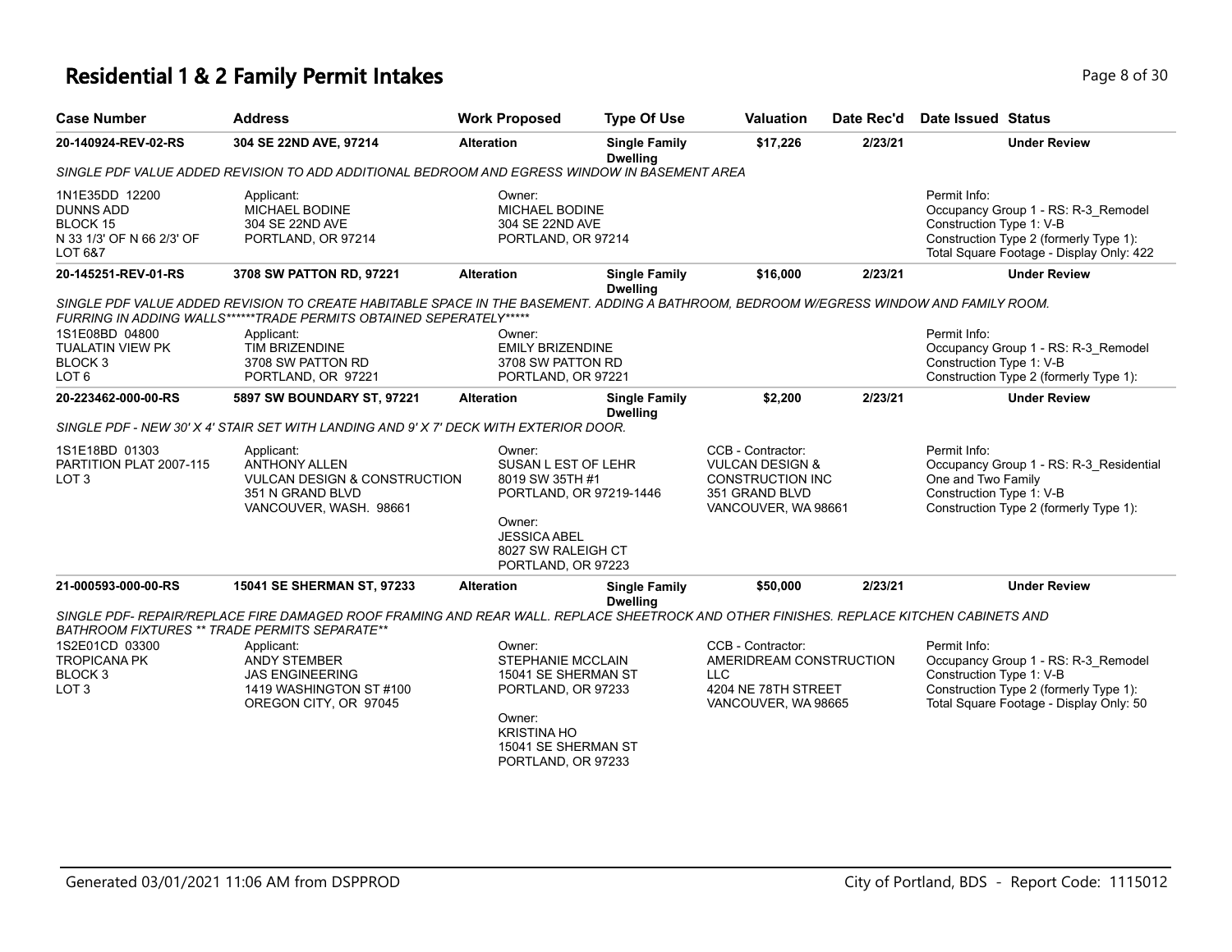# **Residential 1 & 2 Family Permit Intakes Page 1 and Security Page 8 of 30**

| <b>Case Number</b>                                                                                       | <b>Address</b>                                                                                                                                                                                                                                                                                             | <b>Work Proposed</b>                                                                                                                                         | <b>Type Of Use</b>                      | <b>Valuation</b>                                                                                                    | Date Rec'd | <b>Date Issued Status</b>                                                                                                                                             |
|----------------------------------------------------------------------------------------------------------|------------------------------------------------------------------------------------------------------------------------------------------------------------------------------------------------------------------------------------------------------------------------------------------------------------|--------------------------------------------------------------------------------------------------------------------------------------------------------------|-----------------------------------------|---------------------------------------------------------------------------------------------------------------------|------------|-----------------------------------------------------------------------------------------------------------------------------------------------------------------------|
| 20-140924-REV-02-RS                                                                                      | 304 SE 22ND AVE, 97214                                                                                                                                                                                                                                                                                     | <b>Alteration</b>                                                                                                                                            | <b>Single Family</b><br><b>Dwelling</b> | \$17,226                                                                                                            | 2/23/21    | <b>Under Review</b>                                                                                                                                                   |
|                                                                                                          | SINGLE PDF VALUE ADDED REVISION TO ADD ADDITIONAL BEDROOM AND EGRESS WINDOW IN BASEMENT AREA                                                                                                                                                                                                               |                                                                                                                                                              |                                         |                                                                                                                     |            |                                                                                                                                                                       |
| 1N1E35DD 12200<br><b>DUNNS ADD</b><br><b>BLOCK 15</b><br>N 33 1/3' OF N 66 2/3' OF<br><b>LOT 6&amp;7</b> | Applicant:<br>MICHAEL BODINE<br>304 SE 22ND AVE<br>PORTLAND, OR 97214                                                                                                                                                                                                                                      | Owner:<br>MICHAEL BODINE<br>304 SE 22ND AVE<br>PORTLAND, OR 97214                                                                                            |                                         |                                                                                                                     |            | Permit Info:<br>Occupancy Group 1 - RS: R-3_Remodel<br>Construction Type 1: V-B<br>Construction Type 2 (formerly Type 1):<br>Total Square Footage - Display Only: 422 |
| 20-145251-REV-01-RS                                                                                      | 3708 SW PATTON RD, 97221                                                                                                                                                                                                                                                                                   | <b>Alteration</b>                                                                                                                                            | <b>Single Family</b>                    | \$16,000                                                                                                            | 2/23/21    | <b>Under Review</b>                                                                                                                                                   |
| 1S1E08BD 04800<br>TUALATIN VIEW PK<br>BLOCK <sub>3</sub><br>LOT <sub>6</sub>                             | SINGLE PDF VALUE ADDED REVISION TO CREATE HABITABLE SPACE IN THE BASEMENT. ADDING A BATHROOM, BEDROOM W/EGRESS WINDOW AND FAMILY ROOM.<br>FURRING IN ADDING WALLS******TRADE PERMITS OBTAINED SEPERATELY*****<br>Applicant:<br><b>TIM BRIZENDINE</b><br>3708 SW PATTON RD<br>PORTLAND, OR 97221            | Owner:<br><b>EMILY BRIZENDINE</b><br>3708 SW PATTON RD<br>PORTLAND, OR 97221                                                                                 | <b>Dwelling</b>                         |                                                                                                                     |            | Permit Info:<br>Occupancy Group 1 - RS: R-3_Remodel<br>Construction Type 1: V-B<br>Construction Type 2 (formerly Type 1):                                             |
| 20-223462-000-00-RS                                                                                      | 5897 SW BOUNDARY ST, 97221                                                                                                                                                                                                                                                                                 | <b>Alteration</b>                                                                                                                                            | <b>Single Family</b>                    | \$2,200                                                                                                             | 2/23/21    | <b>Under Review</b>                                                                                                                                                   |
|                                                                                                          | SINGLE PDF - NEW 30' X 4' STAIR SET WITH LANDING AND 9' X 7' DECK WITH EXTERIOR DOOR.                                                                                                                                                                                                                      |                                                                                                                                                              | <b>Dwelling</b>                         |                                                                                                                     |            |                                                                                                                                                                       |
| 1S1E18BD 01303<br>PARTITION PLAT 2007-115<br>LOT <sub>3</sub>                                            | Applicant:<br><b>ANTHONY ALLEN</b><br><b>VULCAN DESIGN &amp; CONSTRUCTION</b><br>351 N GRAND BLVD<br>VANCOUVER, WASH. 98661                                                                                                                                                                                | Owner:<br>SUSAN L EST OF LEHR<br>8019 SW 35TH #1<br>PORTLAND, OR 97219-1446<br>Owner:<br><b>JESSICA ABEL</b><br>8027 SW RALEIGH CT<br>PORTLAND, OR 97223     |                                         | CCB - Contractor:<br><b>VULCAN DESIGN &amp;</b><br><b>CONSTRUCTION INC</b><br>351 GRAND BLVD<br>VANCOUVER, WA 98661 |            | Permit Info:<br>Occupancy Group 1 - RS: R-3_Residential<br>One and Two Family<br>Construction Type 1: V-B<br>Construction Type 2 (formerly Type 1):                   |
| 21-000593-000-00-RS                                                                                      | 15041 SE SHERMAN ST, 97233                                                                                                                                                                                                                                                                                 | <b>Alteration</b>                                                                                                                                            | <b>Single Family</b>                    | \$50,000                                                                                                            | 2/23/21    | <b>Under Review</b>                                                                                                                                                   |
| 1S2E01CD 03300<br><b>TROPICANA PK</b><br>BLOCK <sub>3</sub><br>LOT <sub>3</sub>                          | SINGLE PDF- REPAIR/REPLACE FIRE DAMAGED ROOF FRAMING AND REAR WALL. REPLACE SHEETROCK AND OTHER FINISHES. REPLACE KITCHEN CABINETS AND<br>BATHROOM FIXTURES ** TRADE PERMITS SEPARATE**<br>Applicant:<br><b>ANDY STEMBER</b><br><b>JAS ENGINEERING</b><br>1419 WASHINGTON ST #100<br>OREGON CITY, OR 97045 | Owner:<br><b>STEPHANIE MCCLAIN</b><br>15041 SE SHERMAN ST<br>PORTLAND, OR 97233<br>Owner:<br><b>KRISTINA HO</b><br>15041 SE SHERMAN ST<br>PORTLAND, OR 97233 | <b>Dwelling</b>                         | CCB - Contractor:<br>AMERIDREAM CONSTRUCTION<br><b>LLC</b><br>4204 NE 78TH STREET<br>VANCOUVER, WA 98665            |            | Permit Info:<br>Occupancy Group 1 - RS: R-3_Remodel<br>Construction Type 1: V-B<br>Construction Type 2 (formerly Type 1):<br>Total Square Footage - Display Only: 50  |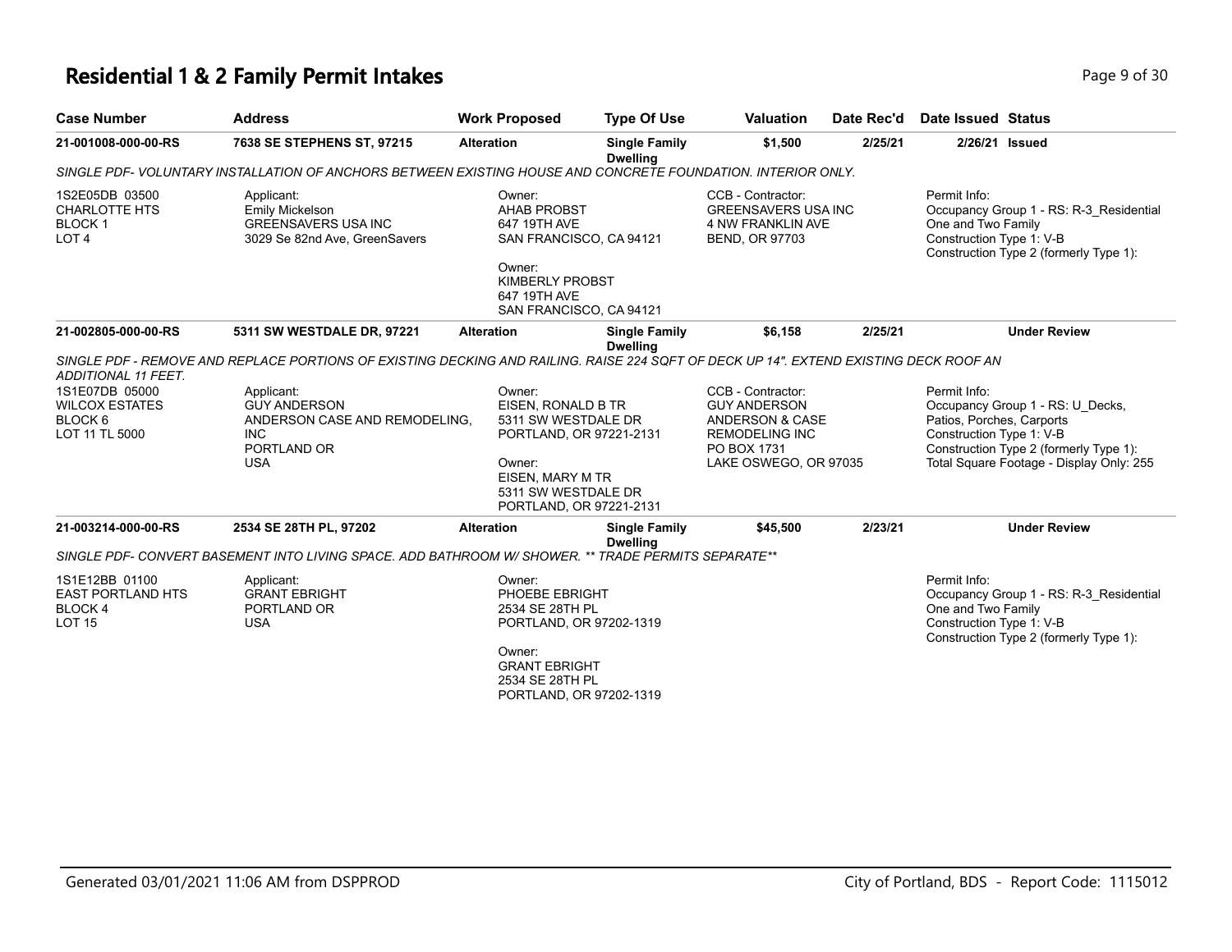# **Residential 1 & 2 Family Permit Intakes Page 1 and Security Page 9 of 30**

| <b>Case Number</b>                                                                                            | <b>Address</b>                                                                                                                                                                                                                           | <b>Work Proposed</b>                                                           | <b>Type Of Use</b>                      | <b>Valuation</b>                                                                              | Date Rec'd | <b>Date Issued Status</b>                                                                                                                           |
|---------------------------------------------------------------------------------------------------------------|------------------------------------------------------------------------------------------------------------------------------------------------------------------------------------------------------------------------------------------|--------------------------------------------------------------------------------|-----------------------------------------|-----------------------------------------------------------------------------------------------|------------|-----------------------------------------------------------------------------------------------------------------------------------------------------|
| 21-001008-000-00-RS                                                                                           | 7638 SE STEPHENS ST, 97215                                                                                                                                                                                                               | <b>Alteration</b>                                                              | <b>Single Family</b><br><b>Dwelling</b> | \$1,500                                                                                       | 2/25/21    | 2/26/21 Issued                                                                                                                                      |
|                                                                                                               | SINGLE PDF- VOLUNTARY INSTALLATION OF ANCHORS BETWEEN EXISTING HOUSE AND CONCRETE FOUNDATION. INTERIOR ONLY.                                                                                                                             |                                                                                |                                         |                                                                                               |            |                                                                                                                                                     |
| 1S2E05DB 03500<br><b>CHARLOTTE HTS</b><br>BLOCK <sub>1</sub><br>LOT <sub>4</sub>                              | Applicant:<br>Emily Mickelson<br><b>GREENSAVERS USA INC</b><br>3029 Se 82nd Ave, GreenSavers                                                                                                                                             | Owner:<br><b>AHAB PROBST</b><br>647 19TH AVE<br>SAN FRANCISCO, CA 94121        |                                         | CCB - Contractor:<br><b>GREENSAVERS USA INC</b><br>4 NW FRANKLIN AVE<br><b>BEND, OR 97703</b> |            | Permit Info:<br>Occupancy Group 1 - RS: R-3 Residential<br>One and Two Family<br>Construction Type 1: V-B<br>Construction Type 2 (formerly Type 1): |
|                                                                                                               |                                                                                                                                                                                                                                          | Owner:<br><b>KIMBERLY PROBST</b><br>647 19TH AVE<br>SAN FRANCISCO, CA 94121    |                                         |                                                                                               |            |                                                                                                                                                     |
| 21-002805-000-00-RS                                                                                           | 5311 SW WESTDALE DR, 97221                                                                                                                                                                                                               | <b>Alteration</b>                                                              | <b>Single Family</b><br><b>Dwelling</b> | \$6,158                                                                                       | 2/25/21    | <b>Under Review</b>                                                                                                                                 |
| <b>ADDITIONAL 11 FEET.</b><br>1S1E07DB 05000<br><b>WILCOX ESTATES</b><br>BLOCK <sub>6</sub><br>LOT 11 TL 5000 | SINGLE PDF - REMOVE AND REPLACE PORTIONS OF EXISTING DECKING AND RAILING. RAISE 224 SQFT OF DECK UP 14". EXTEND EXISTING DECK ROOF AN<br>Applicant:<br><b>GUY ANDERSON</b><br>ANDERSON CASE AND REMODELING.<br><b>INC</b><br>PORTLAND OR | Owner:<br>EISEN. RONALD B TR<br>5311 SW WESTDALE DR<br>PORTLAND, OR 97221-2131 |                                         | CCB - Contractor:<br><b>GUY ANDERSON</b><br>ANDERSON & CASE<br>REMODELING INC<br>PO BOX 1731  |            | Permit Info:<br>Occupancy Group 1 - RS: U_Decks,<br>Patios, Porches, Carports<br>Construction Type 1: V-B<br>Construction Type 2 (formerly Type 1): |
|                                                                                                               | <b>USA</b>                                                                                                                                                                                                                               | Owner:<br>EISEN, MARY M TR<br>5311 SW WESTDALE DR<br>PORTLAND, OR 97221-2131   |                                         | LAKE OSWEGO, OR 97035                                                                         |            | Total Square Footage - Display Only: 255                                                                                                            |
| 21-003214-000-00-RS                                                                                           | 2534 SE 28TH PL, 97202                                                                                                                                                                                                                   | <b>Alteration</b>                                                              | <b>Single Family</b>                    | \$45,500                                                                                      | 2/23/21    | <b>Under Review</b>                                                                                                                                 |
|                                                                                                               | SINGLE PDF- CONVERT BASEMENT INTO LIVING SPACE. ADD BATHROOM W/SHOWER. ** TRADE PERMITS SEPARATE**                                                                                                                                       |                                                                                | <b>Dwelling</b>                         |                                                                                               |            |                                                                                                                                                     |
| 1S1E12BB 01100<br><b>EAST PORTLAND HTS</b><br>BLOCK 4<br><b>LOT 15</b>                                        | Applicant:<br><b>GRANT EBRIGHT</b><br>PORTLAND OR<br><b>USA</b>                                                                                                                                                                          | Owner:<br>PHOEBE EBRIGHT<br>2534 SE 28TH PL<br>PORTLAND, OR 97202-1319         |                                         |                                                                                               |            | Permit Info:<br>Occupancy Group 1 - RS: R-3 Residential<br>One and Two Family<br>Construction Type 1: V-B<br>Construction Type 2 (formerly Type 1): |
|                                                                                                               |                                                                                                                                                                                                                                          | Owner:<br><b>GRANT EBRIGHT</b><br>2534 SE 28TH PL<br>PORTLAND, OR 97202-1319   |                                         |                                                                                               |            |                                                                                                                                                     |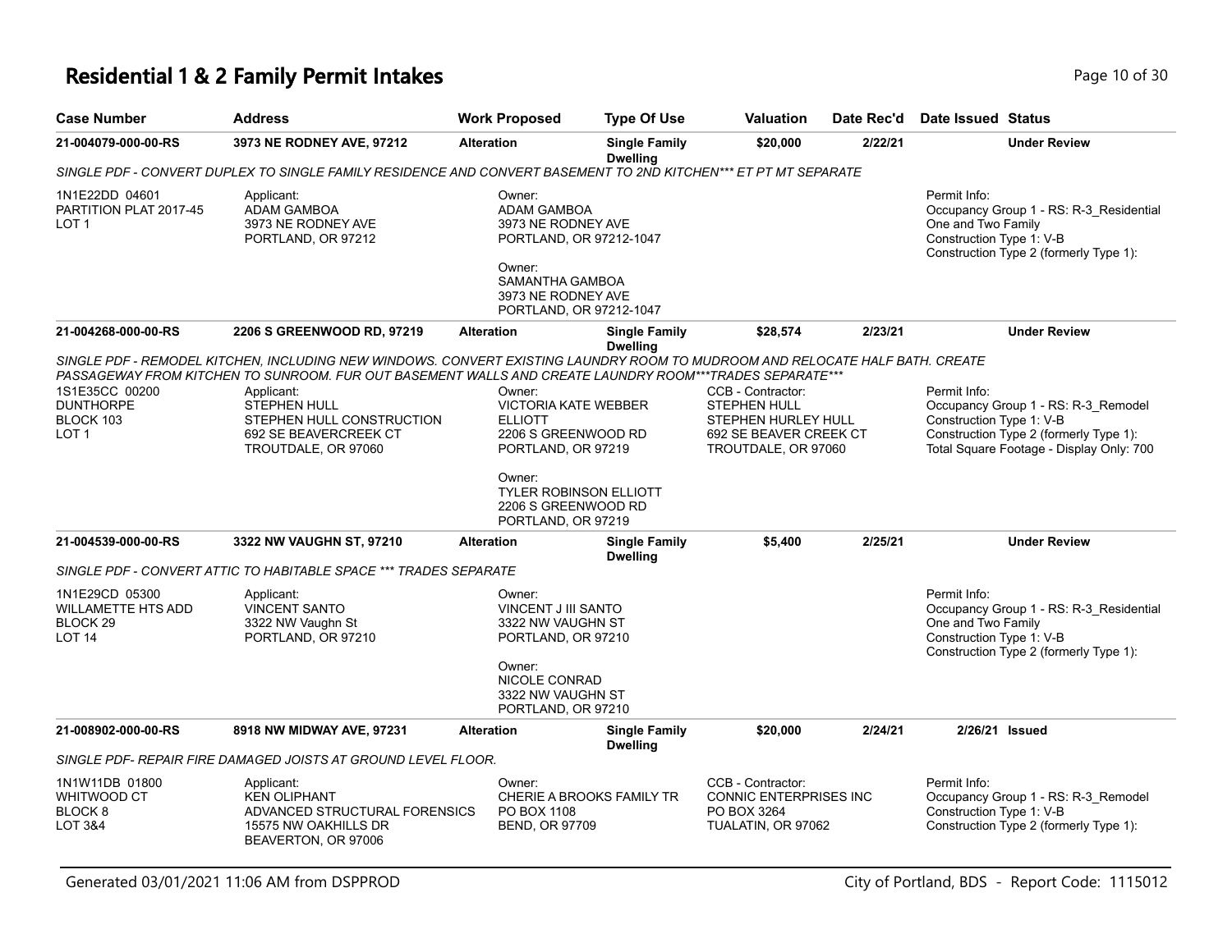# **Residential 1 & 2 Family Permit Intakes Page 10 of 30** Page 10 of 30

| <b>Case Number</b>                                                                      | <b>Address</b>                                                                                                                                                                                                                          | <b>Work Proposed</b>                                                                                                                           | <b>Type Of Use</b>                                 | <b>Valuation</b>                                                                                                 | Date Rec'd | Date Issued Status                                                                                                                                                    |
|-----------------------------------------------------------------------------------------|-----------------------------------------------------------------------------------------------------------------------------------------------------------------------------------------------------------------------------------------|------------------------------------------------------------------------------------------------------------------------------------------------|----------------------------------------------------|------------------------------------------------------------------------------------------------------------------|------------|-----------------------------------------------------------------------------------------------------------------------------------------------------------------------|
| 21-004079-000-00-RS                                                                     | 3973 NE RODNEY AVE, 97212                                                                                                                                                                                                               | <b>Alteration</b>                                                                                                                              | <b>Single Family</b><br><b>Dwelling</b>            | \$20,000                                                                                                         | 2/22/21    | <b>Under Review</b>                                                                                                                                                   |
|                                                                                         | SINGLE PDF - CONVERT DUPLEX TO SINGLE FAMILY RESIDENCE AND CONVERT BASEMENT TO 2ND KITCHEN*** ET PT MT SEPARATE                                                                                                                         |                                                                                                                                                |                                                    |                                                                                                                  |            |                                                                                                                                                                       |
| 1N1E22DD 04601<br>PARTITION PLAT 2017-45<br>LOT <sub>1</sub>                            | Applicant:<br><b>ADAM GAMBOA</b><br>3973 NE RODNEY AVE<br>PORTLAND, OR 97212                                                                                                                                                            | Owner:<br><b>ADAM GAMBOA</b><br>3973 NE RODNEY AVE<br>Owner:<br>SAMANTHA GAMBOA<br>3973 NE RODNEY AVE                                          | PORTLAND, OR 97212-1047<br>PORTLAND, OR 97212-1047 |                                                                                                                  |            | Permit Info:<br>Occupancy Group 1 - RS: R-3_Residential<br>One and Two Family<br>Construction Type 1: V-B<br>Construction Type 2 (formerly Type 1):                   |
| 21-004268-000-00-RS                                                                     | 2206 S GREENWOOD RD, 97219                                                                                                                                                                                                              | <b>Alteration</b>                                                                                                                              | <b>Single Family</b><br><b>Dwelling</b>            | \$28,574                                                                                                         | 2/23/21    | <b>Under Review</b>                                                                                                                                                   |
|                                                                                         | SINGLE PDF - REMODEL KITCHEN. INCLUDING NEW WINDOWS. CONVERT EXISTING LAUNDRY ROOM TO MUDROOM AND RELOCATE HALF BATH. CREATE<br>PASSAGEWAY FROM KITCHEN TO SUNROOM. FUR OUT BASEMENT WALLS AND CREATE LAUNDRY ROOM***TRADES SEPARATE*** |                                                                                                                                                |                                                    |                                                                                                                  |            |                                                                                                                                                                       |
| 1S1E35CC 00200<br><b>DUNTHORPE</b><br>BLOCK 103<br>LOT <sub>1</sub>                     | Applicant:<br><b>STEPHEN HULL</b><br>STEPHEN HULL CONSTRUCTION<br>692 SE BEAVERCREEK CT<br>TROUTDALE, OR 97060                                                                                                                          | Owner:<br><b>VICTORIA KATE WEBBER</b><br><b>ELLIOTT</b><br>2206 S GREENWOOD RD<br>PORTLAND, OR 97219                                           |                                                    | CCB - Contractor:<br><b>STEPHEN HULL</b><br>STEPHEN HURLEY HULL<br>692 SE BEAVER CREEK CT<br>TROUTDALE, OR 97060 |            | Permit Info:<br>Occupancy Group 1 - RS: R-3_Remodel<br>Construction Type 1: V-B<br>Construction Type 2 (formerly Type 1):<br>Total Square Footage - Display Only: 700 |
|                                                                                         |                                                                                                                                                                                                                                         | Owner:<br>2206 S GREENWOOD RD<br>PORTLAND, OR 97219                                                                                            | <b>TYLER ROBINSON ELLIOTT</b>                      |                                                                                                                  |            |                                                                                                                                                                       |
| 21-004539-000-00-RS                                                                     | 3322 NW VAUGHN ST, 97210                                                                                                                                                                                                                | <b>Alteration</b>                                                                                                                              | <b>Single Family</b><br><b>Dwelling</b>            | \$5,400                                                                                                          | 2/25/21    | <b>Under Review</b>                                                                                                                                                   |
|                                                                                         | SINGLE PDF - CONVERT ATTIC TO HABITABLE SPACE *** TRADES SEPARATE                                                                                                                                                                       |                                                                                                                                                |                                                    |                                                                                                                  |            |                                                                                                                                                                       |
| 1N1E29CD 05300<br><b>WILLAMETTE HTS ADD</b><br>BLOCK <sub>29</sub><br>LOT <sub>14</sub> | Applicant:<br><b>VINCENT SANTO</b><br>3322 NW Vaughn St<br>PORTLAND, OR 97210                                                                                                                                                           | Owner:<br>VINCENT J III SANTO<br>3322 NW VAUGHN ST<br>PORTLAND, OR 97210<br>Owner:<br>NICOLE CONRAD<br>3322 NW VAUGHN ST<br>PORTLAND, OR 97210 |                                                    |                                                                                                                  |            | Permit Info:<br>Occupancy Group 1 - RS: R-3_Residential<br>One and Two Family<br>Construction Type 1: V-B<br>Construction Type 2 (formerly Type 1):                   |
| 21-008902-000-00-RS                                                                     | 8918 NW MIDWAY AVE, 97231                                                                                                                                                                                                               | <b>Alteration</b>                                                                                                                              | <b>Single Family</b><br><b>Dwelling</b>            | \$20,000                                                                                                         | 2/24/21    | 2/26/21 Issued                                                                                                                                                        |
|                                                                                         | SINGLE PDF- REPAIR FIRE DAMAGED JOISTS AT GROUND LEVEL FLOOR.                                                                                                                                                                           |                                                                                                                                                |                                                    |                                                                                                                  |            |                                                                                                                                                                       |
| 1N1W11DB 01800<br><b>WHITWOOD CT</b><br>BLOCK <sub>8</sub><br><b>LOT 3&amp;4</b>        | Applicant:<br><b>KEN OLIPHANT</b><br>ADVANCED STRUCTURAL FORENSICS<br>15575 NW OAKHILLS DR<br>BEAVERTON, OR 97006                                                                                                                       | Owner:<br>PO BOX 1108<br><b>BEND, OR 97709</b>                                                                                                 | CHERIE A BROOKS FAMILY TR                          | CCB - Contractor:<br>CONNIC ENTERPRISES INC<br>PO BOX 3264<br>TUALATIN, OR 97062                                 |            | Permit Info:<br>Occupancy Group 1 - RS: R-3_Remodel<br>Construction Type 1: V-B<br>Construction Type 2 (formerly Type 1):                                             |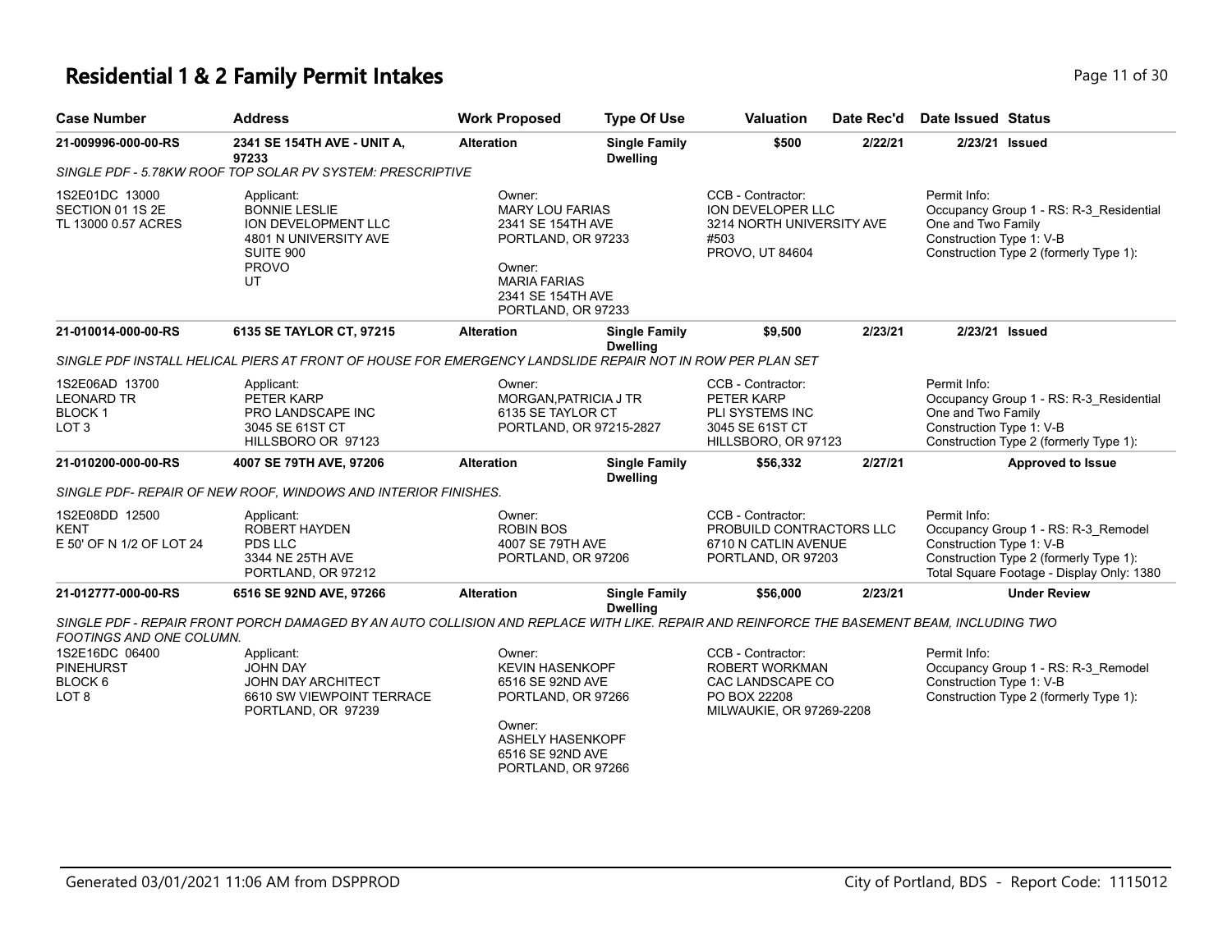## **Residential 1 & 2 Family Permit Intakes Page 11 of 30 Page 11 of 30**

| <b>Case Number</b>                                                       | <b>Address</b>                                                                                                                            | <b>Work Proposed</b>                                                                                                                                      | <b>Type Of Use</b>                      | <b>Valuation</b>                                                                                    | Date Rec'd | <b>Date Issued Status</b>                                                                                                                                              |
|--------------------------------------------------------------------------|-------------------------------------------------------------------------------------------------------------------------------------------|-----------------------------------------------------------------------------------------------------------------------------------------------------------|-----------------------------------------|-----------------------------------------------------------------------------------------------------|------------|------------------------------------------------------------------------------------------------------------------------------------------------------------------------|
| 21-009996-000-00-RS                                                      | 2341 SE 154TH AVE - UNIT A,<br>97233                                                                                                      | <b>Alteration</b>                                                                                                                                         | <b>Single Family</b><br><b>Dwelling</b> | \$500                                                                                               | 2/22/21    | 2/23/21 Issued                                                                                                                                                         |
|                                                                          | SINGLE PDF - 5.78KW ROOF TOP SOLAR PV SYSTEM: PRESCRIPTIVE                                                                                |                                                                                                                                                           |                                         |                                                                                                     |            |                                                                                                                                                                        |
| 1S2E01DC 13000<br>SECTION 01 1S 2E<br>TL 13000 0.57 ACRES                | Applicant:<br><b>BONNIE LESLIE</b><br>ION DEVELOPMENT LLC<br>4801 N UNIVERSITY AVE<br>SUITE 900<br><b>PROVO</b><br>UT                     | Owner:<br><b>MARY LOU FARIAS</b><br>2341 SE 154TH AVE<br>PORTLAND, OR 97233<br>Owner:<br><b>MARIA FARIAS</b><br>2341 SE 154TH AVE<br>PORTLAND, OR 97233   |                                         | CCB - Contractor:<br>ION DEVELOPER LLC<br>3214 NORTH UNIVERSITY AVE<br>#503<br>PROVO, UT 84604      |            | Permit Info:<br>Occupancy Group 1 - RS: R-3_Residential<br>One and Two Family<br>Construction Type 1: V-B<br>Construction Type 2 (formerly Type 1):                    |
| 21-010014-000-00-RS                                                      | 6135 SE TAYLOR CT, 97215                                                                                                                  | <b>Alteration</b>                                                                                                                                         | <b>Single Family</b><br><b>Dwelling</b> | \$9,500                                                                                             | 2/23/21    | 2/23/21 Issued                                                                                                                                                         |
|                                                                          | SINGLE PDF INSTALL HELICAL PIERS AT FRONT OF HOUSE FOR EMERGENCY LANDSLIDE REPAIR NOT IN ROW PER PLAN SET                                 |                                                                                                                                                           |                                         |                                                                                                     |            |                                                                                                                                                                        |
| 1S2E06AD 13700<br><b>LEONARD TR</b><br><b>BLOCK1</b><br>LOT <sub>3</sub> | Applicant:<br>PETER KARP<br><b>PRO LANDSCAPE INC</b><br>3045 SE 61ST CT<br>HILLSBORO OR 97123                                             | Owner:<br>MORGAN, PATRICIA J TR<br>6135 SE TAYLOR CT                                                                                                      | PORTLAND, OR 97215-2827                 | CCB - Contractor:<br>PETER KARP<br>PLI SYSTEMS INC<br>3045 SE 61ST CT<br>HILLSBORO, OR 97123        |            | Permit Info:<br>Occupancy Group 1 - RS: R-3_Residential<br>One and Two Family<br>Construction Type 1: V-B<br>Construction Type 2 (formerly Type 1):                    |
| 21-010200-000-00-RS                                                      | 4007 SE 79TH AVE, 97206                                                                                                                   | <b>Alteration</b>                                                                                                                                         | <b>Single Family</b><br><b>Dwelling</b> | \$56,332                                                                                            | 2/27/21    | <b>Approved to Issue</b>                                                                                                                                               |
|                                                                          | SINGLE PDF- REPAIR OF NEW ROOF, WINDOWS AND INTERIOR FINISHES.                                                                            |                                                                                                                                                           |                                         |                                                                                                     |            |                                                                                                                                                                        |
| 1S2E08DD 12500<br><b>KENT</b><br>E 50' OF N 1/2 OF LOT 24                | Applicant:<br><b>ROBERT HAYDEN</b><br><b>PDS LLC</b><br>3344 NE 25TH AVE<br>PORTLAND, OR 97212                                            | Owner:<br><b>ROBIN BOS</b><br>4007 SE 79TH AVE<br>PORTLAND, OR 97206                                                                                      |                                         | CCB - Contractor:<br>PROBUILD CONTRACTORS LLC<br>6710 N CATLIN AVENUE<br>PORTLAND, OR 97203         |            | Permit Info:<br>Occupancy Group 1 - RS: R-3_Remodel<br>Construction Type 1: V-B<br>Construction Type 2 (formerly Type 1):<br>Total Square Footage - Display Only: 1380 |
| 21-012777-000-00-RS                                                      | 6516 SE 92ND AVE, 97266                                                                                                                   | <b>Alteration</b>                                                                                                                                         | <b>Single Family</b>                    | \$56,000                                                                                            | 2/23/21    | <b>Under Review</b>                                                                                                                                                    |
| FOOTINGS AND ONE COLUMN.                                                 | SINGLE PDF - REPAIR FRONT PORCH DAMAGED BY AN AUTO COLLISION AND REPLACE WITH LIKE. REPAIR AND REINFORCE THE BASEMENT BEAM, INCLUDING TWO |                                                                                                                                                           | <b>Dwelling</b>                         |                                                                                                     |            |                                                                                                                                                                        |
| 1S2E16DC 06400<br><b>PINEHURST</b><br>BLOCK 6<br>LOT <sub>8</sub>        | Applicant:<br><b>JOHN DAY</b><br><b>JOHN DAY ARCHITECT</b><br>6610 SW VIEWPOINT TERRACE<br>PORTLAND, OR 97239                             | Owner:<br><b>KEVIN HASENKOPF</b><br>6516 SE 92ND AVE<br>PORTLAND, OR 97266<br>Owner:<br><b>ASHELY HASENKOPF</b><br>6516 SE 92ND AVE<br>PORTLAND, OR 97266 |                                         | CCB - Contractor:<br>ROBERT WORKMAN<br>CAC LANDSCAPE CO<br>PO BOX 22208<br>MILWAUKIE, OR 97269-2208 |            | Permit Info:<br>Occupancy Group 1 - RS: R-3_Remodel<br>Construction Type 1: V-B<br>Construction Type 2 (formerly Type 1):                                              |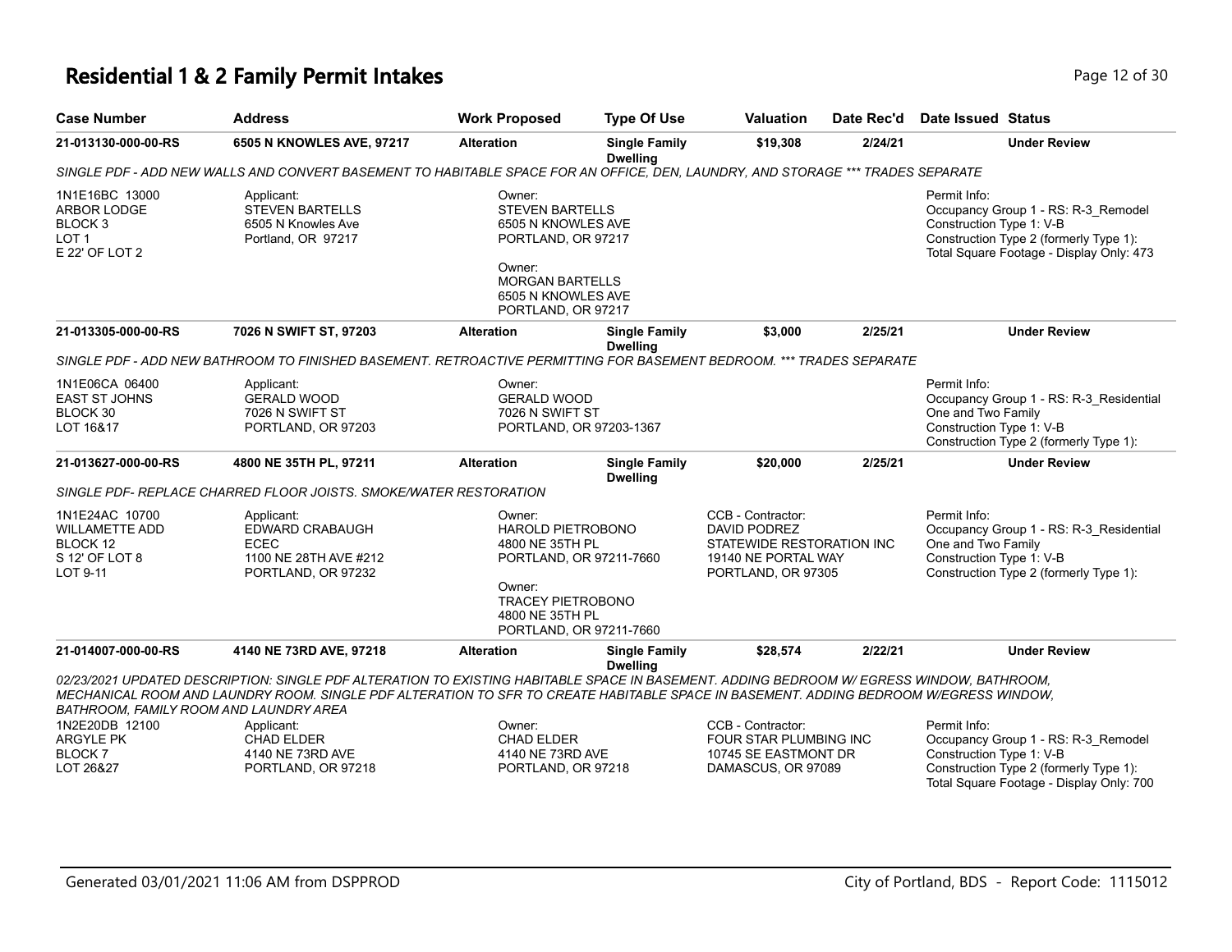# **Residential 1 & 2 Family Permit Intakes Page 12 of 30** Page 12 of 30

| <b>Case Number</b>                                                                                                              | <b>Address</b>                                                                                                                                                                                                                                                                     | <b>Work Proposed</b>                                                                                                                                                 | <b>Type Of Use</b>                      | <b>Valuation</b>                                                                                                   | Date Rec'd | <b>Date Issued Status</b>                                                                                                                                             |  |  |  |
|---------------------------------------------------------------------------------------------------------------------------------|------------------------------------------------------------------------------------------------------------------------------------------------------------------------------------------------------------------------------------------------------------------------------------|----------------------------------------------------------------------------------------------------------------------------------------------------------------------|-----------------------------------------|--------------------------------------------------------------------------------------------------------------------|------------|-----------------------------------------------------------------------------------------------------------------------------------------------------------------------|--|--|--|
| 21-013130-000-00-RS                                                                                                             | 6505 N KNOWLES AVE, 97217                                                                                                                                                                                                                                                          | <b>Alteration</b>                                                                                                                                                    | <b>Single Family</b><br><b>Dwelling</b> | \$19,308                                                                                                           | 2/24/21    | <b>Under Review</b>                                                                                                                                                   |  |  |  |
| SINGLE PDF - ADD NEW WALLS AND CONVERT BASEMENT TO HABITABLE SPACE FOR AN OFFICE, DEN, LAUNDRY, AND STORAGE *** TRADES SEPARATE |                                                                                                                                                                                                                                                                                    |                                                                                                                                                                      |                                         |                                                                                                                    |            |                                                                                                                                                                       |  |  |  |
| 1N1E16BC 13000<br>ARBOR LODGE<br>BLOCK <sub>3</sub><br>LOT <sub>1</sub><br>E 22' OF LOT 2                                       | Applicant:<br><b>STEVEN BARTELLS</b><br>6505 N Knowles Ave<br>Portland, OR 97217                                                                                                                                                                                                   | Owner:<br><b>STEVEN BARTELLS</b><br>6505 N KNOWLES AVE<br>PORTLAND, OR 97217<br>Owner:<br><b>MORGAN BARTELLS</b><br>6505 N KNOWLES AVE<br>PORTLAND, OR 97217         |                                         |                                                                                                                    |            | Permit Info:<br>Occupancy Group 1 - RS: R-3_Remodel<br>Construction Type 1: V-B<br>Construction Type 2 (formerly Type 1):<br>Total Square Footage - Display Only: 473 |  |  |  |
| 21-013305-000-00-RS                                                                                                             | 7026 N SWIFT ST, 97203                                                                                                                                                                                                                                                             | <b>Alteration</b>                                                                                                                                                    | <b>Single Family</b><br><b>Dwelling</b> | \$3,000                                                                                                            | 2/25/21    | <b>Under Review</b>                                                                                                                                                   |  |  |  |
|                                                                                                                                 | SINGLE PDF - ADD NEW BATHROOM TO FINISHED BASEMENT. RETROACTIVE PERMITTING FOR BASEMENT BEDROOM. *** TRADES SEPARATE                                                                                                                                                               |                                                                                                                                                                      |                                         |                                                                                                                    |            |                                                                                                                                                                       |  |  |  |
| 1N1E06CA 06400<br><b>EAST ST JOHNS</b><br>BLOCK 30<br>LOT 16&17                                                                 | Applicant:<br><b>GERALD WOOD</b><br>7026 N SWIFT ST<br>PORTLAND, OR 97203                                                                                                                                                                                                          | Owner:<br><b>GERALD WOOD</b><br>7026 N SWIFT ST<br>PORTLAND, OR 97203-1367                                                                                           |                                         |                                                                                                                    |            | Permit Info:<br>Occupancy Group 1 - RS: R-3_Residential<br>One and Two Family<br>Construction Type 1: V-B<br>Construction Type 2 (formerly Type 1):                   |  |  |  |
| 21-013627-000-00-RS                                                                                                             | 4800 NE 35TH PL, 97211                                                                                                                                                                                                                                                             | <b>Alteration</b>                                                                                                                                                    | <b>Single Family</b><br><b>Dwelling</b> | \$20,000                                                                                                           | 2/25/21    | <b>Under Review</b>                                                                                                                                                   |  |  |  |
|                                                                                                                                 | SINGLE PDF- REPLACE CHARRED FLOOR JOISTS. SMOKE/WATER RESTORATION                                                                                                                                                                                                                  |                                                                                                                                                                      |                                         |                                                                                                                    |            |                                                                                                                                                                       |  |  |  |
| 1N1E24AC 10700<br>WILLAMETTE ADD<br>BLOCK 12<br>S 12' OF LOT 8<br>LOT 9-11                                                      | Applicant:<br><b>EDWARD CRABAUGH</b><br><b>ECEC</b><br>1100 NE 28TH AVE #212<br>PORTLAND, OR 97232                                                                                                                                                                                 | Owner:<br><b>HAROLD PIETROBONO</b><br>4800 NE 35TH PL<br>PORTLAND, OR 97211-7660<br>Owner:<br><b>TRACEY PIETROBONO</b><br>4800 NE 35TH PL<br>PORTLAND, OR 97211-7660 |                                         | CCB - Contractor:<br><b>DAVID PODREZ</b><br>STATEWIDE RESTORATION INC<br>19140 NE PORTAL WAY<br>PORTLAND, OR 97305 |            | Permit Info:<br>Occupancy Group 1 - RS: R-3 Residential<br>One and Two Family<br>Construction Type 1: V-B<br>Construction Type 2 (formerly Type 1):                   |  |  |  |
| 21-014007-000-00-RS                                                                                                             | 4140 NE 73RD AVE, 97218                                                                                                                                                                                                                                                            | <b>Alteration</b>                                                                                                                                                    | <b>Single Family</b><br><b>Dwelling</b> | \$28,574                                                                                                           | 2/22/21    | <b>Under Review</b>                                                                                                                                                   |  |  |  |
| BATHROOM, FAMILY ROOM AND LAUNDRY AREA                                                                                          | 02/23/2021 UPDATED DESCRIPTION: SINGLE PDF ALTERATION TO EXISTING HABITABLE SPACE IN BASEMENT. ADDING BEDROOM W/ EGRESS WINDOW, BATHROOM,<br>MECHANICAL ROOM AND LAUNDRY ROOM. SINGLE PDF ALTERATION TO SFR TO CREATE HABITABLE SPACE IN BASEMENT. ADDING BEDROOM W/EGRESS WINDOW, |                                                                                                                                                                      |                                         |                                                                                                                    |            |                                                                                                                                                                       |  |  |  |
| 1N2E20DB 12100                                                                                                                  | Applicant:                                                                                                                                                                                                                                                                         | Owner:                                                                                                                                                               |                                         | CCB - Contractor:                                                                                                  |            | Permit Info:                                                                                                                                                          |  |  |  |
| <b>ARGYLE PK</b><br><b>BLOCK7</b>                                                                                               | <b>CHAD ELDER</b><br>4140 NE 73RD AVE                                                                                                                                                                                                                                              | <b>CHAD ELDER</b><br>4140 NE 73RD AVE                                                                                                                                |                                         | FOUR STAR PLUMBING INC<br>10745 SE EASTMONT DR                                                                     |            | Occupancy Group 1 - RS: R-3_Remodel<br>Construction Type 1: V-B                                                                                                       |  |  |  |
| LOT 26&27                                                                                                                       | PORTLAND, OR 97218                                                                                                                                                                                                                                                                 | PORTLAND, OR 97218                                                                                                                                                   |                                         | DAMASCUS, OR 97089                                                                                                 |            | Construction Type 2 (formerly Type 1):<br>Total Square Footage - Display Only: 700                                                                                    |  |  |  |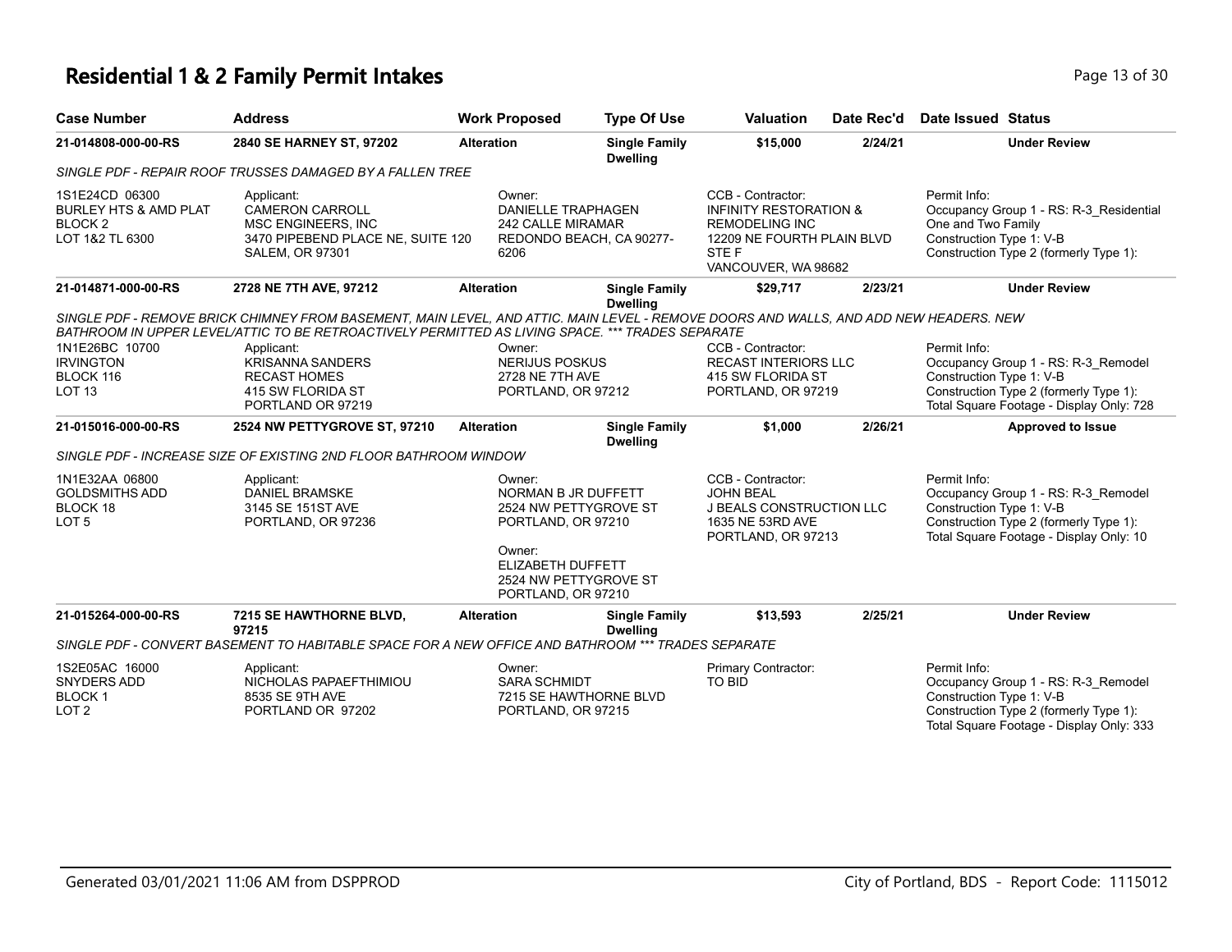### **Residential 1 & 2 Family Permit Intakes Page 13 of 30 Page 13 of 30**

| <b>Case Number</b>                                                                          | <b>Address</b>                                                                                                                                                                                                                                                                     | <b>Work Proposed</b>                                                                                        | <b>Type Of Use</b>                      | <b>Valuation</b>                                                                                                                              | Date Rec'd | <b>Date Issued Status</b>                                                                                                                                             |
|---------------------------------------------------------------------------------------------|------------------------------------------------------------------------------------------------------------------------------------------------------------------------------------------------------------------------------------------------------------------------------------|-------------------------------------------------------------------------------------------------------------|-----------------------------------------|-----------------------------------------------------------------------------------------------------------------------------------------------|------------|-----------------------------------------------------------------------------------------------------------------------------------------------------------------------|
| 21-014808-000-00-RS                                                                         | 2840 SE HARNEY ST, 97202                                                                                                                                                                                                                                                           | <b>Alteration</b>                                                                                           | <b>Single Family</b><br><b>Dwelling</b> | \$15,000                                                                                                                                      | 2/24/21    | <b>Under Review</b>                                                                                                                                                   |
|                                                                                             | SINGLE PDF - REPAIR ROOF TRUSSES DAMAGED BY A FALLEN TREE                                                                                                                                                                                                                          |                                                                                                             |                                         |                                                                                                                                               |            |                                                                                                                                                                       |
| 1S1E24CD 06300<br><b>BURLEY HTS &amp; AMD PLAT</b><br>BLOCK <sub>2</sub><br>LOT 1&2 TL 6300 | Applicant:<br><b>CAMERON CARROLL</b><br>MSC ENGINEERS, INC<br>3470 PIPEBEND PLACE NE, SUITE 120<br><b>SALEM, OR 97301</b>                                                                                                                                                          | Owner:<br><b>DANIELLE TRAPHAGEN</b><br>242 CALLE MIRAMAR<br>REDONDO BEACH, CA 90277-<br>6206                |                                         | CCB - Contractor:<br><b>INFINITY RESTORATION &amp;</b><br><b>REMODELING INC</b><br>12209 NE FOURTH PLAIN BLVD<br>STE F<br>VANCOUVER, WA 98682 |            | Permit Info:<br>Occupancy Group 1 - RS: R-3_Residential<br>One and Two Family<br>Construction Type 1: V-B<br>Construction Type 2 (formerly Type 1):                   |
| 21-014871-000-00-RS                                                                         | 2728 NE 7TH AVE, 97212                                                                                                                                                                                                                                                             | <b>Alteration</b>                                                                                           | <b>Single Family</b><br><b>Dwelling</b> | \$29,717                                                                                                                                      | 2/23/21    | <b>Under Review</b>                                                                                                                                                   |
| 1N1E26BC 10700<br><b>IRVINGTON</b>                                                          | SINGLE PDF - REMOVE BRICK CHIMNEY FROM BASEMENT, MAIN LEVEL, AND ATTIC. MAIN LEVEL - REMOVE DOORS AND WALLS, AND ADD NEW HEADERS. NEW<br>BATHROOM IN UPPER LEVEL/ATTIC TO BE RETROACTIVELY PERMITTED AS LIVING SPACE. *** TRADES SEPARATE<br>Applicant:<br><b>KRISANNA SANDERS</b> | Owner:<br><b>NERIJUS POSKUS</b>                                                                             |                                         | CCB - Contractor:<br><b>RECAST INTERIORS LLC</b>                                                                                              |            | Permit Info:<br>Occupancy Group 1 - RS: R-3_Remodel                                                                                                                   |
| BLOCK 116<br>LOT <sub>13</sub>                                                              | <b>RECAST HOMES</b><br>415 SW FLORIDA ST<br>PORTLAND OR 97219                                                                                                                                                                                                                      | 2728 NE 7TH AVE<br>PORTLAND, OR 97212                                                                       |                                         | 415 SW FLORIDA ST<br>PORTLAND, OR 97219                                                                                                       |            | Construction Type 1: V-B<br>Construction Type 2 (formerly Type 1):<br>Total Square Footage - Display Only: 728                                                        |
| 21-015016-000-00-RS                                                                         | 2524 NW PETTYGROVE ST, 97210                                                                                                                                                                                                                                                       | <b>Alteration</b>                                                                                           | <b>Single Family</b><br><b>Dwelling</b> | \$1,000                                                                                                                                       | 2/26/21    | <b>Approved to Issue</b>                                                                                                                                              |
|                                                                                             | SINGLE PDF - INCREASE SIZE OF EXISTING 2ND FLOOR BATHROOM WINDOW                                                                                                                                                                                                                   |                                                                                                             |                                         |                                                                                                                                               |            |                                                                                                                                                                       |
| 1N1E32AA 06800<br><b>GOLDSMITHS ADD</b><br>BLOCK 18<br>LOT <sub>5</sub>                     | Applicant:<br><b>DANIEL BRAMSKE</b><br>3145 SE 151ST AVE<br>PORTLAND, OR 97236                                                                                                                                                                                                     | Owner:<br>NORMAN B JR DUFFETT<br>2524 NW PETTYGROVE ST<br>PORTLAND, OR 97210<br>Owner:<br>ELIZABETH DUFFETT |                                         | CCB - Contractor:<br><b>JOHN BEAL</b><br><b>J BEALS CONSTRUCTION LLC</b><br>1635 NE 53RD AVE<br>PORTLAND, OR 97213                            |            | Permit Info:<br>Occupancy Group 1 - RS: R-3 Remodel<br>Construction Type 1: V-B<br>Construction Type 2 (formerly Type 1):<br>Total Square Footage - Display Only: 10  |
|                                                                                             |                                                                                                                                                                                                                                                                                    | 2524 NW PETTYGROVE ST<br>PORTLAND, OR 97210                                                                 |                                         |                                                                                                                                               |            |                                                                                                                                                                       |
| 21-015264-000-00-RS                                                                         | 7215 SE HAWTHORNE BLVD,<br>97215                                                                                                                                                                                                                                                   | <b>Alteration</b>                                                                                           | <b>Single Family</b><br><b>Dwelling</b> | \$13,593                                                                                                                                      | 2/25/21    | <b>Under Review</b>                                                                                                                                                   |
|                                                                                             | SINGLE PDF - CONVERT BASEMENT TO HABITABLE SPACE FOR A NEW OFFICE AND BATHROOM *** TRADES SEPARATE                                                                                                                                                                                 |                                                                                                             |                                         |                                                                                                                                               |            |                                                                                                                                                                       |
| 1S2E05AC 16000<br>SNYDERS ADD<br><b>BLOCK1</b><br>LOT <sub>2</sub>                          | Applicant:<br>NICHOLAS PAPAEFTHIMIOU<br>8535 SE 9TH AVE<br>PORTLAND OR 97202                                                                                                                                                                                                       | Owner:<br><b>SARA SCHMIDT</b><br>7215 SE HAWTHORNE BLVD<br>PORTLAND, OR 97215                               |                                         | Primary Contractor:<br>TO BID                                                                                                                 |            | Permit Info:<br>Occupancy Group 1 - RS: R-3 Remodel<br>Construction Type 1: V-B<br>Construction Type 2 (formerly Type 1):<br>Total Square Footage - Display Only: 333 |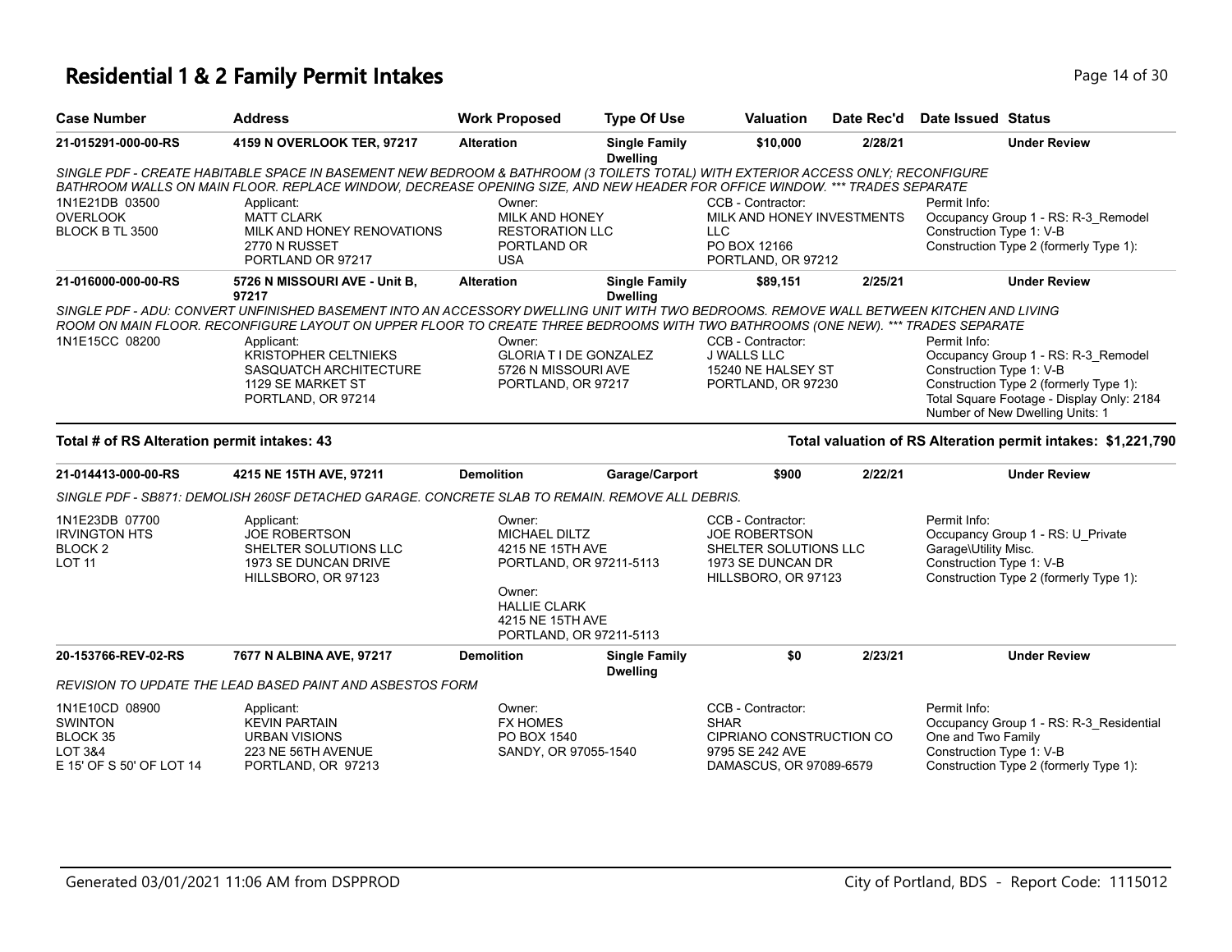#### **Residential 1 & 2 Family Permit Intakes Page 14 of 30** Page 14 of 30

| <b>Case Number</b>                          | <b>Address</b>                                                                                                                          | <b>Work Proposed</b>   | <b>Type Of Use</b>                      | <b>Valuation</b>           | Date Rec'd | Date Issued Status                                                           |
|---------------------------------------------|-----------------------------------------------------------------------------------------------------------------------------------------|------------------------|-----------------------------------------|----------------------------|------------|------------------------------------------------------------------------------|
| 21-015291-000-00-RS                         | 4159 N OVERLOOK TER, 97217                                                                                                              | <b>Alteration</b>      | <b>Single Family</b><br><b>Dwelling</b> | \$10,000                   | 2/28/21    | <b>Under Review</b>                                                          |
|                                             | SINGLE PDF - CREATE HABITABLE SPACE IN BASEMENT NEW BEDROOM & BATHROOM (3 TOILETS TOTAL) WITH EXTERIOR ACCESS ONLY; RECONFIGURE         |                        |                                         |                            |            |                                                                              |
|                                             | BATHROOM WALLS ON MAIN FLOOR. REPLACE WINDOW, DECREASE OPENING SIZE, AND NEW HEADER FOR OFFICE WINDOW. *** TRADES SEPARATE              |                        |                                         |                            |            |                                                                              |
| 1N1E21DB 03500                              | Applicant:                                                                                                                              | Owner:                 |                                         | CCB - Contractor:          |            | Permit Info:                                                                 |
| <b>OVERLOOK</b>                             | <b>MATT CLARK</b>                                                                                                                       | <b>MILK AND HONEY</b>  |                                         | MILK AND HONEY INVESTMENTS |            | Occupancy Group 1 - RS: R-3 Remodel                                          |
| BLOCK B TL 3500                             | MILK AND HONEY RENOVATIONS                                                                                                              | <b>RESTORATION LLC</b> |                                         | <b>LLC</b>                 |            | Construction Type 1: V-B                                                     |
|                                             | 2770 N RUSSET                                                                                                                           | PORTLAND OR            |                                         | PO BOX 12166               |            | Construction Type 2 (formerly Type 1):                                       |
|                                             | PORTLAND OR 97217                                                                                                                       | <b>USA</b>             |                                         | PORTLAND, OR 97212         |            |                                                                              |
| 21-016000-000-00-RS                         | 5726 N MISSOURI AVE - Unit B,<br>97217                                                                                                  | <b>Alteration</b>      | <b>Single Family</b><br><b>Dwelling</b> | \$89,151                   | 2/25/21    | <b>Under Review</b>                                                          |
|                                             | SINGLE PDF - ADU: CONVERT UNFINISHED BASEMENT INTO AN ACCESSORY DWELLING UNIT WITH TWO BEDROOMS. REMOVE WALL BETWEEN KITCHEN AND LIVING |                        |                                         |                            |            |                                                                              |
|                                             | ROOM ON MAIN FLOOR. RECONFIGURE LAYOUT ON UPPER FLOOR TO CREATE THREE BEDROOMS WITH TWO BATHROOMS (ONE NEW). *** TRADES SEPARATE        |                        |                                         |                            |            |                                                                              |
| 1N1E15CC 08200<br>Applicant:                |                                                                                                                                         | Owner:                 |                                         | CCB - Contractor:          |            | Permit Info:                                                                 |
|                                             | <b>KRISTOPHER CELTNIEKS</b>                                                                                                             |                        | <b>GLORIA T I DE GONZALEZ</b>           | <b>J WALLS LLC</b>         |            | Occupancy Group 1 - RS: R-3 Remodel                                          |
|                                             | SASQUATCH ARCHITECTURE                                                                                                                  | 5726 N MISSOURI AVE    |                                         | 15240 NE HALSEY ST         |            | Construction Type 1: V-B                                                     |
|                                             | 1129 SE MARKET ST                                                                                                                       | PORTLAND, OR 97217     |                                         | PORTLAND, OR 97230         |            | Construction Type 2 (formerly Type 1):                                       |
|                                             | PORTLAND, OR 97214                                                                                                                      |                        |                                         |                            |            | Total Square Footage - Display Only: 2184<br>Number of New Dwelling Units: 1 |
| Total # of RS Alteration permit intakes: 43 |                                                                                                                                         |                        |                                         |                            |            | Total valuation of RS Alteration permit intakes: \$1,221,790                 |
| 21-014413-000-00-RS                         | 4215 NE 15TH AVE, 97211                                                                                                                 | <b>Demolition</b>      | Garage/Carport                          | \$900                      | 2/22/21    | <b>Under Review</b>                                                          |
|                                             | SINGLE PDF - SB871: DEMOLISH 260SF DETACHED GARAGE. CONCRETE SLAB TO REMAIN. REMOVE ALL DEBRIS.                                         |                        |                                         |                            |            |                                                                              |
| 1N1E23DB 07700                              | Applicant:                                                                                                                              | Owner:                 |                                         | CCB - Contractor:          |            | Permit Info:                                                                 |
| <b>IRVINGTON HTS</b>                        | <b>JOE ROBERTSON</b>                                                                                                                    | <b>MICHAEL DILTZ</b>   |                                         | <b>JOE ROBERTSON</b>       |            | Occupancy Group 1 - RS: U Private                                            |
| BLOCK <sub>2</sub>                          | SHELTER SOLUTIONS LLC                                                                                                                   | 4215 NE 15TH AVE       |                                         | SHELTER SOLUTIONS LLC      |            | Garage\Utility Misc.                                                         |
| <b>LOT 11</b>                               | 1973 SE DUNCAN DRIVE                                                                                                                    |                        | PORTLAND, OR 97211-5113                 | 1973 SE DUNCAN DR          |            | Construction Type 1: V-B                                                     |
|                                             | HILLSBORO, OR 97123                                                                                                                     |                        |                                         | HILLSBORO, OR 97123        |            | Construction Type 2 (formerly Type 1):                                       |
|                                             |                                                                                                                                         | Owner:                 |                                         |                            |            |                                                                              |
|                                             |                                                                                                                                         | <b>HALLIE CLARK</b>    |                                         |                            |            |                                                                              |
|                                             |                                                                                                                                         | 4215 NE 15TH AVE       | PORTLAND, OR 97211-5113                 |                            |            |                                                                              |
| 20-153766-REV-02-RS                         | 7677 N ALBINA AVE, 97217                                                                                                                | <b>Demolition</b>      | <b>Single Family</b><br><b>Dwelling</b> | \$0                        | 2/23/21    | <b>Under Review</b>                                                          |

*REVISION TO UPDATE THE LEAD BASED PAINT AND ASBESTOS FORM*

| 1N1E10CD 08900           | Applicant:           | Owner:               | CCB - Contractor:        | Permit Info:                            |
|--------------------------|----------------------|----------------------|--------------------------|-----------------------------------------|
| <b>SWINTON</b>           | <b>KEVIN PARTAIN</b> | <b>FX HOMES</b>      | SHAR                     | Occupancy Group 1 - RS: R-3 Residential |
| BLOCK 35                 | URBAN VISIONS        | PO BOX 1540          | CIPRIANO CONSTRUCTION CO | One and Two Family                      |
| LOT 3&4                  | 223 NE 56TH AVENUE   | SANDY, OR 97055-1540 | 9795 SE 242 AVE          | Construction Type 1: V-B                |
| E 15' OF S 50' OF LOT 14 | PORTLAND, OR 97213   |                      | DAMASCUS, OR 97089-6579  | Construction Type 2 (formerly Type 1):  |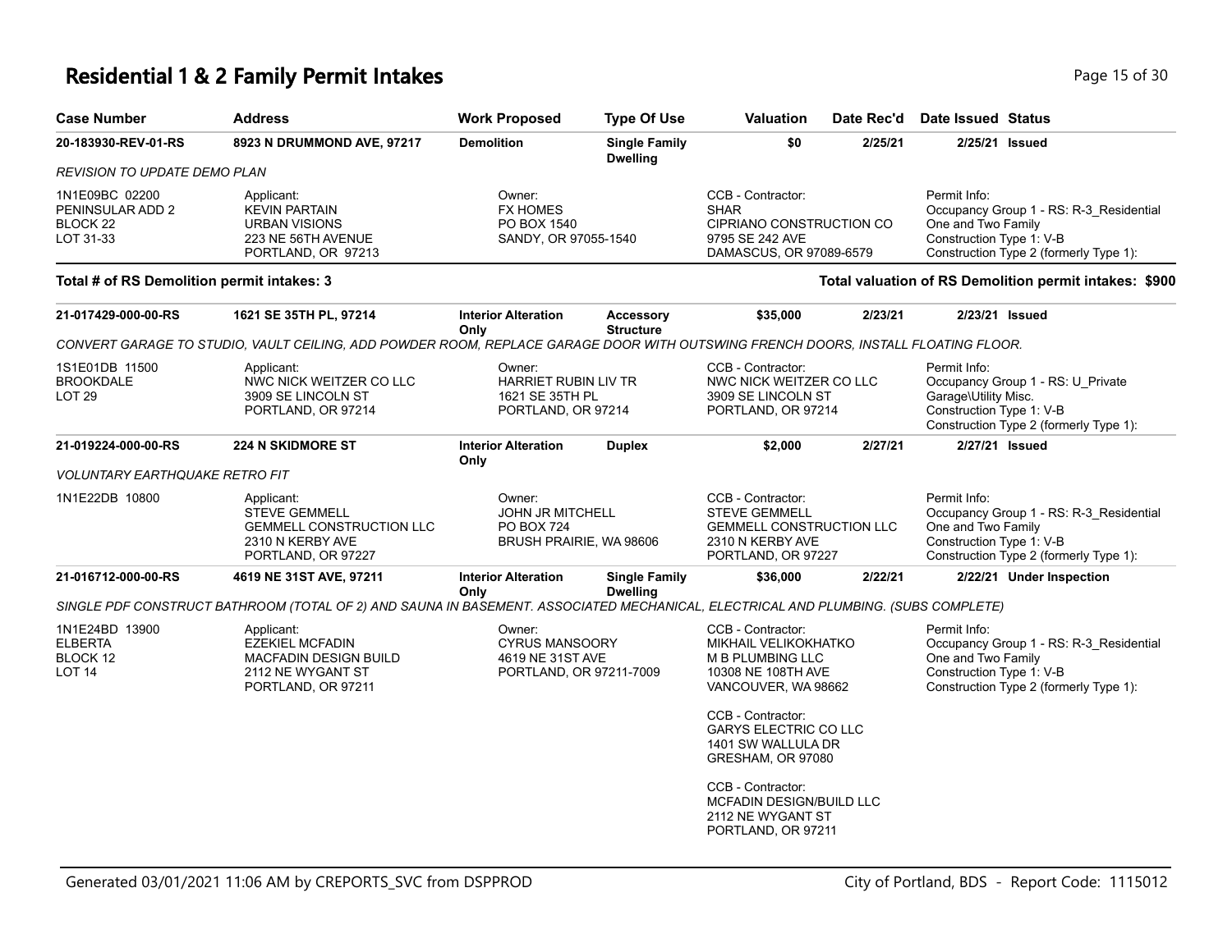#### **Residential 1 & 2 Family Permit Intakes Page 15 of 30** Page 15 of 30

| <b>Case Number</b>                                                     | <b>Address</b>                                                                                                                    | <b>Work Proposed</b>                                                           | <b>Type Of Use</b>                      | <b>Valuation</b>                                                                                                                                                                                                  | Date Rec'd | <b>Date Issued Status</b>                                                                                                                           |
|------------------------------------------------------------------------|-----------------------------------------------------------------------------------------------------------------------------------|--------------------------------------------------------------------------------|-----------------------------------------|-------------------------------------------------------------------------------------------------------------------------------------------------------------------------------------------------------------------|------------|-----------------------------------------------------------------------------------------------------------------------------------------------------|
| 20-183930-REV-01-RS                                                    | 8923 N DRUMMOND AVE, 97217                                                                                                        | <b>Demolition</b>                                                              | <b>Single Family</b><br><b>Dwelling</b> | \$0                                                                                                                                                                                                               | 2/25/21    | 2/25/21 Issued                                                                                                                                      |
| <b>REVISION TO UPDATE DEMO PLAN</b>                                    |                                                                                                                                   |                                                                                |                                         |                                                                                                                                                                                                                   |            |                                                                                                                                                     |
| 1N1E09BC 02200<br>PENINSULAR ADD 2<br>BLOCK <sub>22</sub><br>LOT 31-33 | Applicant:<br><b>KEVIN PARTAIN</b><br><b>URBAN VISIONS</b><br>223 NE 56TH AVENUE<br>PORTLAND, OR 97213                            | Owner:<br><b>FX HOMES</b><br>PO BOX 1540<br>SANDY, OR 97055-1540               |                                         | CCB - Contractor:<br><b>SHAR</b><br>CIPRIANO CONSTRUCTION CO<br>9795 SE 242 AVE<br>DAMASCUS, OR 97089-6579                                                                                                        |            | Permit Info:<br>Occupancy Group 1 - RS: R-3_Residential<br>One and Two Family<br>Construction Type 1: V-B<br>Construction Type 2 (formerly Type 1): |
| Total # of RS Demolition permit intakes: 3                             |                                                                                                                                   |                                                                                |                                         |                                                                                                                                                                                                                   |            | Total valuation of RS Demolition permit intakes: \$900                                                                                              |
| 21-017429-000-00-RS                                                    | 1621 SE 35TH PL, 97214                                                                                                            | <b>Interior Alteration</b><br>Only                                             | Accessory<br><b>Structure</b>           | \$35,000                                                                                                                                                                                                          | 2/23/21    | 2/23/21 Issued                                                                                                                                      |
|                                                                        | CONVERT GARAGE TO STUDIO, VAULT CEILING, ADD POWDER ROOM, REPLACE GARAGE DOOR WITH OUTSWING FRENCH DOORS, INSTALL FLOATING FLOOR. |                                                                                |                                         |                                                                                                                                                                                                                   |            |                                                                                                                                                     |
| 1S1E01DB 11500<br><b>BROOKDALE</b><br>LOT <sub>29</sub>                | Applicant:<br>NWC NICK WEITZER CO LLC<br>3909 SE LINCOLN ST<br>PORTLAND, OR 97214                                                 | Owner:<br><b>HARRIET RUBIN LIV TR</b><br>1621 SE 35TH PL<br>PORTLAND, OR 97214 |                                         | CCB - Contractor:<br>NWC NICK WEITZER CO LLC<br>3909 SE LINCOLN ST<br>PORTLAND, OR 97214                                                                                                                          |            | Permit Info:<br>Occupancy Group 1 - RS: U Private<br>Garage\Utility Misc.<br>Construction Type 1: V-B<br>Construction Type 2 (formerly Type 1):     |
| 21-019224-000-00-RS                                                    | <b>224 N SKIDMORE ST</b>                                                                                                          | <b>Interior Alteration</b><br>Only                                             | <b>Duplex</b>                           | \$2,000                                                                                                                                                                                                           | 2/27/21    | 2/27/21 Issued                                                                                                                                      |
| <b>VOLUNTARY EARTHQUAKE RETRO FIT</b>                                  |                                                                                                                                   |                                                                                |                                         |                                                                                                                                                                                                                   |            |                                                                                                                                                     |
| 1N1E22DB 10800                                                         | Applicant:<br><b>STEVE GEMMELL</b><br><b>GEMMELL CONSTRUCTION LLC</b><br>2310 N KERBY AVE<br>PORTLAND, OR 97227                   | Owner:<br><b>JOHN JR MITCHELL</b><br>PO BOX 724<br>BRUSH PRAIRIE, WA 98606     |                                         | CCB - Contractor:<br><b>STEVE GEMMELL</b><br><b>GEMMELL CONSTRUCTION LLC</b><br>2310 N KERBY AVE<br>PORTLAND, OR 97227                                                                                            |            | Permit Info:<br>Occupancy Group 1 - RS: R-3_Residential<br>One and Two Family<br>Construction Type 1: V-B<br>Construction Type 2 (formerly Type 1): |
| 21-016712-000-00-RS                                                    | 4619 NE 31ST AVE, 97211                                                                                                           | <b>Interior Alteration</b>                                                     | <b>Single Family</b>                    | \$36,000                                                                                                                                                                                                          | 2/22/21    | 2/22/21 Under Inspection                                                                                                                            |
|                                                                        | SINGLE PDF CONSTRUCT BATHROOM (TOTAL OF 2) AND SAUNA IN BASEMENT. ASSOCIATED MECHANICAL, ELECTRICAL AND PLUMBING. (SUBS COMPLETE) | Only                                                                           | <b>Dwelling</b>                         |                                                                                                                                                                                                                   |            |                                                                                                                                                     |
| 1N1E24BD 13900<br><b>ELBERTA</b><br>BLOCK 12<br>LOT <sub>14</sub>      | Applicant:<br><b>EZEKIEL MCFADIN</b><br><b>MACFADIN DESIGN BUILD</b><br>2112 NE WYGANT ST<br>PORTLAND, OR 97211                   | Owner:<br><b>CYRUS MANSOORY</b><br>4619 NE 31ST AVE<br>PORTLAND, OR 97211-7009 |                                         | CCB - Contractor:<br>MIKHAIL VELIKOKHATKO<br><b>M B PLUMBING LLC</b><br>10308 NE 108TH AVE<br>VANCOUVER, WA 98662<br>CCB - Contractor:<br><b>GARYS ELECTRIC CO LLC</b><br>1401 SW WALLULA DR<br>GRESHAM, OR 97080 |            | Permit Info:<br>Occupancy Group 1 - RS: R-3_Residential<br>One and Two Family<br>Construction Type 1: V-B<br>Construction Type 2 (formerly Type 1): |

CCB - Contractor: MCFADIN DESIGN/BUILD LLC 2112 NE WYGANT ST PORTLAND, OR 97211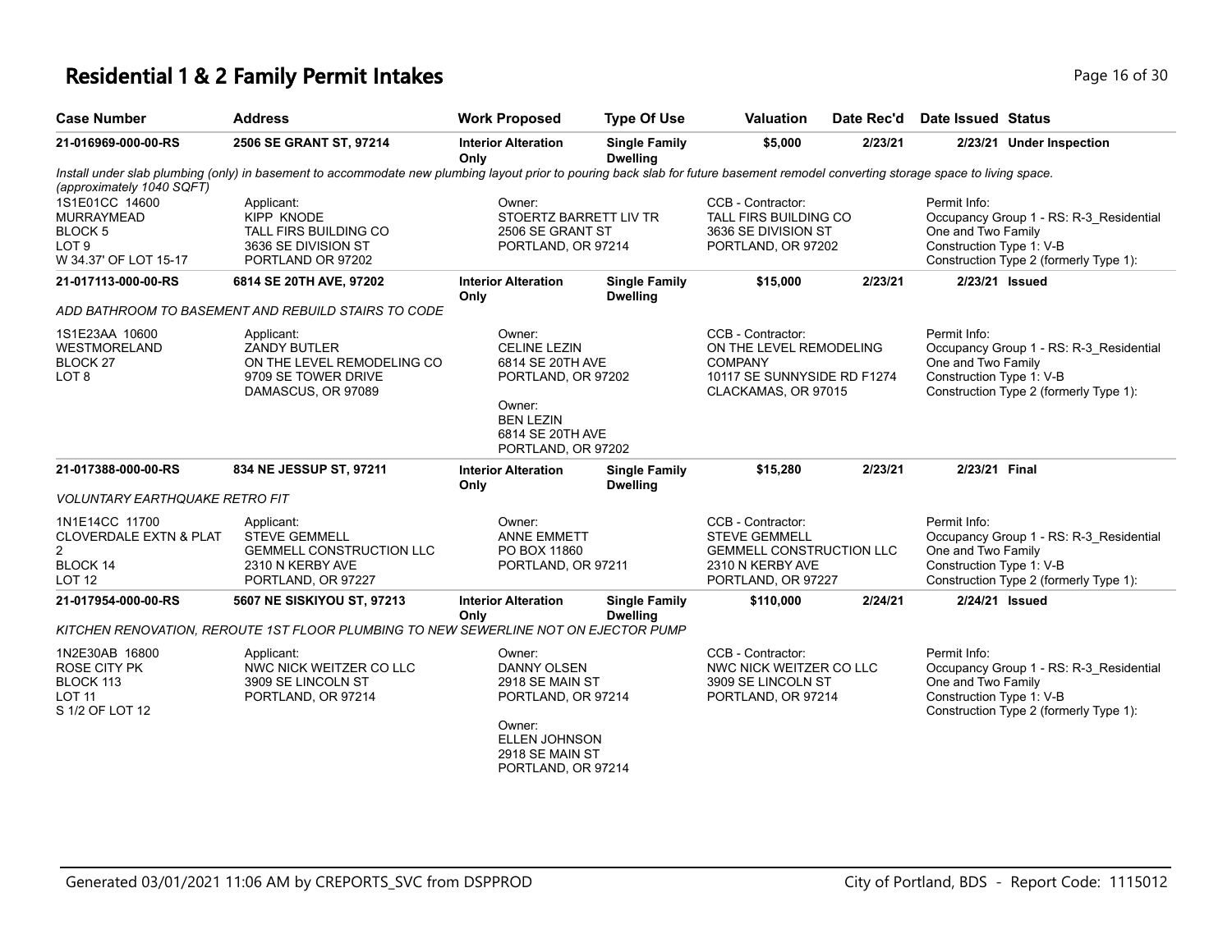## **Residential 1 & 2 Family Permit Intakes Page 16 of 30 Page 16 of 30**

| <b>Case Number</b>                                                                                 | <b>Address</b>                                                                                                                                                                     | <b>Work Proposed</b>                                                                                                                             | <b>Type Of Use</b>                      | <b>Valuation</b>                                                                                                       | Date Rec'd | <b>Date Issued Status</b>                                      |                                                                                   |
|----------------------------------------------------------------------------------------------------|------------------------------------------------------------------------------------------------------------------------------------------------------------------------------------|--------------------------------------------------------------------------------------------------------------------------------------------------|-----------------------------------------|------------------------------------------------------------------------------------------------------------------------|------------|----------------------------------------------------------------|-----------------------------------------------------------------------------------|
| 21-016969-000-00-RS                                                                                | 2506 SE GRANT ST, 97214                                                                                                                                                            | <b>Interior Alteration</b><br>Only                                                                                                               | <b>Single Family</b><br><b>Dwelling</b> | \$5,000                                                                                                                | 2/23/21    |                                                                | 2/23/21 Under Inspection                                                          |
| (approximately 1040 SQFT)                                                                          | Install under slab plumbing (only) in basement to accommodate new plumbing layout prior to pouring back slab for future basement remodel converting storage space to living space. |                                                                                                                                                  |                                         |                                                                                                                        |            |                                                                |                                                                                   |
| 1S1E01CC 14600<br><b>MURRAYMEAD</b><br>BLOCK 5<br>LOT <sub>9</sub><br>W 34.37' OF LOT 15-17        | Applicant:<br><b>KIPP KNODE</b><br>TALL FIRS BUILDING CO<br>3636 SE DIVISION ST<br>PORTLAND OR 97202                                                                               | Owner:<br>STOERTZ BARRETT LIV TR<br>2506 SE GRANT ST<br>PORTLAND, OR 97214                                                                       |                                         | CCB - Contractor:<br>TALL FIRS BUILDING CO<br>3636 SE DIVISION ST<br>PORTLAND, OR 97202                                |            | Permit Info:<br>One and Two Family<br>Construction Type 1: V-B | Occupancy Group 1 - RS: R-3 Residential<br>Construction Type 2 (formerly Type 1): |
| 21-017113-000-00-RS                                                                                | 6814 SE 20TH AVE, 97202                                                                                                                                                            | <b>Interior Alteration</b><br>Only                                                                                                               | <b>Single Family</b><br><b>Dwelling</b> | \$15,000                                                                                                               | 2/23/21    | 2/23/21 Issued                                                 |                                                                                   |
|                                                                                                    | ADD BATHROOM TO BASEMENT AND REBUILD STAIRS TO CODE                                                                                                                                |                                                                                                                                                  |                                         |                                                                                                                        |            |                                                                |                                                                                   |
| 1S1E23AA 10600<br>WESTMORELAND<br>BLOCK <sub>27</sub><br>LOT <sub>8</sub>                          | Applicant:<br>ZANDY BUTLER<br>ON THE LEVEL REMODELING CO<br>9709 SE TOWER DRIVE<br>DAMASCUS, OR 97089                                                                              | Owner:<br><b>CELINE LEZIN</b><br>6814 SE 20TH AVE<br>PORTLAND, OR 97202<br>Owner:<br><b>BEN LEZIN</b><br>6814 SE 20TH AVE<br>PORTLAND, OR 97202  |                                         | CCB - Contractor:<br>ON THE LEVEL REMODELING<br><b>COMPANY</b><br>10117 SE SUNNYSIDE RD F1274<br>CLACKAMAS, OR 97015   |            | Permit Info:<br>One and Two Family<br>Construction Type 1: V-B | Occupancy Group 1 - RS: R-3 Residential<br>Construction Type 2 (formerly Type 1): |
| 21-017388-000-00-RS                                                                                | 834 NE JESSUP ST, 97211                                                                                                                                                            | <b>Interior Alteration</b><br>Only                                                                                                               | <b>Single Family</b><br><b>Dwelling</b> | \$15,280                                                                                                               | 2/23/21    | 2/23/21 Final                                                  |                                                                                   |
| <b>VOLUNTARY EARTHQUAKE RETRO FIT</b>                                                              |                                                                                                                                                                                    |                                                                                                                                                  |                                         |                                                                                                                        |            |                                                                |                                                                                   |
| 1N1E14CC 11700<br><b>CLOVERDALE EXTN &amp; PLAT</b><br>$\overline{2}$<br>BLOCK 14<br><b>LOT 12</b> | Applicant:<br><b>STEVE GEMMELL</b><br><b>GEMMELL CONSTRUCTION LLC</b><br>2310 N KERBY AVE<br>PORTLAND, OR 97227                                                                    | Owner:<br><b>ANNE EMMETT</b><br>PO BOX 11860<br>PORTLAND, OR 97211                                                                               |                                         | CCB - Contractor:<br><b>STEVE GEMMELL</b><br><b>GEMMELL CONSTRUCTION LLC</b><br>2310 N KERBY AVE<br>PORTLAND, OR 97227 |            | Permit Info:<br>One and Two Family<br>Construction Type 1: V-B | Occupancy Group 1 - RS: R-3_Residential<br>Construction Type 2 (formerly Type 1): |
| 21-017954-000-00-RS                                                                                | 5607 NE SISKIYOU ST, 97213                                                                                                                                                         | <b>Interior Alteration</b><br>Only                                                                                                               | <b>Single Family</b><br><b>Dwelling</b> | \$110,000                                                                                                              | 2/24/21    | 2/24/21 Issued                                                 |                                                                                   |
|                                                                                                    | KITCHEN RENOVATION, REROUTE 1ST FLOOR PLUMBING TO NEW SEWERLINE NOT ON EJECTOR PUMP                                                                                                |                                                                                                                                                  |                                         |                                                                                                                        |            |                                                                |                                                                                   |
| 1N2E30AB 16800<br><b>ROSE CITY PK</b><br>BLOCK 113<br><b>LOT 11</b><br>S 1/2 OF LOT 12             | Applicant:<br>NWC NICK WEITZER CO LLC<br>3909 SE LINCOLN ST<br>PORTLAND, OR 97214                                                                                                  | Owner:<br><b>DANNY OLSEN</b><br>2918 SE MAIN ST<br>PORTLAND, OR 97214<br>Owner:<br><b>ELLEN JOHNSON</b><br>2918 SE MAIN ST<br>PORTLAND, OR 97214 |                                         | CCB - Contractor:<br>NWC NICK WEITZER CO LLC<br>3909 SE LINCOLN ST<br>PORTLAND, OR 97214                               |            | Permit Info:<br>One and Two Family<br>Construction Type 1: V-B | Occupancy Group 1 - RS: R-3_Residential<br>Construction Type 2 (formerly Type 1): |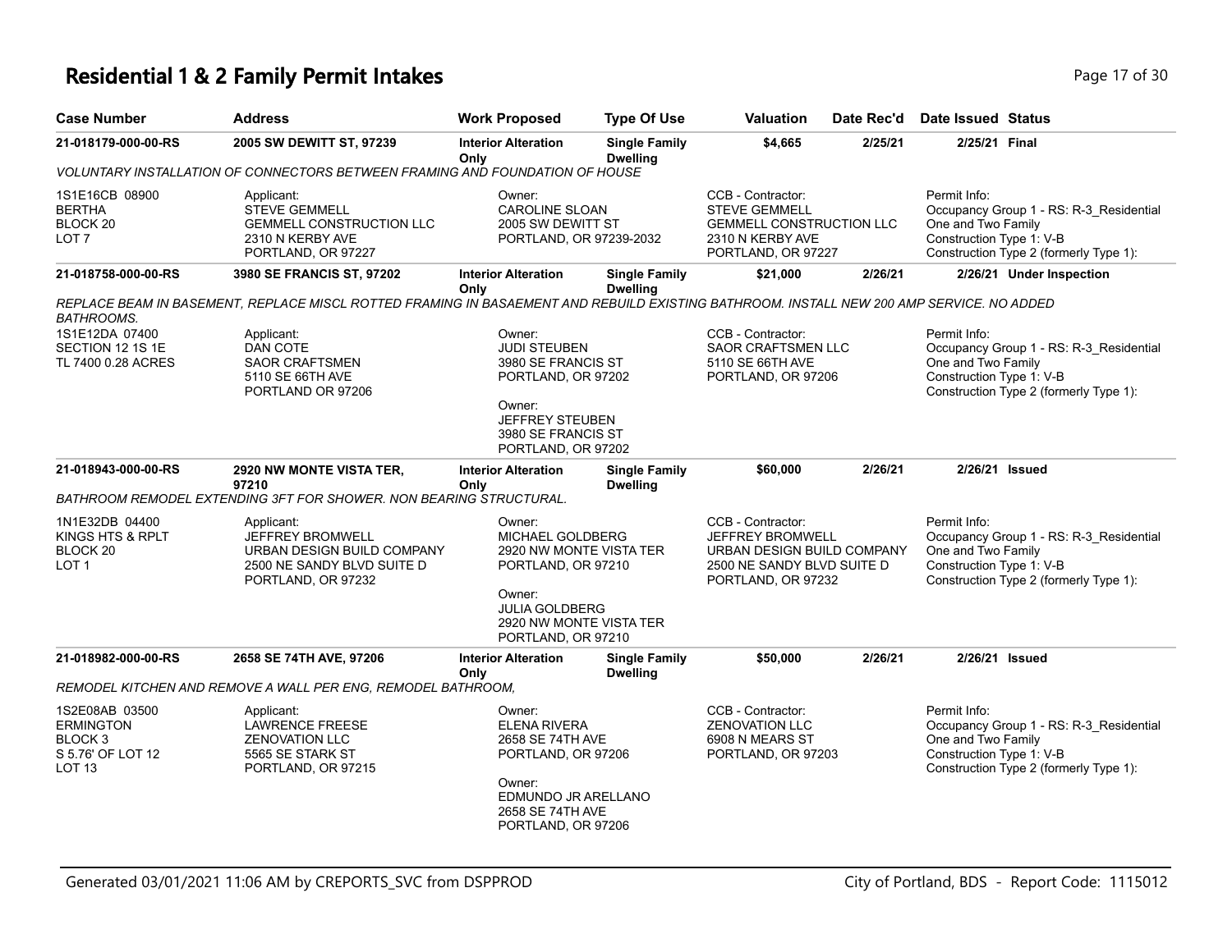## **Residential 1 & 2 Family Permit Intakes Page 17 of 30 Page 17 of 30**

| <b>Case Number</b>                                                                                 | <b>Address</b>                                                                                                                           | <b>Work Proposed</b>                                                                                                                                                   | <b>Type Of Use</b>                      | <b>Valuation</b>                                                                                                               | Date Rec'd | Date Issued Status                                             |                                                                                   |
|----------------------------------------------------------------------------------------------------|------------------------------------------------------------------------------------------------------------------------------------------|------------------------------------------------------------------------------------------------------------------------------------------------------------------------|-----------------------------------------|--------------------------------------------------------------------------------------------------------------------------------|------------|----------------------------------------------------------------|-----------------------------------------------------------------------------------|
| 21-018179-000-00-RS                                                                                | 2005 SW DEWITT ST, 97239                                                                                                                 | <b>Interior Alteration</b><br>Only                                                                                                                                     | <b>Single Family</b><br><b>Dwelling</b> | \$4,665                                                                                                                        | 2/25/21    | 2/25/21 Final                                                  |                                                                                   |
|                                                                                                    | VOLUNTARY INSTALLATION OF CONNECTORS BETWEEN FRAMING AND FOUNDATION OF HOUSE                                                             |                                                                                                                                                                        |                                         |                                                                                                                                |            |                                                                |                                                                                   |
| 1S1E16CB 08900<br><b>BERTHA</b><br>BLOCK <sub>20</sub><br>LOT <sub>7</sub>                         | Applicant:<br><b>STEVE GEMMELL</b><br><b>GEMMELL CONSTRUCTION LLC</b><br>2310 N KERBY AVE<br>PORTLAND, OR 97227                          | Owner:<br><b>CAROLINE SLOAN</b><br>2005 SW DEWITT ST<br>PORTLAND, OR 97239-2032                                                                                        |                                         | CCB - Contractor:<br><b>STEVE GEMMELL</b><br><b>GEMMELL CONSTRUCTION LLC</b><br>2310 N KERBY AVE<br>PORTLAND, OR 97227         |            | Permit Info:<br>One and Two Family<br>Construction Type 1: V-B | Occupancy Group 1 - RS: R-3_Residential<br>Construction Type 2 (formerly Type 1): |
| 21-018758-000-00-RS                                                                                | 3980 SE FRANCIS ST, 97202                                                                                                                | <b>Interior Alteration</b><br>Only                                                                                                                                     | <b>Single Family</b><br><b>Dwelling</b> | \$21,000                                                                                                                       | 2/26/21    |                                                                | 2/26/21 Under Inspection                                                          |
| <b>BATHROOMS.</b>                                                                                  | REPLACE BEAM IN BASEMENT, REPLACE MISCL ROTTED FRAMING IN BASAEMENT AND REBUILD EXISTING BATHROOM. INSTALL NEW 200 AMP SERVICE. NO ADDED |                                                                                                                                                                        |                                         |                                                                                                                                |            |                                                                |                                                                                   |
| 1S1E12DA 07400<br>SECTION 12 1S 1E<br>TL 7400 0.28 ACRES                                           | Applicant:<br>DAN COTE<br><b>SAOR CRAFTSMEN</b><br>5110 SE 66TH AVE<br>PORTLAND OR 97206                                                 | Owner:<br><b>JUDI STEUBEN</b><br>3980 SE FRANCIS ST<br>PORTLAND, OR 97202<br>Owner:<br>JEFFREY STEUBEN<br>3980 SE FRANCIS ST<br>PORTLAND, OR 97202                     |                                         | CCB - Contractor:<br>SAOR CRAFTSMEN LLC<br>5110 SE 66TH AVE<br>PORTLAND, OR 97206                                              |            | Permit Info:<br>One and Two Family<br>Construction Type 1: V-B | Occupancy Group 1 - RS: R-3_Residential<br>Construction Type 2 (formerly Type 1): |
| 21-018943-000-00-RS                                                                                | 2920 NW MONTE VISTA TER,<br>97210                                                                                                        | <b>Interior Alteration</b><br>Only                                                                                                                                     | <b>Single Family</b><br><b>Dwelling</b> | \$60,000                                                                                                                       | 2/26/21    | 2/26/21 Issued                                                 |                                                                                   |
|                                                                                                    | BATHROOM REMODEL EXTENDING 3FT FOR SHOWER. NON BEARING STRUCTURAL.                                                                       |                                                                                                                                                                        |                                         |                                                                                                                                |            |                                                                |                                                                                   |
| 1N1E32DB 04400<br>KINGS HTS & RPLT<br>BLOCK <sub>20</sub><br>LOT <sub>1</sub>                      | Applicant:<br>JEFFREY BROMWELL<br>URBAN DESIGN BUILD COMPANY<br>2500 NE SANDY BLVD SUITE D<br>PORTLAND, OR 97232                         | Owner:<br><b>MICHAEL GOLDBERG</b><br>2920 NW MONTE VISTA TER<br>PORTLAND, OR 97210<br>Owner:<br><b>JULIA GOLDBERG</b><br>2920 NW MONTE VISTA TER<br>PORTLAND, OR 97210 |                                         | CCB - Contractor:<br><b>JEFFREY BROMWELL</b><br>URBAN DESIGN BUILD COMPANY<br>2500 NE SANDY BLVD SUITE D<br>PORTLAND, OR 97232 |            | Permit Info:<br>One and Two Family<br>Construction Type 1: V-B | Occupancy Group 1 - RS: R-3_Residential<br>Construction Type 2 (formerly Type 1): |
| 21-018982-000-00-RS                                                                                | 2658 SE 74TH AVE, 97206                                                                                                                  | <b>Interior Alteration</b><br>Only                                                                                                                                     | <b>Single Family</b><br><b>Dwelling</b> | \$50,000                                                                                                                       | 2/26/21    | 2/26/21 Issued                                                 |                                                                                   |
|                                                                                                    | REMODEL KITCHEN AND REMOVE A WALL PER ENG, REMODEL BATHROOM,                                                                             |                                                                                                                                                                        |                                         |                                                                                                                                |            |                                                                |                                                                                   |
| 1S2E08AB 03500<br><b>ERMINGTON</b><br>BLOCK <sub>3</sub><br>S 5.76' OF LOT 12<br>LOT <sub>13</sub> | Applicant:<br><b>LAWRENCE FREESE</b><br><b>ZENOVATION LLC</b><br>5565 SE STARK ST<br>PORTLAND, OR 97215                                  | Owner:<br><b>ELENA RIVERA</b><br>2658 SE 74TH AVE<br>PORTLAND, OR 97206<br>Owner:<br>EDMUNDO JR ARELLANO<br>2658 SE 74TH AVE<br>PORTLAND, OR 97206                     |                                         | CCB - Contractor:<br><b>ZENOVATION LLC</b><br>6908 N MEARS ST<br>PORTLAND, OR 97203                                            |            | Permit Info:<br>One and Two Family<br>Construction Type 1: V-B | Occupancy Group 1 - RS: R-3_Residential<br>Construction Type 2 (formerly Type 1): |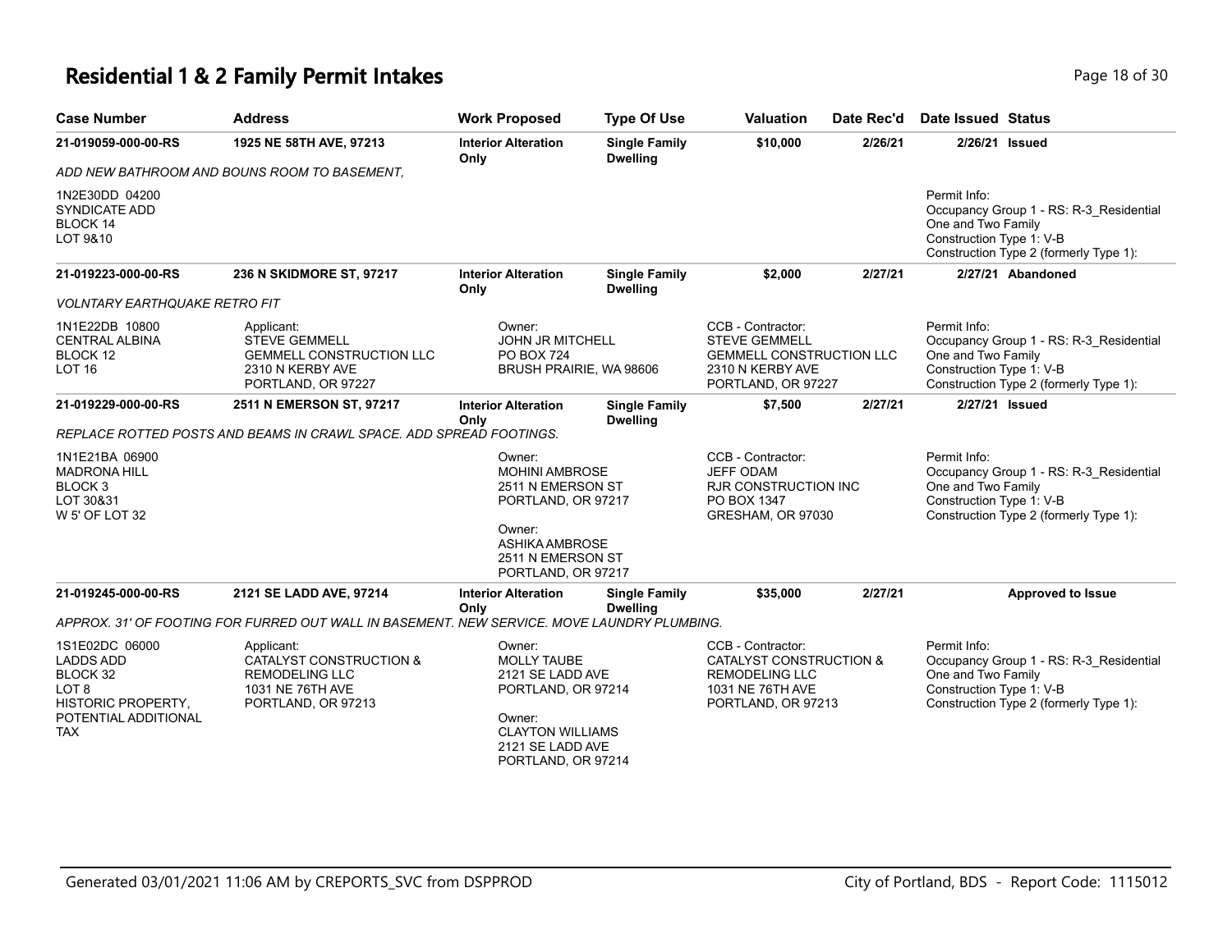### **Residential 1 & 2 Family Permit Intakes Page 18 of 30** Page 18 of 30

| <b>Case Number</b>                                                                                                             | <b>Address</b>                                                                                                      | <b>Work Proposed</b>                                                                                                                                  | <b>Type Of Use</b>                      | <b>Valuation</b>                                                                                                           | Date Rec'd | Date Issued Status                                                                                                                                  |
|--------------------------------------------------------------------------------------------------------------------------------|---------------------------------------------------------------------------------------------------------------------|-------------------------------------------------------------------------------------------------------------------------------------------------------|-----------------------------------------|----------------------------------------------------------------------------------------------------------------------------|------------|-----------------------------------------------------------------------------------------------------------------------------------------------------|
| 21-019059-000-00-RS                                                                                                            | 1925 NE 58TH AVE, 97213                                                                                             | <b>Interior Alteration</b><br>Only                                                                                                                    | <b>Single Family</b><br><b>Dwelling</b> | \$10,000                                                                                                                   | 2/26/21    | 2/26/21 Issued                                                                                                                                      |
|                                                                                                                                | ADD NEW BATHROOM AND BOUNS ROOM TO BASEMENT.                                                                        |                                                                                                                                                       |                                         |                                                                                                                            |            |                                                                                                                                                     |
| 1N2E30DD 04200<br><b>SYNDICATE ADD</b><br>BLOCK 14<br>LOT 9&10                                                                 |                                                                                                                     |                                                                                                                                                       |                                         |                                                                                                                            |            | Permit Info:<br>Occupancy Group 1 - RS: R-3_Residential<br>One and Two Family<br>Construction Type 1: V-B<br>Construction Type 2 (formerly Type 1): |
| 21-019223-000-00-RS                                                                                                            | 236 N SKIDMORE ST, 97217                                                                                            | <b>Interior Alteration</b><br>Only                                                                                                                    | <b>Single Family</b><br><b>Dwelling</b> | \$2,000                                                                                                                    | 2/27/21    | 2/27/21 Abandoned                                                                                                                                   |
| <b>VOLNTARY EARTHQUAKE RETRO FIT</b>                                                                                           |                                                                                                                     |                                                                                                                                                       |                                         |                                                                                                                            |            |                                                                                                                                                     |
| 1N1E22DB 10800<br><b>CENTRAL ALBINA</b><br>BLOCK 12<br><b>LOT 16</b>                                                           | Applicant:<br><b>STEVE GEMMELL</b><br><b>GEMMELL CONSTRUCTION LLC</b><br>2310 N KERBY AVE<br>PORTLAND, OR 97227     | Owner:<br><b>JOHN JR MITCHELL</b><br><b>PO BOX 724</b><br>BRUSH PRAIRIE, WA 98606                                                                     |                                         | CCB - Contractor:<br><b>STEVE GEMMELL</b><br><b>GEMMELL CONSTRUCTION LLC</b><br>2310 N KERBY AVE<br>PORTLAND, OR 97227     |            | Permit Info:<br>Occupancy Group 1 - RS: R-3_Residential<br>One and Two Family<br>Construction Type 1: V-B<br>Construction Type 2 (formerly Type 1): |
| 21-019229-000-00-RS                                                                                                            | 2511 N EMERSON ST, 97217                                                                                            | <b>Interior Alteration</b>                                                                                                                            | <b>Single Family</b>                    | \$7,500                                                                                                                    | 2/27/21    | 2/27/21 Issued                                                                                                                                      |
|                                                                                                                                | REPLACE ROTTED POSTS AND BEAMS IN CRAWL SPACE. ADD SPREAD FOOTINGS.                                                 | Only                                                                                                                                                  | <b>Dwelling</b>                         |                                                                                                                            |            |                                                                                                                                                     |
| 1N1E21BA 06900<br><b>MADRONA HILL</b><br>BLOCK <sub>3</sub><br>LOT 30&31<br>W 5' OF LOT 32                                     |                                                                                                                     | Owner:<br><b>MOHINI AMBROSE</b><br>2511 N EMERSON ST<br>PORTLAND, OR 97217<br>Owner:<br><b>ASHIKA AMBROSE</b><br>2511 N EMERSON ST                    |                                         | CCB - Contractor:<br><b>JEFF ODAM</b><br><b>RJR CONSTRUCTION INC</b><br>PO BOX 1347<br>GRESHAM, OR 97030                   |            | Permit Info:<br>Occupancy Group 1 - RS: R-3_Residential<br>One and Two Family<br>Construction Type 1: V-B<br>Construction Type 2 (formerly Type 1): |
|                                                                                                                                |                                                                                                                     | PORTLAND, OR 97217                                                                                                                                    |                                         |                                                                                                                            |            |                                                                                                                                                     |
| 21-019245-000-00-RS                                                                                                            | 2121 SE LADD AVE, 97214                                                                                             | <b>Interior Alteration</b><br>Only                                                                                                                    | <b>Single Family</b><br><b>Dwelling</b> | \$35,000                                                                                                                   | 2/27/21    | <b>Approved to Issue</b>                                                                                                                            |
|                                                                                                                                | APPROX. 31' OF FOOTING FOR FURRED OUT WALL IN BASEMENT. NEW SERVICE. MOVE LAUNDRY PLUMBING.                         |                                                                                                                                                       |                                         |                                                                                                                            |            |                                                                                                                                                     |
| 1S1E02DC 06000<br><b>LADDS ADD</b><br>BLOCK 32<br>LOT <sub>8</sub><br>HISTORIC PROPERTY,<br>POTENTIAL ADDITIONAL<br><b>TAX</b> | Applicant:<br><b>CATALYST CONSTRUCTION &amp;</b><br><b>REMODELING LLC</b><br>1031 NE 76TH AVE<br>PORTLAND, OR 97213 | Owner:<br><b>MOLLY TAUBE</b><br>2121 SE LADD AVE<br>PORTLAND, OR 97214<br>Owner:<br><b>CLAYTON WILLIAMS</b><br>2121 SE LADD AVE<br>PORTLAND, OR 97214 |                                         | CCB - Contractor:<br><b>CATALYST CONSTRUCTION &amp;</b><br><b>REMODELING LLC</b><br>1031 NE 76TH AVE<br>PORTLAND, OR 97213 |            | Permit Info:<br>Occupancy Group 1 - RS: R-3_Residential<br>One and Two Family<br>Construction Type 1: V-B<br>Construction Type 2 (formerly Type 1): |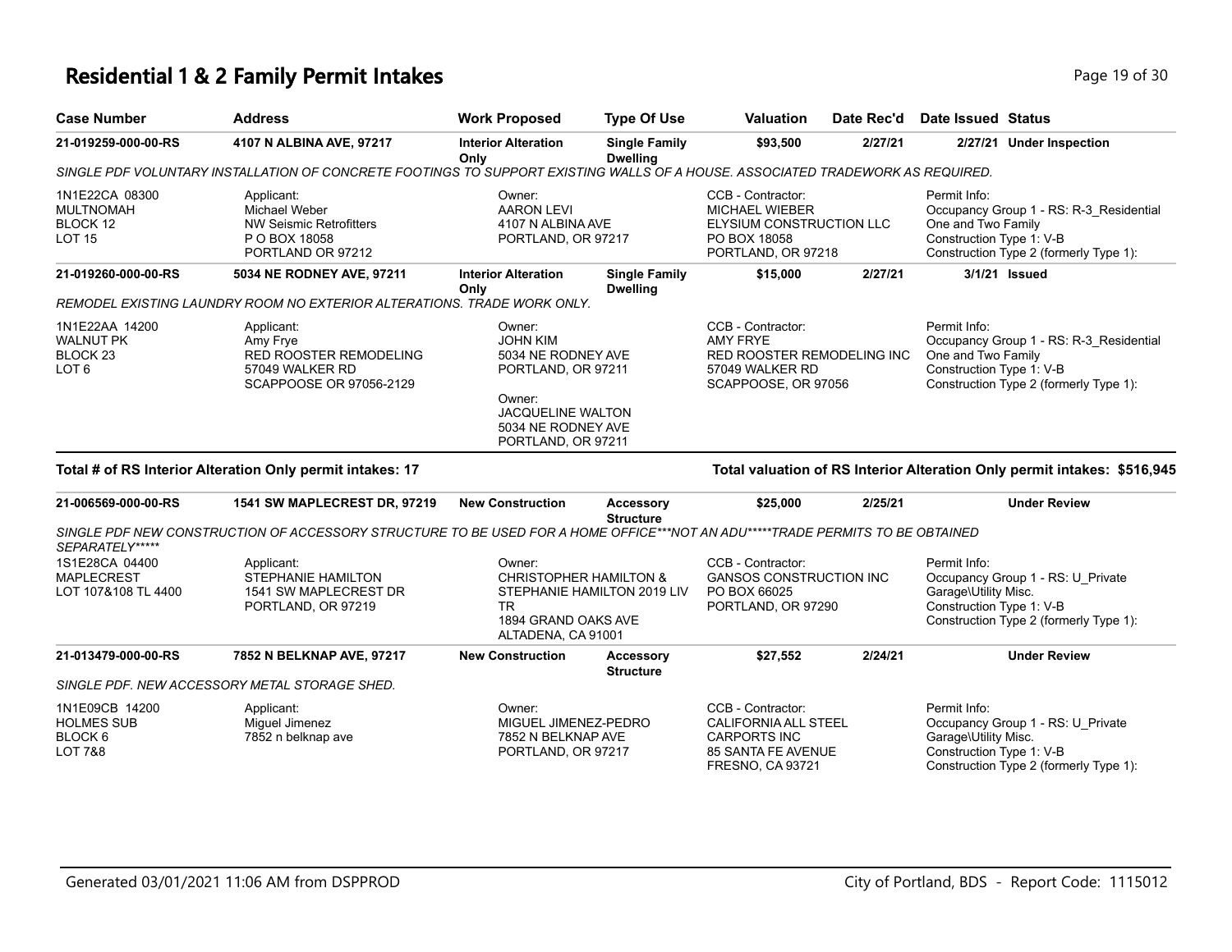# **Residential 1 & 2 Family Permit Intakes Page 19 of 30** Page 19 of 30

| <b>Case Number</b>                                                            | <b>Address</b>                                                                                                                 | <b>Work Proposed</b>                                                                                                                                    | <b>Type Of Use</b>                      | <b>Valuation</b>                                                                                                    | Date Rec'd | <b>Date Issued Status</b>                                        |                                                                                   |
|-------------------------------------------------------------------------------|--------------------------------------------------------------------------------------------------------------------------------|---------------------------------------------------------------------------------------------------------------------------------------------------------|-----------------------------------------|---------------------------------------------------------------------------------------------------------------------|------------|------------------------------------------------------------------|-----------------------------------------------------------------------------------|
| 21-019259-000-00-RS                                                           | 4107 N ALBINA AVE, 97217                                                                                                       | <b>Interior Alteration</b><br>Only                                                                                                                      | <b>Single Family</b><br><b>Dwelling</b> | \$93,500                                                                                                            | 2/27/21    |                                                                  | 2/27/21 Under Inspection                                                          |
|                                                                               | SINGLE PDF VOLUNTARY INSTALLATION OF CONCRETE FOOTINGS TO SUPPORT EXISTING WALLS OF A HOUSE. ASSOCIATED TRADEWORK AS REQUIRED. |                                                                                                                                                         |                                         |                                                                                                                     |            |                                                                  |                                                                                   |
| 1N1E22CA 08300<br><b>MULTNOMAH</b><br>BLOCK 12<br>LOT 15                      | Applicant:<br>Michael Weber<br><b>NW Seismic Retrofitters</b><br>P O BOX 18058<br>PORTLAND OR 97212                            | Owner:<br><b>AARON LEVI</b><br>4107 N ALBINA AVE<br>PORTLAND, OR 97217                                                                                  |                                         | CCB - Contractor:<br><b>MICHAEL WIEBER</b><br><b>ELYSIUM CONSTRUCTION LLC</b><br>PO BOX 18058<br>PORTLAND, OR 97218 |            | Permit Info:<br>One and Two Family<br>Construction Type 1: V-B   | Occupancy Group 1 - RS: R-3 Residential<br>Construction Type 2 (formerly Type 1): |
| 21-019260-000-00-RS                                                           | 5034 NE RODNEY AVE, 97211                                                                                                      | <b>Interior Alteration</b>                                                                                                                              | <b>Single Family</b>                    | \$15,000                                                                                                            | 2/27/21    |                                                                  | 3/1/21 Issued                                                                     |
|                                                                               | REMODEL EXISTING LAUNDRY ROOM NO EXTERIOR ALTERATIONS. TRADE WORK ONLY.                                                        | Only                                                                                                                                                    | <b>Dwelling</b>                         |                                                                                                                     |            |                                                                  |                                                                                   |
| 1N1E22AA 14200<br><b>WALNUT PK</b><br>BLOCK <sub>23</sub><br>LOT <sub>6</sub> | Applicant:<br>Amy Frye<br><b>RED ROOSTER REMODELING</b><br>57049 WALKER RD<br>SCAPPOOSE OR 97056-2129                          | Owner:<br><b>JOHN KIM</b><br>5034 NE RODNEY AVE<br>PORTLAND, OR 97211<br>Owner:<br><b>JACQUELINE WALTON</b><br>5034 NE RODNEY AVE<br>PORTLAND, OR 97211 |                                         | CCB - Contractor:<br><b>AMY FRYE</b><br><b>RED ROOSTER REMODELING INC</b><br>57049 WALKER RD<br>SCAPPOOSE, OR 97056 |            | Permit Info:<br>One and Two Family<br>Construction Type 1: V-B   | Occupancy Group 1 - RS: R-3 Residential<br>Construction Type 2 (formerly Type 1): |
|                                                                               | Total # of RS Interior Alteration Only permit intakes: 17                                                                      |                                                                                                                                                         |                                         |                                                                                                                     |            |                                                                  | Total valuation of RS Interior Alteration Only permit intakes: \$516,945          |
| 21-006569-000-00-RS                                                           | 1541 SW MAPLECREST DR, 97219                                                                                                   | <b>New Construction</b>                                                                                                                                 | <b>Accessory</b><br><b>Structure</b>    | \$25,000                                                                                                            | 2/25/21    |                                                                  | <b>Under Review</b>                                                               |
| SEPARATELY*****                                                               | SINGLE PDF NEW CONSTRUCTION OF ACCESSORY STRUCTURE TO BE USED FOR A HOME OFFICE***NOT AN ADU*****TRADE PERMITS TO BE OBTAINED  |                                                                                                                                                         |                                         |                                                                                                                     |            |                                                                  |                                                                                   |
| 1S1E28CA 04400<br><b>MAPLECREST</b><br>LOT 107&108 TL 4400                    | Applicant:<br><b>STEPHANIE HAMILTON</b><br>1541 SW MAPLECREST DR<br>PORTLAND, OR 97219                                         | Owner:<br><b>CHRISTOPHER HAMILTON &amp;</b><br><b>TR</b><br>1894 GRAND OAKS AVE<br>ALTADENA, CA 91001                                                   | STEPHANIE HAMILTON 2019 LIV             | CCB - Contractor:<br><b>GANSOS CONSTRUCTION INC</b><br>PO BOX 66025<br>PORTLAND, OR 97290                           |            | Permit Info:<br>Garage\Utility Misc.<br>Construction Type 1: V-B | Occupancy Group 1 - RS: U_Private<br>Construction Type 2 (formerly Type 1):       |
| 21-013479-000-00-RS                                                           | 7852 N BELKNAP AVE, 97217                                                                                                      | <b>New Construction</b>                                                                                                                                 | Accessory<br><b>Structure</b>           | \$27,552                                                                                                            | 2/24/21    |                                                                  | <b>Under Review</b>                                                               |
|                                                                               | SINGLE PDF. NEW ACCESSORY METAL STORAGE SHED.                                                                                  |                                                                                                                                                         |                                         |                                                                                                                     |            |                                                                  |                                                                                   |
| 1N1E09CB 14200<br><b>HOLMES SUB</b><br>BLOCK 6<br>LOT 7&8                     | Applicant:<br>Miguel Jimenez<br>7852 n belknap ave                                                                             | Owner:<br>MIGUEL JIMENEZ-PEDRO<br>7852 N BELKNAP AVE<br>PORTLAND, OR 97217                                                                              |                                         | CCB - Contractor:<br><b>CALIFORNIA ALL STEEL</b><br><b>CARPORTS INC</b><br>85 SANTA FE AVENUE<br>FRESNO, CA 93721   |            | Permit Info:<br>Garage\Utility Misc.<br>Construction Type 1: V-B | Occupancy Group 1 - RS: U_Private<br>Construction Type 2 (formerly Type 1):       |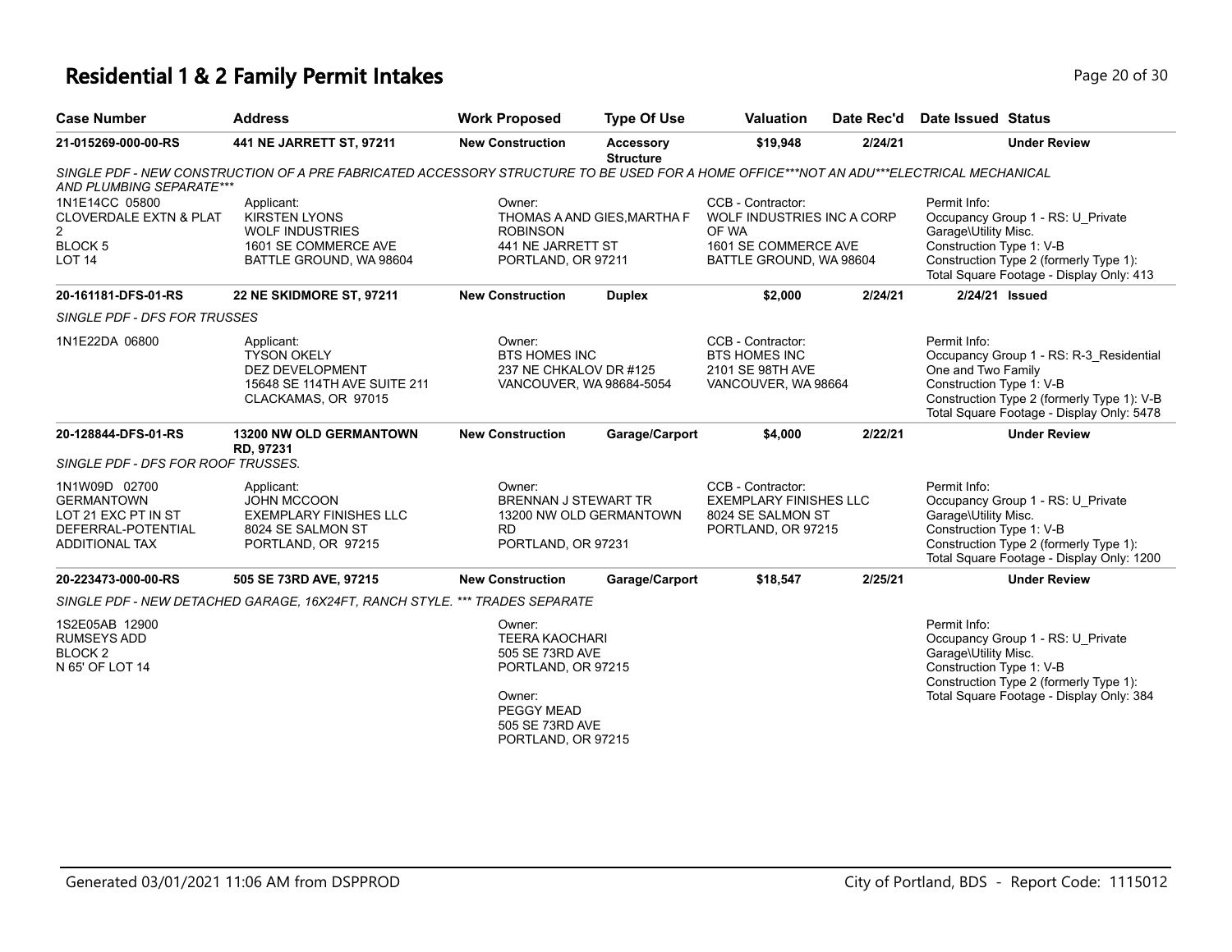# **Residential 1 & 2 Family Permit Intakes Page 10 of 30 and 20 of 30 and 20 of 30 and 20 of 30 and 20 of 30 and 20 of 30 and 20 of 30 and 20 of 30 and 20 of 30 and 20 of 30 and 20 of 30 and 20 of 30 and 20 of 30 and 20 of**

| <b>Case Number</b>                                                                                       | <b>Address</b>                                                                                                                          | <b>Work Proposed</b>                                                                                                       | <b>Type Of Use</b>                   | <b>Valuation</b>                                                                                            | Date Rec'd | Date Issued Status                                                                                                                                                                                   |
|----------------------------------------------------------------------------------------------------------|-----------------------------------------------------------------------------------------------------------------------------------------|----------------------------------------------------------------------------------------------------------------------------|--------------------------------------|-------------------------------------------------------------------------------------------------------------|------------|------------------------------------------------------------------------------------------------------------------------------------------------------------------------------------------------------|
| 21-015269-000-00-RS                                                                                      | 441 NE JARRETT ST, 97211                                                                                                                | <b>New Construction</b>                                                                                                    | <b>Accessory</b><br><b>Structure</b> | \$19,948                                                                                                    | 2/24/21    | <b>Under Review</b>                                                                                                                                                                                  |
| AND PLUMBING SEPARATE***                                                                                 | SINGLE PDF - NEW CONSTRUCTION OF A PRE FABRICATED ACCESSORY STRUCTURE TO BE USED FOR A HOME OFFICE***NOT AN ADU***ELECTRICAL MECHANICAL |                                                                                                                            |                                      |                                                                                                             |            |                                                                                                                                                                                                      |
| 1N1E14CC 05800<br><b>CLOVERDALE EXTN &amp; PLAT</b><br>$\overline{2}$<br><b>BLOCK5</b><br><b>LOT 14</b>  | Applicant:<br><b>KIRSTEN LYONS</b><br><b>WOLF INDUSTRIES</b><br>1601 SE COMMERCE AVE<br>BATTLE GROUND, WA 98604                         | Owner:<br><b>ROBINSON</b><br>441 NE JARRETT ST<br>PORTLAND, OR 97211                                                       | THOMAS A AND GIES, MARTHA F          | CCB - Contractor:<br>WOLF INDUSTRIES INC A CORP<br>OF WA<br>1601 SE COMMERCE AVE<br>BATTLE GROUND, WA 98604 |            | Permit Info:<br>Occupancy Group 1 - RS: U_Private<br>Garage\Utility Misc.<br>Construction Type 1: V-B<br>Construction Type 2 (formerly Type 1):<br>Total Square Footage - Display Only: 413          |
| 20-161181-DFS-01-RS                                                                                      | 22 NE SKIDMORE ST, 97211                                                                                                                | <b>New Construction</b>                                                                                                    | <b>Duplex</b>                        | \$2,000                                                                                                     | 2/24/21    | 2/24/21 Issued                                                                                                                                                                                       |
| SINGLE PDF - DFS FOR TRUSSES                                                                             |                                                                                                                                         |                                                                                                                            |                                      |                                                                                                             |            |                                                                                                                                                                                                      |
| 1N1E22DA 06800                                                                                           | Applicant:<br><b>TYSON OKELY</b><br>DEZ DEVELOPMENT<br>15648 SE 114TH AVE SUITE 211<br>CLACKAMAS, OR 97015                              | Owner:<br><b>BTS HOMES INC</b><br>237 NE CHKALOV DR #125<br>VANCOUVER, WA 98684-5054                                       |                                      | CCB - Contractor:<br><b>BTS HOMES INC</b><br>2101 SE 98TH AVE<br>VANCOUVER, WA 98664                        |            | Permit Info:<br>Occupancy Group 1 - RS: R-3 Residential<br>One and Two Family<br>Construction Type 1: V-B<br>Construction Type 2 (formerly Type 1): V-B<br>Total Square Footage - Display Only: 5478 |
| 20-128844-DFS-01-RS                                                                                      | <b>13200 NW OLD GERMANTOWN</b><br>RD, 97231                                                                                             | <b>New Construction</b>                                                                                                    | Garage/Carport                       | \$4,000                                                                                                     | 2/22/21    | <b>Under Review</b>                                                                                                                                                                                  |
| SINGLE PDF - DFS FOR ROOF TRUSSES.                                                                       |                                                                                                                                         |                                                                                                                            |                                      |                                                                                                             |            |                                                                                                                                                                                                      |
| 1N1W09D 02700<br><b>GERMANTOWN</b><br>LOT 21 EXC PT IN ST<br>DEFERRAL-POTENTIAL<br><b>ADDITIONAL TAX</b> | Applicant:<br>JOHN MCCOON<br><b>EXEMPLARY FINISHES LLC</b><br>8024 SE SALMON ST<br>PORTLAND, OR 97215                                   | Owner:<br><b>BRENNAN J STEWART TR</b><br>RD.<br>PORTLAND, OR 97231                                                         | 13200 NW OLD GERMANTOWN              | CCB - Contractor:<br><b>EXEMPLARY FINISHES LLC</b><br>8024 SE SALMON ST<br>PORTLAND, OR 97215               |            | Permit Info:<br>Occupancy Group 1 - RS: U_Private<br>Garage\Utility Misc.<br>Construction Type 1: V-B<br>Construction Type 2 (formerly Type 1):<br>Total Square Footage - Display Only: 1200         |
| 20-223473-000-00-RS                                                                                      | 505 SE 73RD AVE, 97215                                                                                                                  | <b>New Construction</b>                                                                                                    | Garage/Carport                       | \$18,547                                                                                                    | 2/25/21    | <b>Under Review</b>                                                                                                                                                                                  |
|                                                                                                          | SINGLE PDF - NEW DETACHED GARAGE, 16X24FT, RANCH STYLE, *** TRADES SEPARATE                                                             |                                                                                                                            |                                      |                                                                                                             |            |                                                                                                                                                                                                      |
| 1S2E05AB 12900<br><b>RUMSEYS ADD</b><br>BLOCK <sub>2</sub><br>N 65' OF LOT 14                            |                                                                                                                                         | Owner:<br><b>TEERA KAOCHARI</b><br>505 SE 73RD AVE<br>PORTLAND, OR 97215<br>Owner:<br><b>PEGGY MEAD</b><br>505 SE 73RD AVE |                                      |                                                                                                             |            | Permit Info:<br>Occupancy Group 1 - RS: U Private<br>Garage\Utility Misc.<br>Construction Type 1: V-B<br>Construction Type 2 (formerly Type 1):<br>Total Square Footage - Display Only: 384          |
|                                                                                                          |                                                                                                                                         | PORTLAND, OR 97215                                                                                                         |                                      |                                                                                                             |            |                                                                                                                                                                                                      |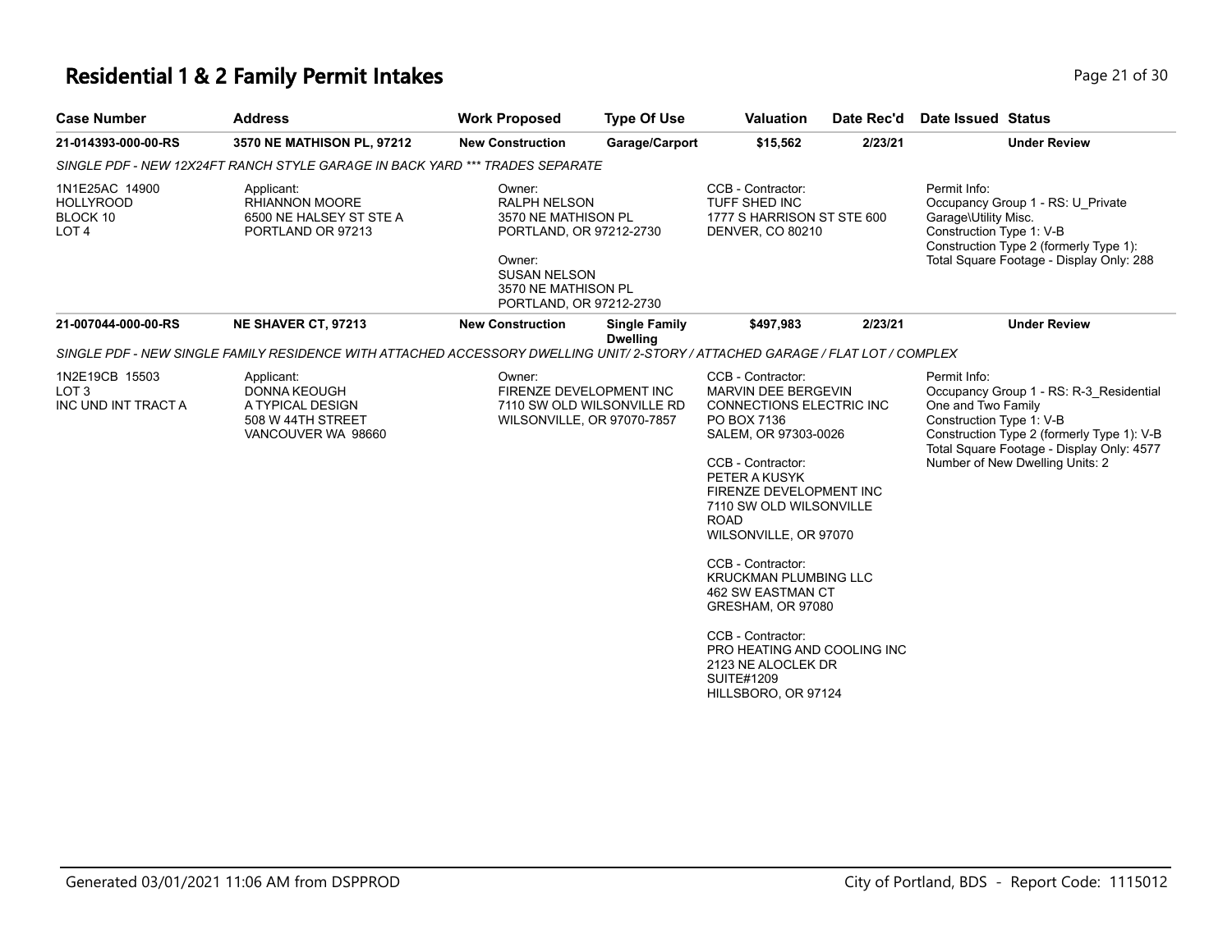## **Residential 1 & 2 Family Permit Intakes Page 21 of 30 Page 21 of 30**

| <b>Case Number</b>                                                 | <b>Address</b>                                                                                                                 | <b>Work Proposed</b>                                                                                                                                               | <b>Type Of Use</b>                      | <b>Valuation</b>                                                                                                                                                                                                                                                                                                                                                                                                                                                                   | Date Rec'd | Date Issued Status                                                                                                                                                                                                                      |
|--------------------------------------------------------------------|--------------------------------------------------------------------------------------------------------------------------------|--------------------------------------------------------------------------------------------------------------------------------------------------------------------|-----------------------------------------|------------------------------------------------------------------------------------------------------------------------------------------------------------------------------------------------------------------------------------------------------------------------------------------------------------------------------------------------------------------------------------------------------------------------------------------------------------------------------------|------------|-----------------------------------------------------------------------------------------------------------------------------------------------------------------------------------------------------------------------------------------|
| 21-014393-000-00-RS                                                | 3570 NE MATHISON PL, 97212                                                                                                     | <b>New Construction</b>                                                                                                                                            | Garage/Carport                          | \$15,562                                                                                                                                                                                                                                                                                                                                                                                                                                                                           | 2/23/21    | <b>Under Review</b>                                                                                                                                                                                                                     |
|                                                                    | SINGLE PDF - NEW 12X24FT RANCH STYLE GARAGE IN BACK YARD *** TRADES SEPARATE                                                   |                                                                                                                                                                    |                                         |                                                                                                                                                                                                                                                                                                                                                                                                                                                                                    |            |                                                                                                                                                                                                                                         |
| 1N1E25AC 14900<br><b>HOLLYROOD</b><br>BLOCK 10<br>LOT <sub>4</sub> | Applicant:<br><b>RHIANNON MOORE</b><br>6500 NE HALSEY ST STE A<br>PORTLAND OR 97213                                            | Owner:<br><b>RALPH NELSON</b><br>3570 NE MATHISON PL<br>PORTLAND, OR 97212-2730<br>Owner:<br><b>SUSAN NELSON</b><br>3570 NE MATHISON PL<br>PORTLAND, OR 97212-2730 |                                         | CCB - Contractor:<br>TUFF SHED INC<br>1777 S HARRISON ST STE 600<br><b>DENVER, CO 80210</b>                                                                                                                                                                                                                                                                                                                                                                                        |            | Permit Info:<br>Occupancy Group 1 - RS: U Private<br>Garage\Utility Misc.<br>Construction Type 1: V-B<br>Construction Type 2 (formerly Type 1):<br>Total Square Footage - Display Only: 288                                             |
| 21-007044-000-00-RS                                                | NE SHAVER CT, 97213                                                                                                            | <b>New Construction</b>                                                                                                                                            | <b>Single Family</b><br><b>Dwelling</b> | \$497,983                                                                                                                                                                                                                                                                                                                                                                                                                                                                          | 2/23/21    | <b>Under Review</b>                                                                                                                                                                                                                     |
|                                                                    | SINGLE PDF - NEW SINGLE FAMILY RESIDENCE WITH ATTACHED ACCESSORY DWELLING UNIT/ 2-STORY / ATTACHED GARAGE / FLAT LOT / COMPLEX |                                                                                                                                                                    |                                         |                                                                                                                                                                                                                                                                                                                                                                                                                                                                                    |            |                                                                                                                                                                                                                                         |
| 1N2E19CB 15503<br>LOT <sub>3</sub><br>INC UND INT TRACT A          | Applicant:<br><b>DONNA KEOUGH</b><br>A TYPICAL DESIGN<br>508 W 44TH STREET<br>VANCOUVER WA 98660                               | Owner:<br>FIRENZE DEVELOPMENT INC<br>WILSONVILLE, OR 97070-7857                                                                                                    | 7110 SW OLD WILSONVILLE RD              | CCB - Contractor:<br><b>MARVIN DEE BERGEVIN</b><br><b>CONNECTIONS ELECTRIC INC</b><br>PO BOX 7136<br>SALEM, OR 97303-0026<br>CCB - Contractor:<br>PETER A KUSYK<br>FIRENZE DEVELOPMENT INC<br>7110 SW OLD WILSONVILLE<br><b>ROAD</b><br>WILSONVILLE, OR 97070<br>CCB - Contractor:<br><b>KRUCKMAN PLUMBING LLC</b><br>462 SW EASTMAN CT<br>GRESHAM, OR 97080<br>CCB - Contractor:<br>PRO HEATING AND COOLING INC<br>2123 NE ALOCLEK DR<br><b>SUITE#1209</b><br>HILLSBORO, OR 97124 |            | Permit Info:<br>Occupancy Group 1 - RS: R-3 Residential<br>One and Two Family<br>Construction Type 1: V-B<br>Construction Type 2 (formerly Type 1): V-B<br>Total Square Footage - Display Only: 4577<br>Number of New Dwelling Units: 2 |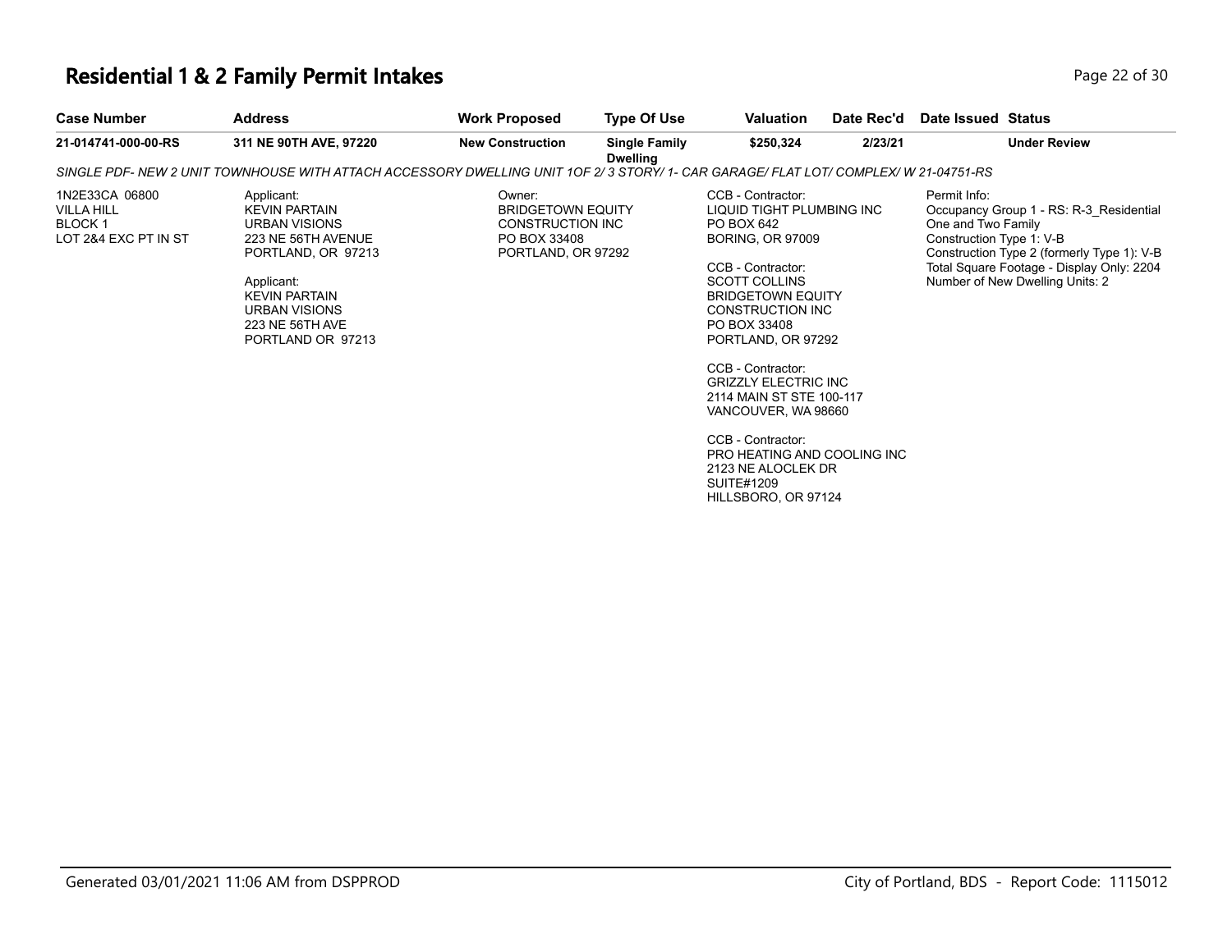#### **Residential 1 & 2 Family Permit Intakes Page 12 of 30** Page 22 of 30

| <b>Case Number</b>                                                           | <b>Address</b>                                                                                                                                                                                               | <b>Work Proposed</b>                                                                         | <b>Type Of Use</b>                      | Valuation                                                                                                                                                                                                                                                                                                                         | Date Rec'd | Date Issued Status                                                                                                                                                                                                                      |
|------------------------------------------------------------------------------|--------------------------------------------------------------------------------------------------------------------------------------------------------------------------------------------------------------|----------------------------------------------------------------------------------------------|-----------------------------------------|-----------------------------------------------------------------------------------------------------------------------------------------------------------------------------------------------------------------------------------------------------------------------------------------------------------------------------------|------------|-----------------------------------------------------------------------------------------------------------------------------------------------------------------------------------------------------------------------------------------|
| 21-014741-000-00-RS                                                          | 311 NE 90TH AVE, 97220                                                                                                                                                                                       | <b>New Construction</b>                                                                      | <b>Single Family</b><br><b>Dwelling</b> | \$250,324                                                                                                                                                                                                                                                                                                                         | 2/23/21    | <b>Under Review</b>                                                                                                                                                                                                                     |
|                                                                              | SINGLE PDF- NEW 2 UNIT TOWNHOUSE WITH ATTACH ACCESSORY DWELLING UNIT 1OF 2/3 STORY/ 1- CAR GARAGE/ FLAT LOT/ COMPLEX/ W 21-04751-RS                                                                          |                                                                                              |                                         |                                                                                                                                                                                                                                                                                                                                   |            |                                                                                                                                                                                                                                         |
| 1N2E33CA 06800<br><b>VILLA HILL</b><br><b>BLOCK1</b><br>LOT 2&4 EXC PT IN ST | Applicant:<br><b>KEVIN PARTAIN</b><br><b>URBAN VISIONS</b><br>223 NE 56TH AVENUE<br>PORTLAND, OR 97213<br>Applicant:<br><b>KEVIN PARTAIN</b><br><b>URBAN VISIONS</b><br>223 NE 56TH AVE<br>PORTLAND OR 97213 | Owner:<br><b>BRIDGETOWN EQUITY</b><br>CONSTRUCTION INC<br>PO BOX 33408<br>PORTLAND, OR 97292 |                                         | CCB - Contractor:<br>LIQUID TIGHT PLUMBING INC<br>PO BOX 642<br><b>BORING, OR 97009</b><br>CCB - Contractor:<br><b>SCOTT COLLINS</b><br><b>BRIDGETOWN EQUITY</b><br>CONSTRUCTION INC<br>PO BOX 33408<br>PORTLAND, OR 97292<br>CCB - Contractor:<br><b>GRIZZLY ELECTRIC INC</b><br>2114 MAIN ST STE 100-117<br>VANCOUVER, WA 98660 |            | Permit Info:<br>Occupancy Group 1 - RS: R-3 Residential<br>One and Two Family<br>Construction Type 1: V-B<br>Construction Type 2 (formerly Type 1): V-B<br>Total Square Footage - Display Only: 2204<br>Number of New Dwelling Units: 2 |
|                                                                              |                                                                                                                                                                                                              |                                                                                              |                                         | $\bigcap_{n=1}^{\infty}$ $\bigcap_{n=1}^{\infty}$ $\bigcap_{n=1}^{\infty}$                                                                                                                                                                                                                                                        |            |                                                                                                                                                                                                                                         |

CCB - Contractor: PRO HEATING AND COOLING INC 2123 NE ALOCLEK DR SUITE#1209 HILLSBORO, OR 97124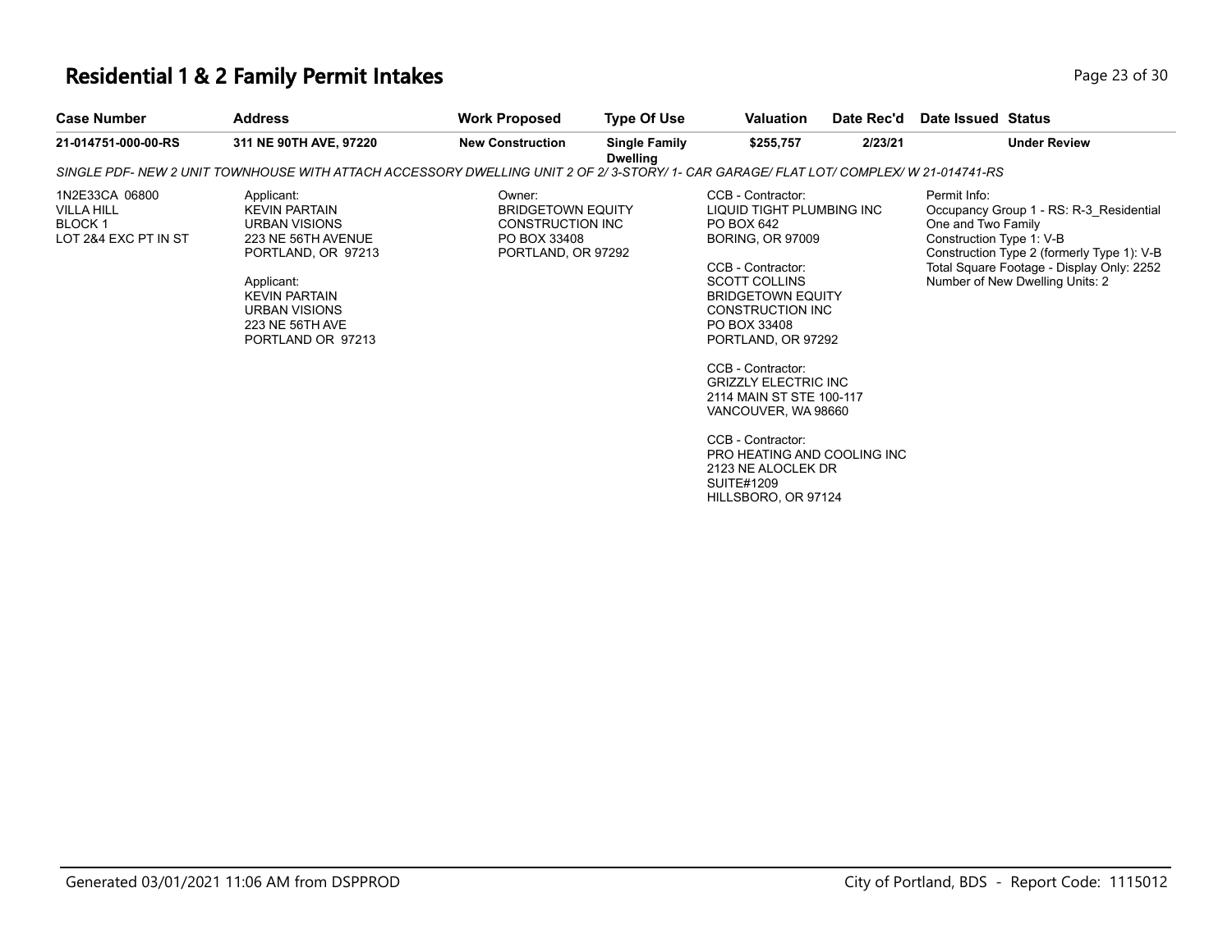### **Residential 1 & 2 Family Permit Intakes Page 13 of 30 Page 23 of 30**

| <b>Case Number</b>                                                           | <b>Address</b>                                                                                                                                                                                 | <b>Work Proposed</b>                                                                         | <b>Type Of Use</b>                      | Valuation                                                                                                                                                                                                                                                                                                                                                                                                                               | Date Rec'd | Date Issued Status                                             |                                                                                                                                                                       |
|------------------------------------------------------------------------------|------------------------------------------------------------------------------------------------------------------------------------------------------------------------------------------------|----------------------------------------------------------------------------------------------|-----------------------------------------|-----------------------------------------------------------------------------------------------------------------------------------------------------------------------------------------------------------------------------------------------------------------------------------------------------------------------------------------------------------------------------------------------------------------------------------------|------------|----------------------------------------------------------------|-----------------------------------------------------------------------------------------------------------------------------------------------------------------------|
| 21-014751-000-00-RS                                                          | 311 NE 90TH AVE, 97220                                                                                                                                                                         | <b>New Construction</b>                                                                      | <b>Single Family</b><br><b>Dwelling</b> | \$255,757                                                                                                                                                                                                                                                                                                                                                                                                                               | 2/23/21    |                                                                | <b>Under Review</b>                                                                                                                                                   |
|                                                                              | SINGLE PDF- NEW 2 UNIT TOWNHOUSE WITH ATTACH ACCESSORY DWELLING UNIT 2 OF 2/3-STORY/ 1- CAR GARAGE/ FLAT LOT/ COMPLEX/ W 21-014741-RS                                                          |                                                                                              |                                         |                                                                                                                                                                                                                                                                                                                                                                                                                                         |            |                                                                |                                                                                                                                                                       |
| 1N2E33CA 06800<br><b>VILLA HILL</b><br><b>BLOCK1</b><br>LOT 2&4 EXC PT IN ST | Applicant:<br><b>KEVIN PARTAIN</b><br>URBAN VISIONS<br>223 NE 56TH AVENUE<br>PORTLAND, OR 97213<br>Applicant:<br><b>KEVIN PARTAIN</b><br>URBAN VISIONS<br>223 NE 56TH AVE<br>PORTLAND OR 97213 | Owner:<br><b>BRIDGETOWN EQUITY</b><br>CONSTRUCTION INC<br>PO BOX 33408<br>PORTLAND, OR 97292 |                                         | CCB - Contractor:<br>LIQUID TIGHT PLUMBING INC<br>PO BOX 642<br><b>BORING, OR 97009</b><br>CCB - Contractor:<br><b>SCOTT COLLINS</b><br><b>BRIDGETOWN EQUITY</b><br><b>CONSTRUCTION INC</b><br>PO BOX 33408<br>PORTLAND, OR 97292<br>CCB - Contractor:<br><b>GRIZZLY ELECTRIC INC</b><br>2114 MAIN ST STE 100-117<br>VANCOUVER, WA 98660<br>CCB - Contractor:<br>PRO HEATING AND COOLING INC<br>2123 NE ALOCLEK DR<br><b>SUITE#1209</b> |            | Permit Info:<br>One and Two Family<br>Construction Type 1: V-B | Occupancy Group 1 - RS: R-3 Residential<br>Construction Type 2 (formerly Type 1): V-B<br>Total Square Footage - Display Only: 2252<br>Number of New Dwelling Units: 2 |

HILLSBORO, OR 97124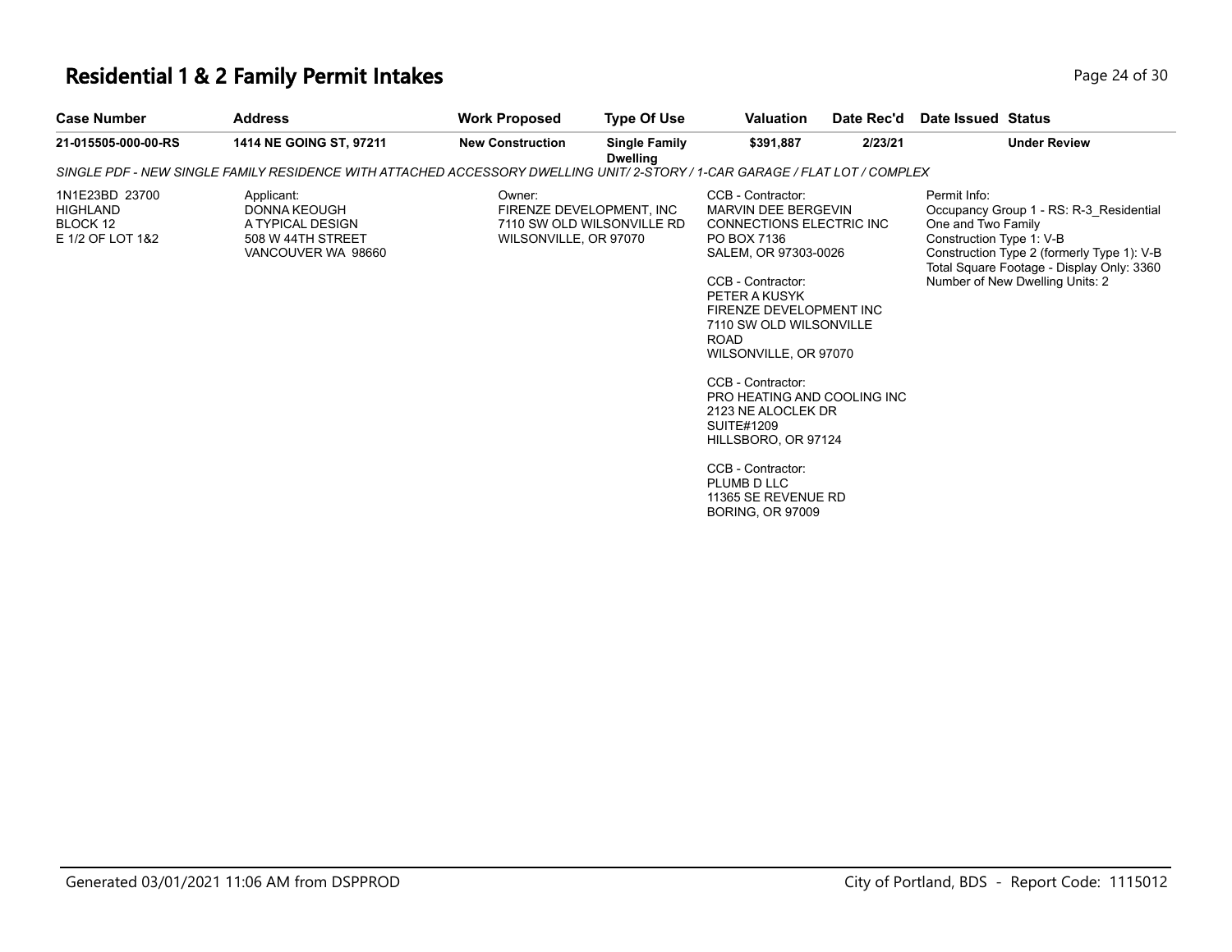# **Residential 1 & 2 Family Permit Intakes Page 24 of 30 Page 24 of 30**

| <b>Case Number</b>                                                | <b>Address</b>                                                                                                              | <b>Work Proposed</b>            | <b>Type Of Use</b>                                     | Valuation                                                                                                                                                                                                                                                                                                                                                                                                                                                           | Date Rec'd | Date Issued Status                                                                                                                                                                                                                      |
|-------------------------------------------------------------------|-----------------------------------------------------------------------------------------------------------------------------|---------------------------------|--------------------------------------------------------|---------------------------------------------------------------------------------------------------------------------------------------------------------------------------------------------------------------------------------------------------------------------------------------------------------------------------------------------------------------------------------------------------------------------------------------------------------------------|------------|-----------------------------------------------------------------------------------------------------------------------------------------------------------------------------------------------------------------------------------------|
| 21-015505-000-00-RS                                               | 1414 NE GOING ST, 97211                                                                                                     | <b>New Construction</b>         | <b>Single Family</b><br><b>Dwelling</b>                | \$391,887                                                                                                                                                                                                                                                                                                                                                                                                                                                           | 2/23/21    | <b>Under Review</b>                                                                                                                                                                                                                     |
|                                                                   | SINGLE PDF - NEW SINGLE FAMILY RESIDENCE WITH ATTACHED ACCESSORY DWELLING UNIT/ 2-STORY / 1-CAR GARAGE / FLAT LOT / COMPLEX |                                 |                                                        |                                                                                                                                                                                                                                                                                                                                                                                                                                                                     |            |                                                                                                                                                                                                                                         |
| 1N1E23BD 23700<br><b>HIGHLAND</b><br>BLOCK 12<br>E 1/2 OF LOT 1&2 | Applicant:<br>DONNA KEOUGH<br>A TYPICAL DESIGN<br>508 W 44TH STREET<br>VANCOUVER WA 98660                                   | Owner:<br>WILSONVILLE, OR 97070 | FIRENZE DEVELOPMENT. INC<br>7110 SW OLD WILSONVILLE RD | CCB - Contractor:<br>MARVIN DEE BERGEVIN<br><b>CONNECTIONS ELECTRIC INC.</b><br>PO BOX 7136<br>SALEM, OR 97303-0026<br>CCB - Contractor:<br>PETER A KUSYK<br>FIRENZE DEVELOPMENT INC<br>7110 SW OLD WILSONVILLE<br><b>ROAD</b><br>WILSONVILLE, OR 97070<br>CCB - Contractor:<br>PRO HEATING AND COOLING INC<br>2123 NE ALOCLEK DR<br><b>SUITE#1209</b><br>HILLSBORO, OR 97124<br>CCB - Contractor:<br>PLUMB D LLC<br>11365 SE REVENUE RD<br><b>BORING, OR 97009</b> |            | Permit Info:<br>Occupancy Group 1 - RS: R-3 Residential<br>One and Two Family<br>Construction Type 1: V-B<br>Construction Type 2 (formerly Type 1): V-B<br>Total Square Footage - Display Only: 3360<br>Number of New Dwelling Units: 2 |
|                                                                   |                                                                                                                             |                                 |                                                        |                                                                                                                                                                                                                                                                                                                                                                                                                                                                     |            |                                                                                                                                                                                                                                         |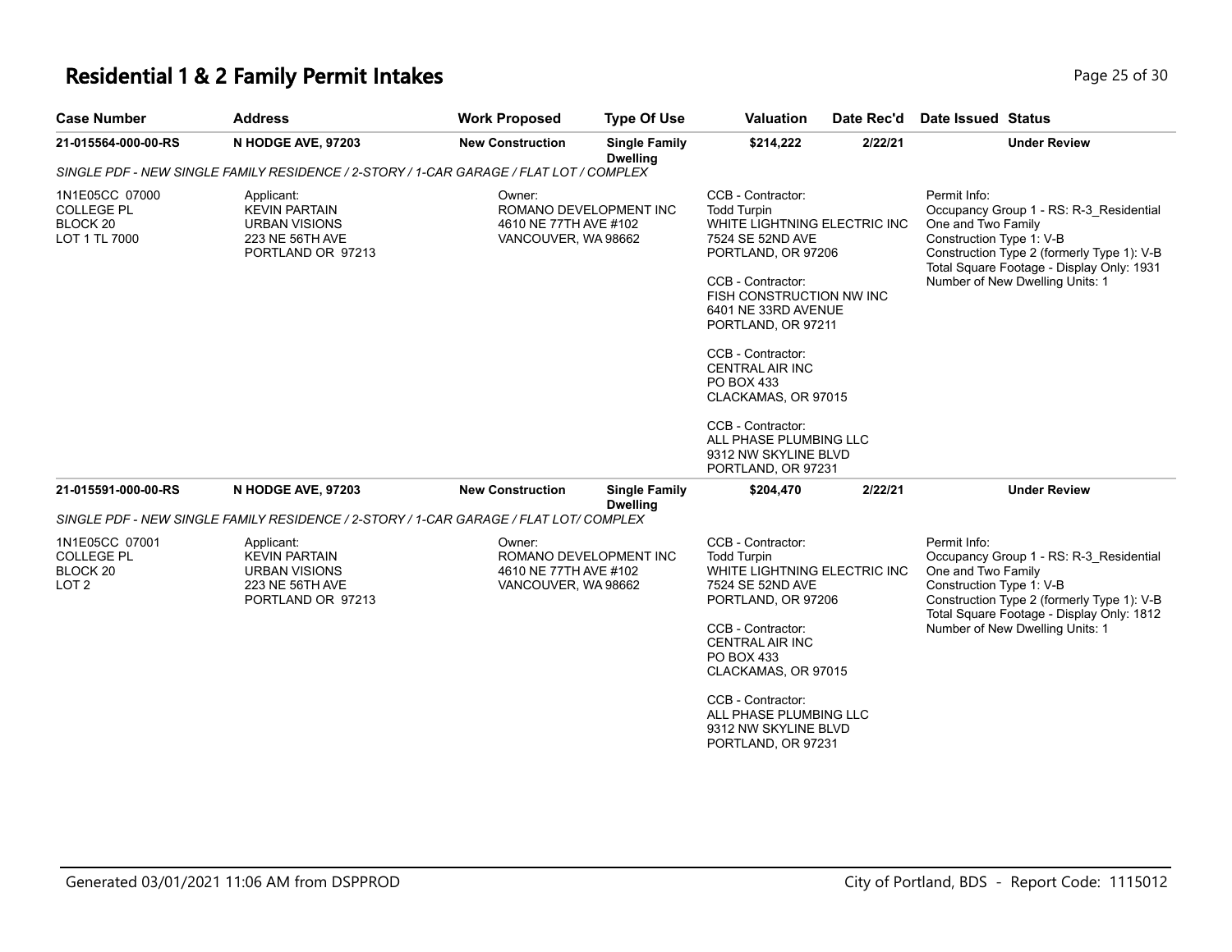### **Residential 1 & 2 Family Permit Intakes Page 25 of 30 Page 25 of 30**

| <b>Case Number</b>                                        | <b>Address</b>                                                                                     | <b>Work Proposed</b>                                                             | <b>Type Of Use</b>                      | <b>Valuation</b>                                                                                                                                                                                                                                                                                                                                                                                        | Date Rec'd | Date Issued Status                                                                                                                                                                                                                      |
|-----------------------------------------------------------|----------------------------------------------------------------------------------------------------|----------------------------------------------------------------------------------|-----------------------------------------|---------------------------------------------------------------------------------------------------------------------------------------------------------------------------------------------------------------------------------------------------------------------------------------------------------------------------------------------------------------------------------------------------------|------------|-----------------------------------------------------------------------------------------------------------------------------------------------------------------------------------------------------------------------------------------|
| 21-015564-000-00-RS                                       | N HODGE AVE, 97203                                                                                 | <b>New Construction</b>                                                          | <b>Single Family</b><br><b>Dwelling</b> | \$214,222                                                                                                                                                                                                                                                                                                                                                                                               | 2/22/21    | <b>Under Review</b>                                                                                                                                                                                                                     |
|                                                           | SINGLE PDF - NEW SINGLE FAMILY RESIDENCE / 2-STORY / 1-CAR GARAGE / FLAT LOT / COMPLEX             |                                                                                  |                                         |                                                                                                                                                                                                                                                                                                                                                                                                         |            |                                                                                                                                                                                                                                         |
| 1N1E05CC 07000<br>COLLEGE PL<br>BLOCK 20<br>LOT 1 TL 7000 | Applicant:<br><b>KEVIN PARTAIN</b><br><b>URBAN VISIONS</b><br>223 NE 56TH AVE<br>PORTLAND OR 97213 | Owner:<br>4610 NE 77TH AVE #102<br>VANCOUVER, WA 98662                           | ROMANO DEVELOPMENT INC                  | CCB - Contractor:<br><b>Todd Turpin</b><br>WHITE LIGHTNING ELECTRIC INC<br>7524 SE 52ND AVE<br>PORTLAND, OR 97206<br>CCB - Contractor:<br>FISH CONSTRUCTION NW INC<br>6401 NE 33RD AVENUE<br>PORTLAND, OR 97211<br>CCB - Contractor:<br><b>CENTRAL AIR INC</b><br><b>PO BOX 433</b><br>CLACKAMAS, OR 97015<br>CCB - Contractor:<br>ALL PHASE PLUMBING LLC<br>9312 NW SKYLINE BLVD<br>PORTLAND, OR 97231 |            | Permit Info:<br>Occupancy Group 1 - RS: R-3 Residential<br>One and Two Family<br>Construction Type 1: V-B<br>Construction Type 2 (formerly Type 1): V-B<br>Total Square Footage - Display Only: 1931<br>Number of New Dwelling Units: 1 |
| 21-015591-000-00-RS                                       | N HODGE AVE, 97203                                                                                 | <b>New Construction</b>                                                          | <b>Single Family</b><br><b>Dwelling</b> | \$204,470                                                                                                                                                                                                                                                                                                                                                                                               | 2/22/21    | <b>Under Review</b>                                                                                                                                                                                                                     |
|                                                           | SINGLE PDF - NEW SINGLE FAMILY RESIDENCE / 2-STORY / 1-CAR GARAGE / FLAT LOT/ COMPLEX              |                                                                                  |                                         |                                                                                                                                                                                                                                                                                                                                                                                                         |            |                                                                                                                                                                                                                                         |
| 1N1E05CC 07001<br>COLLEGE PL<br>BLOCK 20<br>LOT 2         | Applicant:<br><b>KEVIN PARTAIN</b><br><b>URBAN VISIONS</b><br>223 NE 56TH AVE<br>PORTLAND OR 97213 | Owner:<br>ROMANO DEVELOPMENT INC<br>4610 NE 77TH AVE #102<br>VANCOUVER, WA 98662 |                                         | CCB - Contractor:<br><b>Todd Turpin</b><br>WHITE LIGHTNING ELECTRIC INC<br>7524 SE 52ND AVE<br>PORTLAND, OR 97206<br>CCB - Contractor:<br><b>CENTRAL AIR INC</b><br>PO BOX 433<br>CLACKAMAS, OR 97015<br>CCB - Contractor:<br>ALL PHASE PLUMBING LLC                                                                                                                                                    |            | Permit Info:<br>Occupancy Group 1 - RS: R-3 Residential<br>One and Two Family<br>Construction Type 1: V-B<br>Construction Type 2 (formerly Type 1): V-B<br>Total Square Footage - Display Only: 1812<br>Number of New Dwelling Units: 1 |

PORTLAND, OR 97231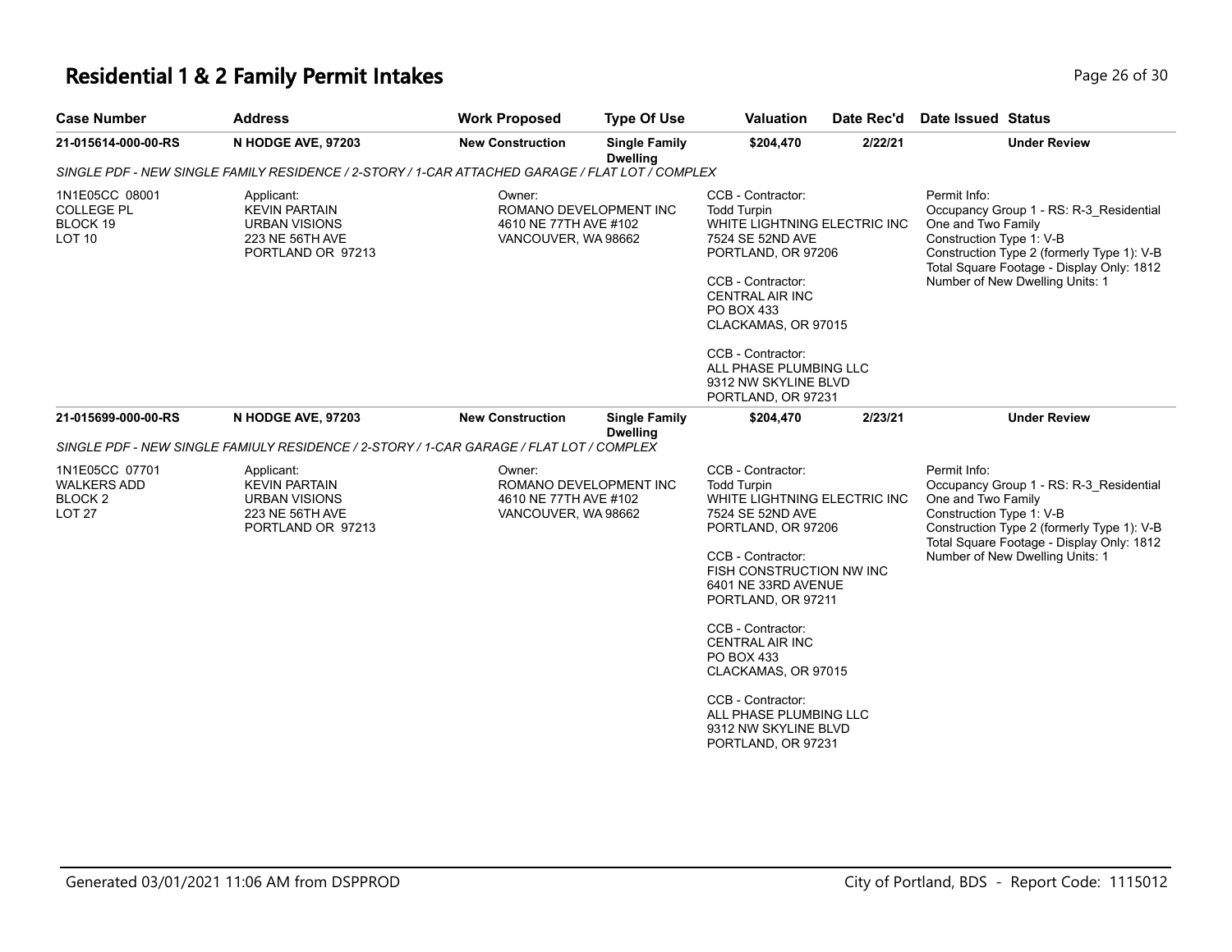# **Residential 1 & 2 Family Permit Intakes**

| Page 26 of 30 |  |  |
|---------------|--|--|
|---------------|--|--|

| <b>Case Number</b>                                                     | <b>Address</b>                                                                                     | <b>Work Proposed</b>                                                             | <b>Type Of Use</b>                      | <b>Valuation</b>                                                                                                                                                                                                                                                                                                                                                                                 | Date Rec'd | <b>Date Issued Status</b>                                                                                                                                                                                                               |
|------------------------------------------------------------------------|----------------------------------------------------------------------------------------------------|----------------------------------------------------------------------------------|-----------------------------------------|--------------------------------------------------------------------------------------------------------------------------------------------------------------------------------------------------------------------------------------------------------------------------------------------------------------------------------------------------------------------------------------------------|------------|-----------------------------------------------------------------------------------------------------------------------------------------------------------------------------------------------------------------------------------------|
| 21-015614-000-00-RS                                                    | N HODGE AVE, 97203                                                                                 | <b>New Construction</b>                                                          | <b>Single Family</b><br><b>Dwelling</b> | \$204,470                                                                                                                                                                                                                                                                                                                                                                                        | 2/22/21    | <b>Under Review</b>                                                                                                                                                                                                                     |
|                                                                        | SINGLE PDF - NEW SINGLE FAMILY RESIDENCE / 2-STORY / 1-CAR ATTACHED GARAGE / FLAT LOT / COMPLEX    |                                                                                  |                                         |                                                                                                                                                                                                                                                                                                                                                                                                  |            |                                                                                                                                                                                                                                         |
| 1N1E05CC 08001<br><b>COLLEGE PL</b><br>BLOCK 19<br><b>LOT 10</b>       | Applicant:<br><b>KEVIN PARTAIN</b><br><b>URBAN VISIONS</b><br>223 NE 56TH AVE<br>PORTLAND OR 97213 | Owner:<br>ROMANO DEVELOPMENT INC<br>4610 NE 77TH AVE #102<br>VANCOUVER, WA 98662 |                                         | CCB - Contractor:<br><b>Todd Turpin</b><br>WHITE LIGHTNING ELECTRIC INC<br>7524 SE 52ND AVE<br>PORTLAND, OR 97206<br>CCB - Contractor:<br><b>CENTRAL AIR INC</b><br>PO BOX 433<br>CLACKAMAS, OR 97015<br>CCB - Contractor:<br>ALL PHASE PLUMBING LLC<br>9312 NW SKYLINE BLVD<br>PORTLAND, OR 97231                                                                                               |            | Permit Info:<br>Occupancy Group 1 - RS: R-3_Residential<br>One and Two Family<br>Construction Type 1: V-B<br>Construction Type 2 (formerly Type 1): V-B<br>Total Square Footage - Display Only: 1812<br>Number of New Dwelling Units: 1 |
| 21-015699-000-00-RS                                                    | N HODGE AVE, 97203                                                                                 | <b>New Construction</b>                                                          | <b>Single Family</b><br><b>Dwelling</b> | \$204,470                                                                                                                                                                                                                                                                                                                                                                                        | 2/23/21    | <b>Under Review</b>                                                                                                                                                                                                                     |
|                                                                        | SINGLE PDF - NEW SINGLE FAMIULY RESIDENCE / 2-STORY / 1-CAR GARAGE / FLAT LOT / COMPLEX            |                                                                                  |                                         |                                                                                                                                                                                                                                                                                                                                                                                                  |            |                                                                                                                                                                                                                                         |
| 1N1E05CC 07701<br><b>WALKERS ADD</b><br><b>BLOCK2</b><br><b>LOT 27</b> | Applicant:<br><b>KEVIN PARTAIN</b><br><b>URBAN VISIONS</b><br>223 NE 56TH AVE<br>PORTLAND OR 97213 | Owner:<br>ROMANO DEVELOPMENT INC<br>4610 NE 77TH AVE #102<br>VANCOUVER, WA 98662 |                                         | CCB - Contractor:<br><b>Todd Turpin</b><br>WHITE LIGHTNING ELECTRIC INC<br>7524 SE 52ND AVE<br>PORTLAND, OR 97206<br>CCB - Contractor:<br>FISH CONSTRUCTION NW INC<br>6401 NE 33RD AVENUE<br>PORTLAND, OR 97211<br>CCB - Contractor:<br><b>CENTRAL AIR INC</b><br>PO BOX 433<br>CLACKAMAS, OR 97015<br>CCB - Contractor:<br>ALL PHASE PLUMBING LLC<br>9312 NW SKYLINE BLVD<br>PORTLAND, OR 97231 |            | Permit Info:<br>Occupancy Group 1 - RS: R-3 Residential<br>One and Two Family<br>Construction Type 1: V-B<br>Construction Type 2 (formerly Type 1): V-B<br>Total Square Footage - Display Only: 1812<br>Number of New Dwelling Units: 1 |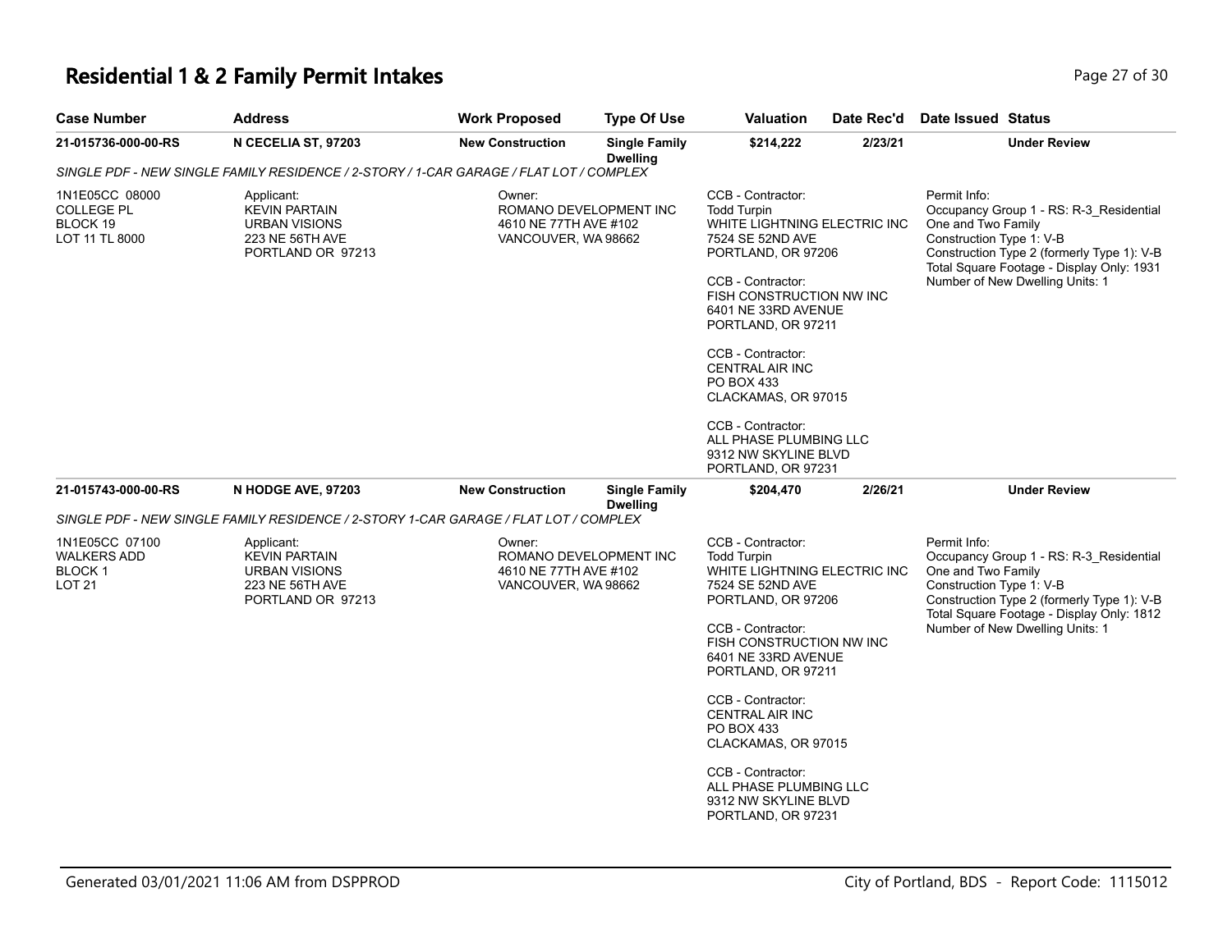### **Residential 1 & 2 Family Permit Intakes Page 27 of 30 Page 27 of 30**

| <b>Case Number</b>                                         | <b>Address</b>                                                                                     | <b>Work Proposed</b>                                                             | <b>Type Of Use</b>                      | <b>Valuation</b>                                                                                                                                                                                                                                                                                                                                                           | Date Rec'd | Date Issued Status                                                                                                                                                                                                                      |
|------------------------------------------------------------|----------------------------------------------------------------------------------------------------|----------------------------------------------------------------------------------|-----------------------------------------|----------------------------------------------------------------------------------------------------------------------------------------------------------------------------------------------------------------------------------------------------------------------------------------------------------------------------------------------------------------------------|------------|-----------------------------------------------------------------------------------------------------------------------------------------------------------------------------------------------------------------------------------------|
| 21-015736-000-00-RS                                        | N CECELIA ST, 97203                                                                                | <b>New Construction</b>                                                          | <b>Single Family</b><br><b>Dwelling</b> | \$214,222                                                                                                                                                                                                                                                                                                                                                                  | 2/23/21    | <b>Under Review</b>                                                                                                                                                                                                                     |
|                                                            | SINGLE PDF - NEW SINGLE FAMILY RESIDENCE / 2-STORY / 1-CAR GARAGE / FLAT LOT / COMPLEX             |                                                                                  |                                         |                                                                                                                                                                                                                                                                                                                                                                            |            |                                                                                                                                                                                                                                         |
| 1N1E05CC 08000<br>COLLEGE PL<br>BLOCK 19<br>LOT 11 TL 8000 | Applicant:<br><b>KEVIN PARTAIN</b><br><b>URBAN VISIONS</b><br>223 NE 56TH AVE<br>PORTLAND OR 97213 | Owner:<br>ROMANO DEVELOPMENT INC<br>4610 NE 77TH AVE #102<br>VANCOUVER, WA 98662 |                                         | CCB - Contractor:<br><b>Todd Turpin</b><br>WHITE LIGHTNING ELECTRIC INC<br>7524 SE 52ND AVE<br>PORTLAND, OR 97206<br>CCB - Contractor:<br>FISH CONSTRUCTION NW INC<br>6401 NE 33RD AVENUE<br>PORTLAND, OR 97211<br>CCB - Contractor:<br><b>CENTRAL AIR INC</b><br>PO BOX 433<br>CLACKAMAS, OR 97015<br>CCB - Contractor:<br>ALL PHASE PLUMBING LLC<br>9312 NW SKYLINE BLVD |            | Permit Info:<br>Occupancy Group 1 - RS: R-3 Residential<br>One and Two Family<br>Construction Type 1: V-B<br>Construction Type 2 (formerly Type 1): V-B<br>Total Square Footage - Display Only: 1931<br>Number of New Dwelling Units: 1 |
| 21-015743-000-00-RS                                        | N HODGE AVE, 97203                                                                                 | <b>New Construction</b>                                                          | <b>Single Family</b>                    | PORTLAND, OR 97231<br>\$204,470                                                                                                                                                                                                                                                                                                                                            | 2/26/21    | <b>Under Review</b>                                                                                                                                                                                                                     |
|                                                            | SINGLE PDF - NEW SINGLE FAMILY RESIDENCE / 2-STORY 1-CAR GARAGE / FLAT LOT / COMPLEX               |                                                                                  | <b>Dwelling</b>                         |                                                                                                                                                                                                                                                                                                                                                                            |            |                                                                                                                                                                                                                                         |
| 1N1E05CC 07100<br><b>WALKERS ADD</b><br>BLOCK 1<br>LOT 21  | Applicant:<br><b>KEVIN PARTAIN</b><br><b>URBAN VISIONS</b><br>223 NE 56TH AVE<br>PORTLAND OR 97213 | Owner:<br>ROMANO DEVELOPMENT INC<br>4610 NE 77TH AVE #102<br>VANCOUVER, WA 98662 |                                         | CCB - Contractor:<br><b>Todd Turpin</b><br>WHITE LIGHTNING ELECTRIC INC<br>7524 SE 52ND AVE<br>PORTLAND, OR 97206<br>CCB - Contractor:<br>FISH CONSTRUCTION NW INC<br>6401 NE 33RD AVENUE<br>PORTLAND, OR 97211<br>CCB - Contractor:<br>CENTRAL AIR INC<br>PO BOX 433<br>CLACKAMAS, OR 97015                                                                               |            | Permit Info:<br>Occupancy Group 1 - RS: R-3_Residential<br>One and Two Family<br>Construction Type 1: V-B<br>Construction Type 2 (formerly Type 1): V-B<br>Total Square Footage - Display Only: 1812<br>Number of New Dwelling Units: 1 |
|                                                            |                                                                                                    |                                                                                  |                                         | CCB - Contractor:<br>ALL PHASE PLUMBING LLC<br>9312 NW SKYLINE BLVD<br>PORTLAND, OR 97231                                                                                                                                                                                                                                                                                  |            |                                                                                                                                                                                                                                         |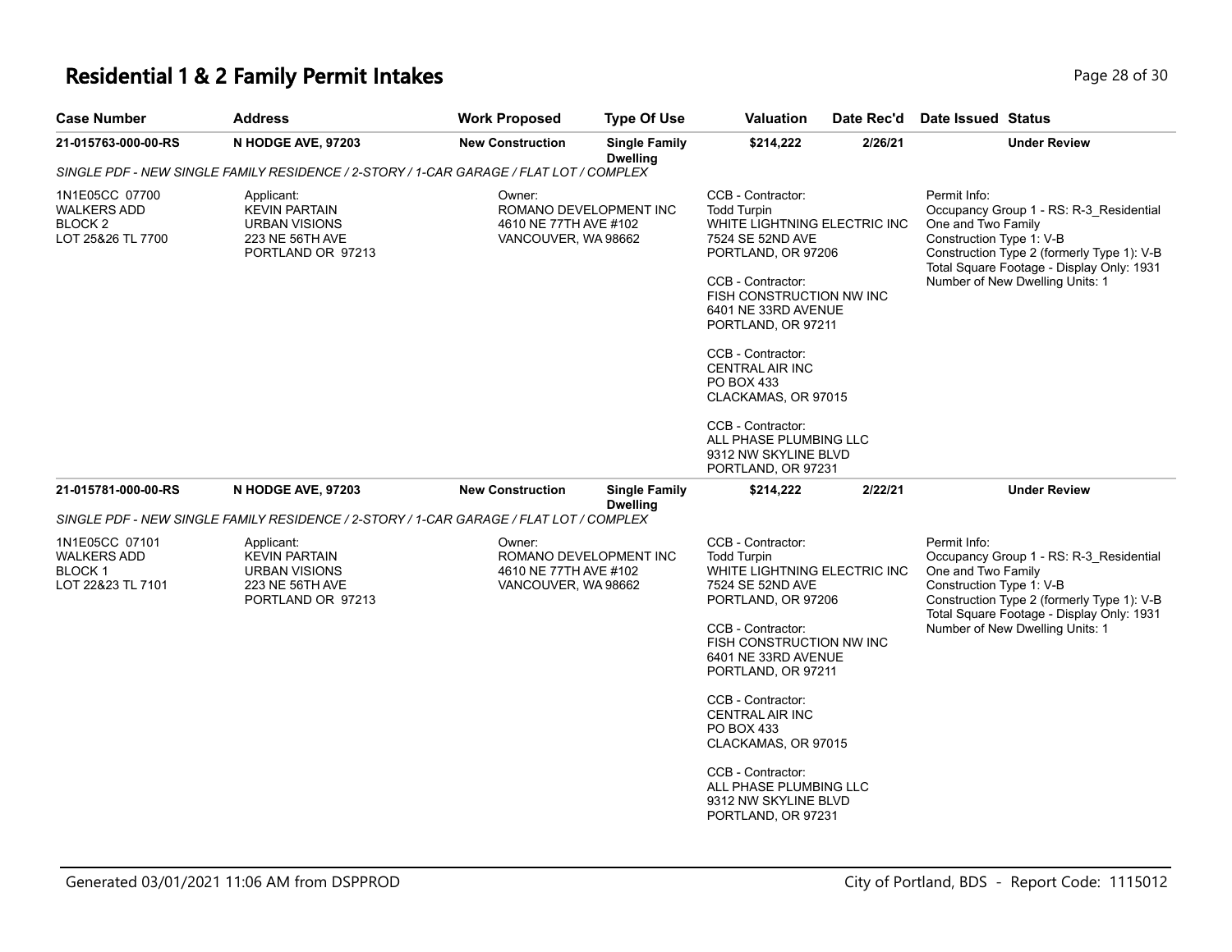### **Residential 1 & 2 Family Permit Intakes Page 18 of 30** Page 28 of 30

| <b>Case Number</b>                                                              | <b>Address</b>                                                                                                                                               | <b>Work Proposed</b>                                                             | <b>Type Of Use</b>                      | Valuation                                                                                                                                                                                                                                                                                                                                          | Date Rec'd | Date Issued Status                                                                                                                                                                                                                      |
|---------------------------------------------------------------------------------|--------------------------------------------------------------------------------------------------------------------------------------------------------------|----------------------------------------------------------------------------------|-----------------------------------------|----------------------------------------------------------------------------------------------------------------------------------------------------------------------------------------------------------------------------------------------------------------------------------------------------------------------------------------------------|------------|-----------------------------------------------------------------------------------------------------------------------------------------------------------------------------------------------------------------------------------------|
| 21-015763-000-00-RS                                                             | N HODGE AVE, 97203                                                                                                                                           | <b>New Construction</b>                                                          | <b>Single Family</b><br><b>Dwelling</b> | \$214,222                                                                                                                                                                                                                                                                                                                                          | 2/26/21    | <b>Under Review</b>                                                                                                                                                                                                                     |
|                                                                                 | SINGLE PDF - NEW SINGLE FAMILY RESIDENCE / 2-STORY / 1-CAR GARAGE / FLAT LOT / COMPLEX                                                                       |                                                                                  |                                         |                                                                                                                                                                                                                                                                                                                                                    |            |                                                                                                                                                                                                                                         |
| 1N1E05CC 07700<br><b>WALKERS ADD</b><br>BLOCK <sub>2</sub><br>LOT 25&26 TL 7700 | Applicant:<br><b>KEVIN PARTAIN</b><br><b>URBAN VISIONS</b><br>223 NE 56TH AVE<br>PORTLAND OR 97213                                                           | Owner:<br>ROMANO DEVELOPMENT INC<br>4610 NE 77TH AVE #102<br>VANCOUVER, WA 98662 |                                         | CCB - Contractor:<br><b>Todd Turpin</b><br>WHITE LIGHTNING ELECTRIC INC<br>7524 SE 52ND AVE<br>PORTLAND, OR 97206<br>CCB - Contractor:<br>FISH CONSTRUCTION NW INC<br>6401 NE 33RD AVENUE<br>PORTLAND, OR 97211<br>CCB - Contractor:<br>CENTRAL AIR INC<br><b>PO BOX 433</b><br>CLACKAMAS, OR 97015<br>CCB - Contractor:<br>ALL PHASE PLUMBING LLC |            | Permit Info:<br>Occupancy Group 1 - RS: R-3 Residential<br>One and Two Family<br>Construction Type 1: V-B<br>Construction Type 2 (formerly Type 1): V-B<br>Total Square Footage - Display Only: 1931<br>Number of New Dwelling Units: 1 |
| 21-015781-000-00-RS                                                             | N HODGE AVE, 97203                                                                                                                                           | <b>New Construction</b>                                                          | <b>Single Family</b>                    | 9312 NW SKYLINE BLVD<br>PORTLAND, OR 97231<br>\$214,222                                                                                                                                                                                                                                                                                            | 2/22/21    | <b>Under Review</b>                                                                                                                                                                                                                     |
|                                                                                 |                                                                                                                                                              |                                                                                  | <b>Dwelling</b>                         |                                                                                                                                                                                                                                                                                                                                                    |            |                                                                                                                                                                                                                                         |
|                                                                                 | SINGLE PDF - NEW SINGLE FAMILY RESIDENCE / 2-STORY / 1-CAR GARAGE / FLAT LOT / COMPLEX                                                                       |                                                                                  |                                         |                                                                                                                                                                                                                                                                                                                                                    |            |                                                                                                                                                                                                                                         |
| 1N1E05CC 07101<br><b>WALKERS ADD</b><br><b>BLOCK1</b><br>LOT 22&23 TL 7101      | Owner:<br>Applicant:<br><b>KEVIN PARTAIN</b><br>4610 NE 77TH AVE #102<br><b>URBAN VISIONS</b><br>223 NE 56TH AVE<br>VANCOUVER, WA 98662<br>PORTLAND OR 97213 |                                                                                  | ROMANO DEVELOPMENT INC                  | CCB - Contractor:<br><b>Todd Turpin</b><br>WHITE LIGHTNING ELECTRIC INC<br>7524 SE 52ND AVE<br>PORTLAND, OR 97206<br>CCB - Contractor:<br>FISH CONSTRUCTION NW INC<br>6401 NE 33RD AVENUE<br>PORTLAND, OR 97211<br>CCB - Contractor:<br>CENTRAL AIR INC                                                                                            |            | Permit Info:<br>Occupancy Group 1 - RS: R-3 Residential<br>One and Two Family<br>Construction Type 1: V-B<br>Construction Type 2 (formerly Type 1): V-B<br>Total Square Footage - Display Only: 1931<br>Number of New Dwelling Units: 1 |
|                                                                                 |                                                                                                                                                              |                                                                                  |                                         | <b>PO BOX 433</b><br>CLACKAMAS, OR 97015<br>CCB - Contractor:<br>ALL PHASE PLUMBING LLC<br>9312 NW SKYLINE BLVD                                                                                                                                                                                                                                    |            |                                                                                                                                                                                                                                         |

PORTLAND, OR 97231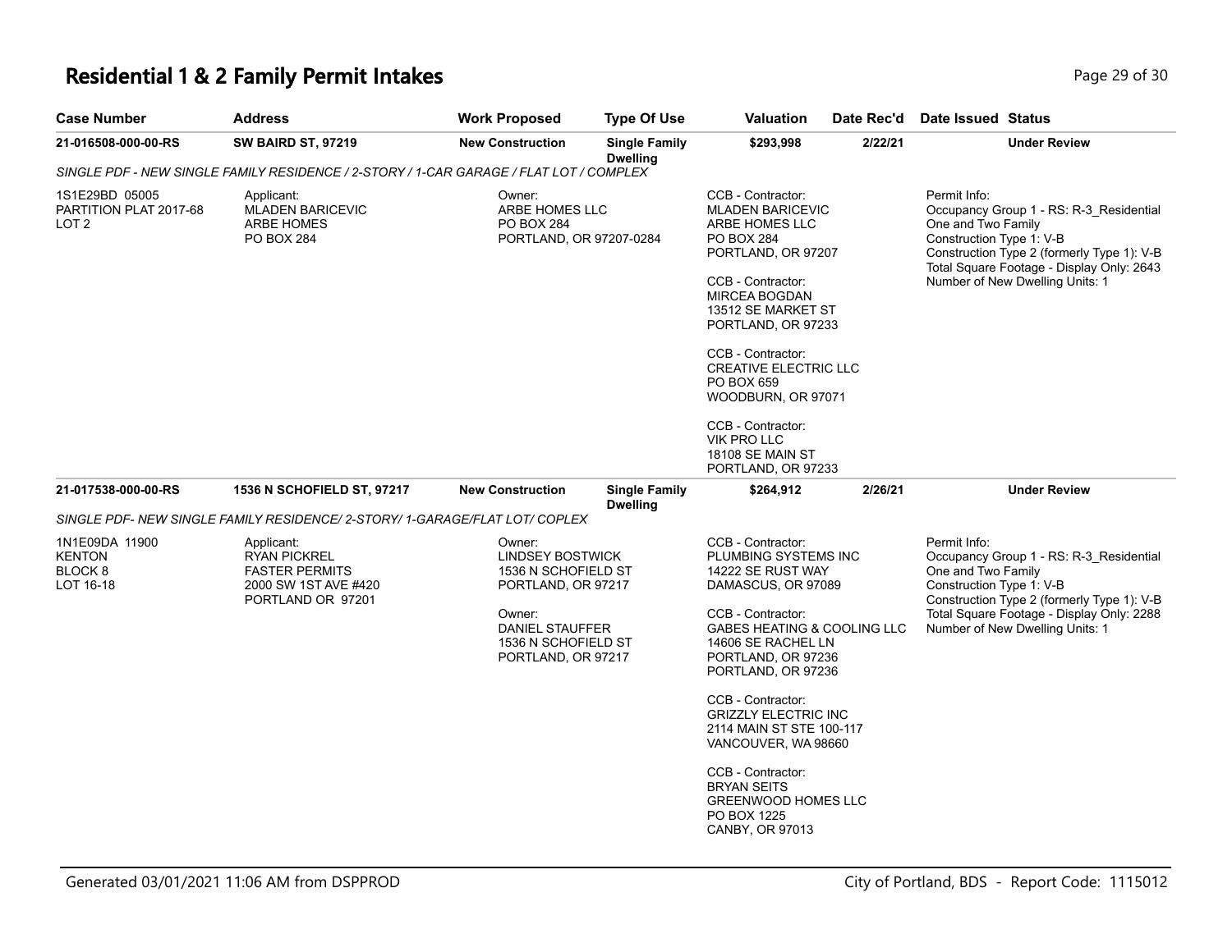# **Residential 1 & 2 Family Permit Intakes Page 11 October 29 of 30** Page 29 of 30

| <b>Case Number</b>                                | <b>Address</b>                                                                                                              | <b>Work Proposed</b>                                                     | <b>Type Of Use</b>                                                                                                                   | <b>Valuation</b>                                                                                                                                                                                                                                                                                                                                           | Date Rec'd                                                                                                                                                                                                                                                    | Date Issued Status                                             |                                                                                                                                                                       |
|---------------------------------------------------|-----------------------------------------------------------------------------------------------------------------------------|--------------------------------------------------------------------------|--------------------------------------------------------------------------------------------------------------------------------------|------------------------------------------------------------------------------------------------------------------------------------------------------------------------------------------------------------------------------------------------------------------------------------------------------------------------------------------------------------|---------------------------------------------------------------------------------------------------------------------------------------------------------------------------------------------------------------------------------------------------------------|----------------------------------------------------------------|-----------------------------------------------------------------------------------------------------------------------------------------------------------------------|
| 21-016508-000-00-RS                               | <b>SW BAIRD ST, 97219</b>                                                                                                   | <b>New Construction</b>                                                  | <b>Single Family</b><br><b>Dwelling</b>                                                                                              | \$293,998                                                                                                                                                                                                                                                                                                                                                  | 2/22/21                                                                                                                                                                                                                                                       |                                                                | <b>Under Review</b>                                                                                                                                                   |
|                                                   | SINGLE PDF - NEW SINGLE FAMILY RESIDENCE / 2-STORY / 1-CAR GARAGE / FLAT LOT / COMPLEX                                      |                                                                          |                                                                                                                                      |                                                                                                                                                                                                                                                                                                                                                            |                                                                                                                                                                                                                                                               |                                                                |                                                                                                                                                                       |
| 1S1E29BD 05005<br>PARTITION PLAT 2017-68<br>LOT 2 | Applicant:<br><b>MLADEN BARICEVIC</b><br><b>ARBE HOMES</b><br><b>PO BOX 284</b>                                             | Owner:<br>ARBE HOMES LLC<br><b>PO BOX 284</b><br>PORTLAND, OR 97207-0284 |                                                                                                                                      | CCB - Contractor:<br><b>MLADEN BARICEVIC</b><br>ARBE HOMES LLC<br><b>PO BOX 284</b><br>PORTLAND, OR 97207<br>CCB - Contractor:<br><b>MIRCEA BOGDAN</b><br>13512 SE MARKET ST<br>PORTLAND, OR 97233<br>CCB - Contractor:<br><b>CREATIVE ELECTRIC LLC</b><br>PO BOX 659<br>WOODBURN, OR 97071<br>CCB - Contractor:<br>VIK PRO LLC<br><b>18108 SE MAIN ST</b> |                                                                                                                                                                                                                                                               | Permit Info:<br>One and Two Family<br>Construction Type 1: V-B | Occupancy Group 1 - RS: R-3_Residential<br>Construction Type 2 (formerly Type 1): V-B<br>Total Square Footage - Display Only: 2643<br>Number of New Dwelling Units: 1 |
|                                                   |                                                                                                                             |                                                                          |                                                                                                                                      | PORTLAND, OR 97233                                                                                                                                                                                                                                                                                                                                         |                                                                                                                                                                                                                                                               |                                                                |                                                                                                                                                                       |
| 21-017538-000-00-RS                               | <b>1536 N SCHOFIELD ST, 97217</b>                                                                                           | <b>New Construction</b>                                                  | <b>Single Family</b><br><b>Dwelling</b>                                                                                              | \$264,912                                                                                                                                                                                                                                                                                                                                                  | 2/26/21                                                                                                                                                                                                                                                       |                                                                | <b>Under Review</b>                                                                                                                                                   |
|                                                   | SINGLE PDF- NEW SINGLE FAMILY RESIDENCE/ 2-STORY/ 1-GARAGE/FLAT LOT/ COPLEX                                                 |                                                                          |                                                                                                                                      |                                                                                                                                                                                                                                                                                                                                                            |                                                                                                                                                                                                                                                               |                                                                |                                                                                                                                                                       |
| 1N1E09DA 11900<br>KENTON<br>BLOCK 8<br>LOT 16-18  | Owner:<br>Applicant:<br><b>RYAN PICKREL</b><br><b>FASTER PERMITS</b><br>2000 SW 1ST AVE #420<br>PORTLAND OR 97201<br>Owner: |                                                                          | <b>LINDSEY BOSTWICK</b><br>1536 N SCHOFIELD ST<br>PORTLAND, OR 97217<br>DANIEL STAUFFER<br>1536 N SCHOFIELD ST<br>PORTLAND, OR 97217 |                                                                                                                                                                                                                                                                                                                                                            | PLUMBING SYSTEMS INC<br>14222 SE RUST WAY<br>DAMASCUS, OR 97089<br><b>GABES HEATING &amp; COOLING LLC</b><br>14606 SE RACHEL LN<br>PORTLAND, OR 97236<br>PORTLAND, OR 97236<br><b>GRIZZLY ELECTRIC INC</b><br>2114 MAIN ST STE 100-117<br>VANCOUVER, WA 98660 | Permit Info:<br>One and Two Family<br>Construction Type 1: V-B | Occupancy Group 1 - RS: R-3_Residential<br>Construction Type 2 (formerly Type 1): V-B<br>Total Square Footage - Display Only: 2288<br>Number of New Dwelling Units: 1 |
|                                                   |                                                                                                                             |                                                                          |                                                                                                                                      | <b>BRYAN SEITS</b><br><b>GREENWOOD HOMES LLC</b><br>PO BOX 1225<br>CANBY, OR 97013                                                                                                                                                                                                                                                                         |                                                                                                                                                                                                                                                               |                                                                |                                                                                                                                                                       |